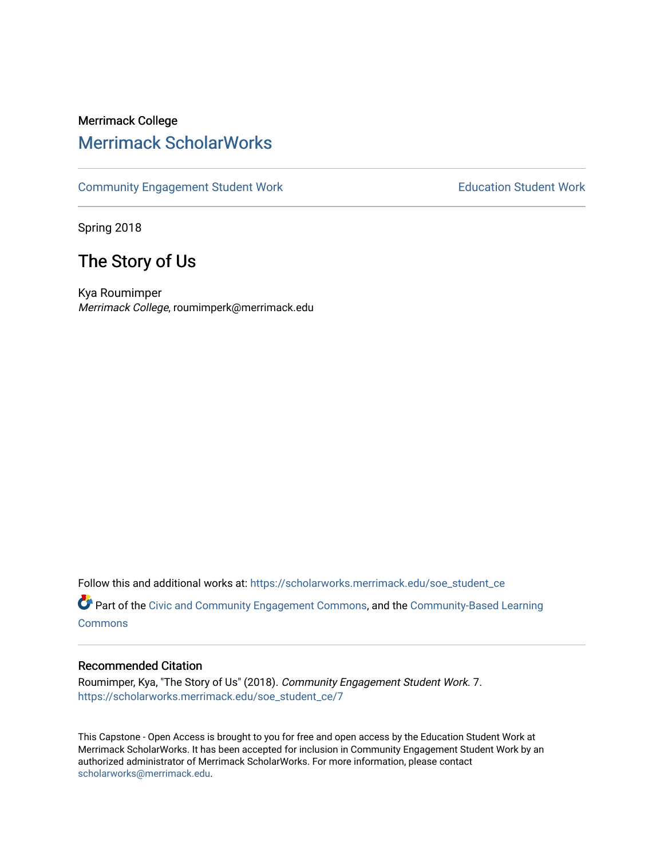# Merrimack College [Merrimack ScholarWorks](https://scholarworks.merrimack.edu/)

[Community Engagement Student Work](https://scholarworks.merrimack.edu/soe_student_ce) **Education Student Work** Education Student Work

Spring 2018

# The Story of Us

Kya Roumimper Merrimack College, roumimperk@merrimack.edu

Follow this and additional works at: [https://scholarworks.merrimack.edu/soe\\_student\\_ce](https://scholarworks.merrimack.edu/soe_student_ce?utm_source=scholarworks.merrimack.edu%2Fsoe_student_ce%2F7&utm_medium=PDF&utm_campaign=PDFCoverPages) 

Part of the [Civic and Community Engagement Commons](http://network.bepress.com/hgg/discipline/1028?utm_source=scholarworks.merrimack.edu%2Fsoe_student_ce%2F7&utm_medium=PDF&utm_campaign=PDFCoverPages), and the [Community-Based Learning](http://network.bepress.com/hgg/discipline/1046?utm_source=scholarworks.merrimack.edu%2Fsoe_student_ce%2F7&utm_medium=PDF&utm_campaign=PDFCoverPages) [Commons](http://network.bepress.com/hgg/discipline/1046?utm_source=scholarworks.merrimack.edu%2Fsoe_student_ce%2F7&utm_medium=PDF&utm_campaign=PDFCoverPages)

#### Recommended Citation

Roumimper, Kya, "The Story of Us" (2018). Community Engagement Student Work. 7. [https://scholarworks.merrimack.edu/soe\\_student\\_ce/7](https://scholarworks.merrimack.edu/soe_student_ce/7?utm_source=scholarworks.merrimack.edu%2Fsoe_student_ce%2F7&utm_medium=PDF&utm_campaign=PDFCoverPages) 

This Capstone - Open Access is brought to you for free and open access by the Education Student Work at Merrimack ScholarWorks. It has been accepted for inclusion in Community Engagement Student Work by an authorized administrator of Merrimack ScholarWorks. For more information, please contact [scholarworks@merrimack.edu](mailto:scholarworks@merrimack.edu).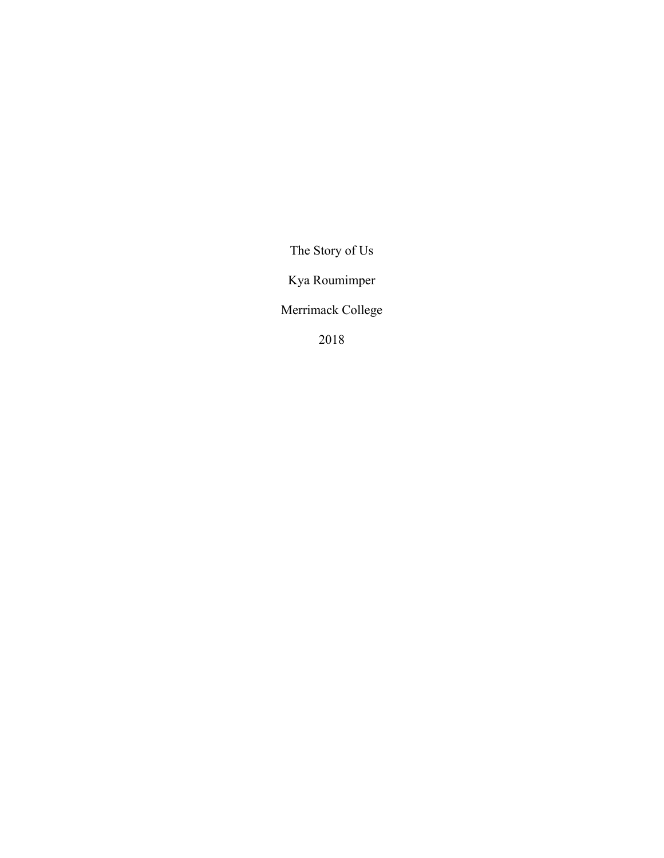The Story of Us

Kya Roumimper

Merrimack College

2018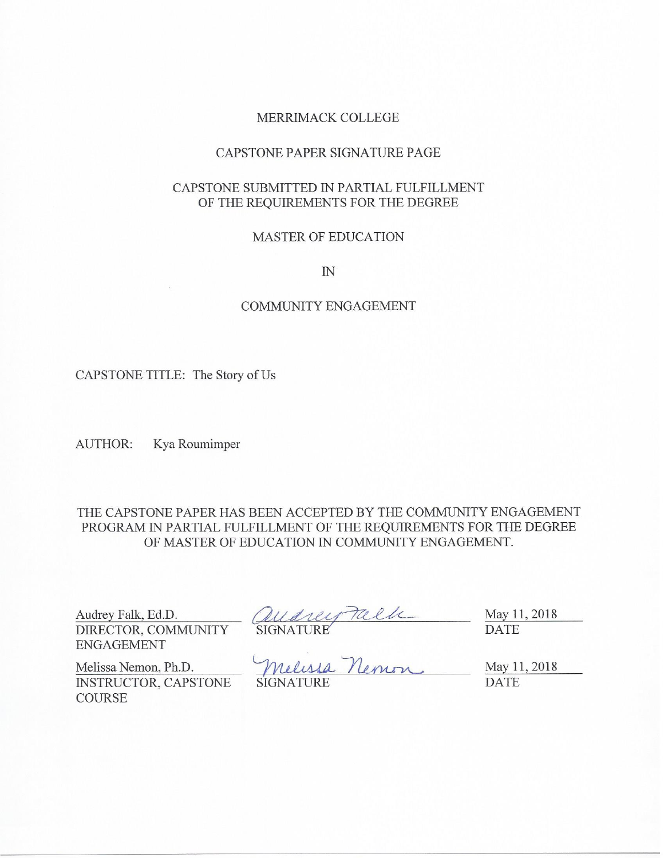## MERRIMACK COLLEGE

## CAPSTONE PAPER SIGNATURE PAGE

## CAPSTONE SUBMITTED IN PARTIAL FULFILLMENT OF THE REQUIREMENTS FOR THE DEGREE

#### **MASTER OF EDUCATION**

 $I\!N$ 

## **COMMUNITY ENGAGEMENT**

CAPSTONE TITLE: The Story of Us

AUTHOR: Kya Roumimper

THE CAPSTONE PAPER HAS BEEN ACCEPTED BY THE COMMUNITY ENGAGEMENT PROGRAM IN PARTIAL FULFILLMENT OF THE REQUIREMENTS FOR THE DEGREE OF MASTER OF EDUCATION IN COMMUNITY ENGAGEMENT.

Audrey Falk, Ed.D. DIRECTOR, COMMUNITY **ENGAGEMENT** 

May 11, 2018 **DATE** 

Melissa Nemon, Ph.D. INSTRUCTOR, CAPSTONE **COURSE** 

audrey Talle **SIGNATURE** 

May 11, 2018 **DATE**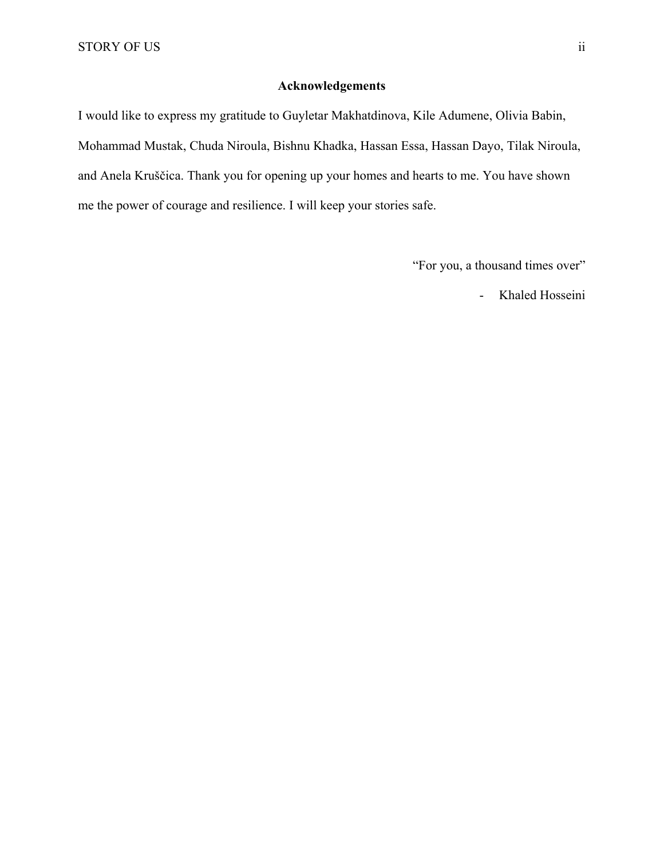## **Acknowledgements**

I would like to express my gratitude to Guyletar Makhatdinova, Kile Adumene, Olivia Babin, Mohammad Mustak, Chuda Niroula, Bishnu Khadka, Hassan Essa, Hassan Dayo, Tilak Niroula, and Anela Kruščica. Thank you for opening up your homes and hearts to me. You have shown me the power of courage and resilience. I will keep your stories safe.

"For you, a thousand times over"

- Khaled Hosseini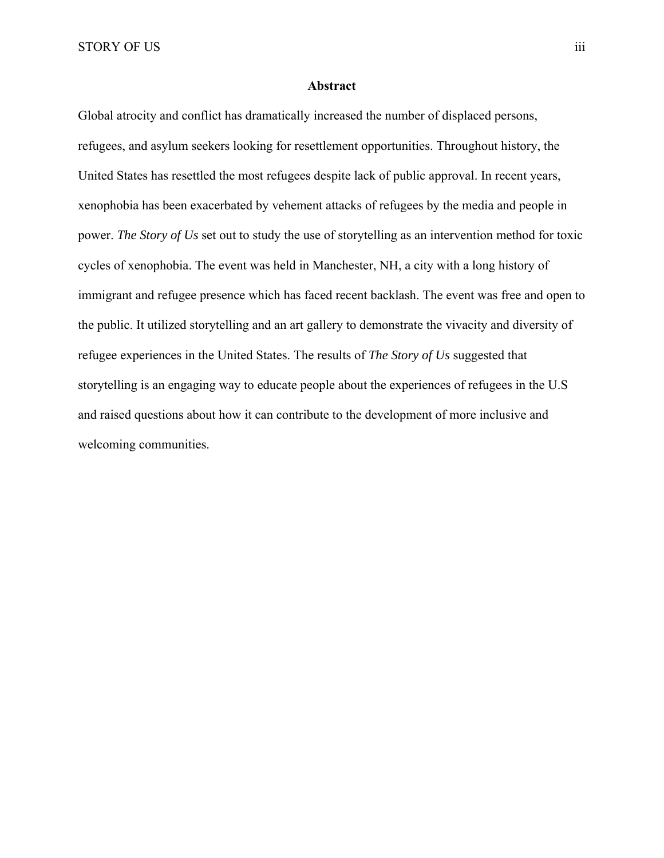STORY OF US iii

#### **Abstract**

Global atrocity and conflict has dramatically increased the number of displaced persons, refugees, and asylum seekers looking for resettlement opportunities. Throughout history, the United States has resettled the most refugees despite lack of public approval. In recent years, xenophobia has been exacerbated by vehement attacks of refugees by the media and people in power. *The Story of Us* set out to study the use of storytelling as an intervention method for toxic cycles of xenophobia. The event was held in Manchester, NH, a city with a long history of immigrant and refugee presence which has faced recent backlash. The event was free and open to the public. It utilized storytelling and an art gallery to demonstrate the vivacity and diversity of refugee experiences in the United States. The results of *The Story of Us* suggested that storytelling is an engaging way to educate people about the experiences of refugees in the U.S and raised questions about how it can contribute to the development of more inclusive and welcoming communities.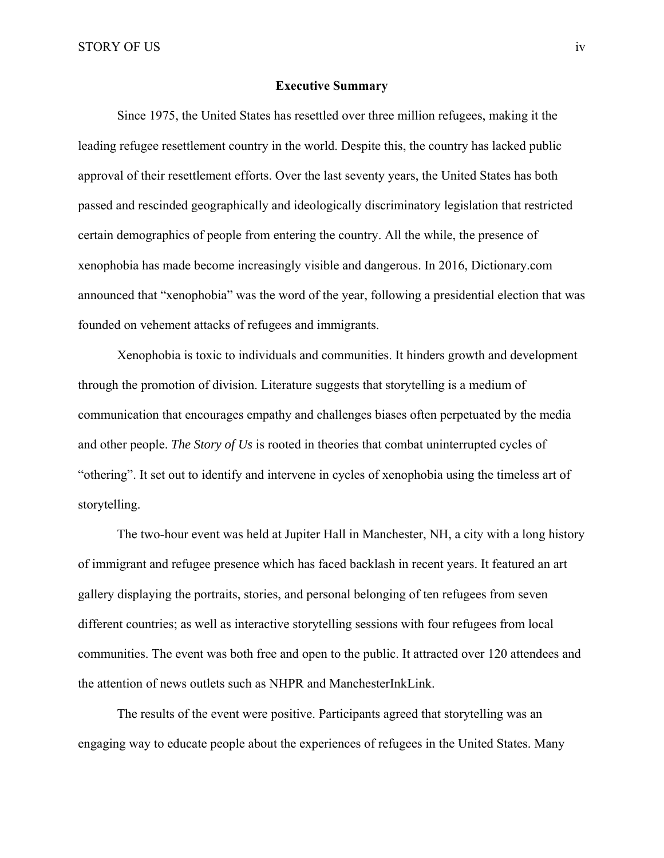#### **Executive Summary**

Since 1975, the United States has resettled over three million refugees, making it the leading refugee resettlement country in the world. Despite this, the country has lacked public approval of their resettlement efforts. Over the last seventy years, the United States has both passed and rescinded geographically and ideologically discriminatory legislation that restricted certain demographics of people from entering the country. All the while, the presence of xenophobia has made become increasingly visible and dangerous. In 2016, Dictionary.com announced that "xenophobia" was the word of the year, following a presidential election that was founded on vehement attacks of refugees and immigrants.

Xenophobia is toxic to individuals and communities. It hinders growth and development through the promotion of division. Literature suggests that storytelling is a medium of communication that encourages empathy and challenges biases often perpetuated by the media and other people. *The Story of Us* is rooted in theories that combat uninterrupted cycles of "othering". It set out to identify and intervene in cycles of xenophobia using the timeless art of storytelling.

The two-hour event was held at Jupiter Hall in Manchester, NH, a city with a long history of immigrant and refugee presence which has faced backlash in recent years. It featured an art gallery displaying the portraits, stories, and personal belonging of ten refugees from seven different countries; as well as interactive storytelling sessions with four refugees from local communities. The event was both free and open to the public. It attracted over 120 attendees and the attention of news outlets such as NHPR and ManchesterInkLink.

The results of the event were positive. Participants agreed that storytelling was an engaging way to educate people about the experiences of refugees in the United States. Many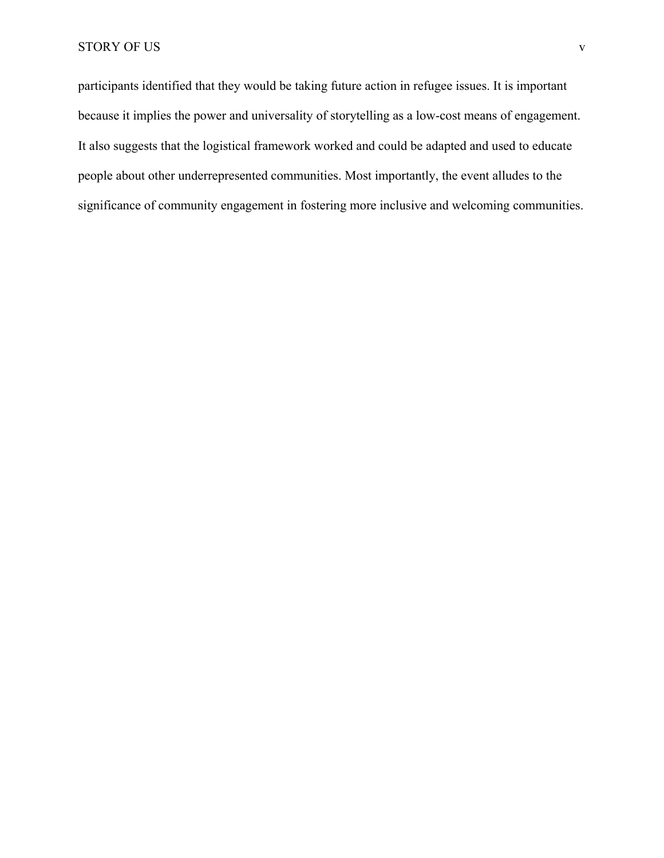participants identified that they would be taking future action in refugee issues. It is important because it implies the power and universality of storytelling as a low-cost means of engagement. It also suggests that the logistical framework worked and could be adapted and used to educate people about other underrepresented communities. Most importantly, the event alludes to the significance of community engagement in fostering more inclusive and welcoming communities.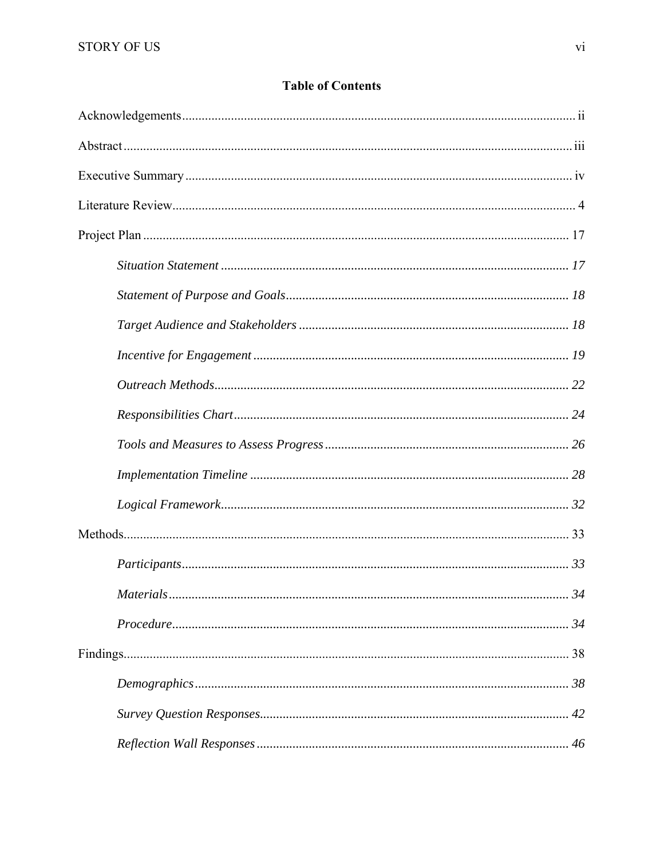## **Table of Contents**

| .34 |
|-----|
|     |
|     |
|     |
|     |
|     |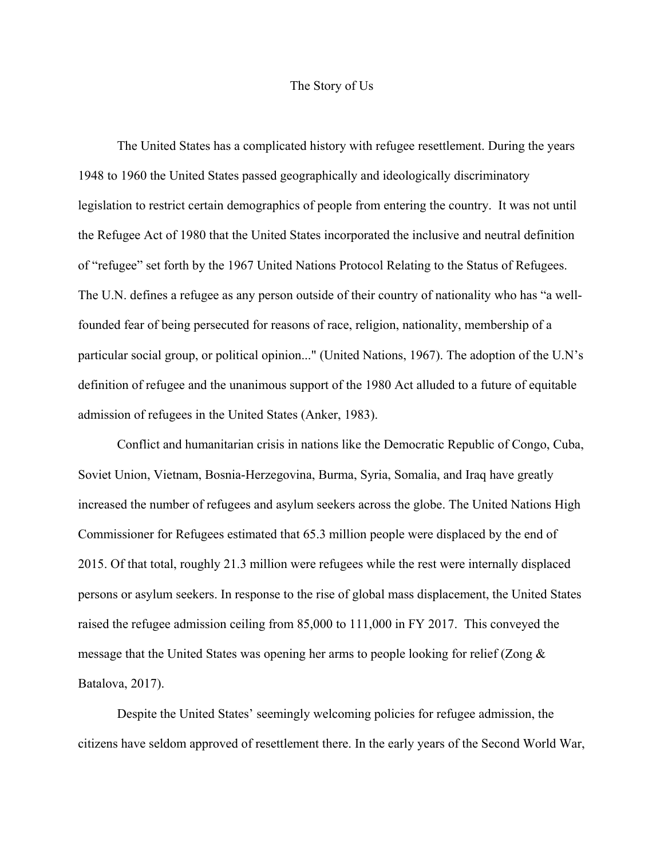#### The Story of Us

The United States has a complicated history with refugee resettlement. During the years 1948 to 1960 the United States passed geographically and ideologically discriminatory legislation to restrict certain demographics of people from entering the country. It was not until the Refugee Act of 1980 that the United States incorporated the inclusive and neutral definition of "refugee" set forth by the 1967 United Nations Protocol Relating to the Status of Refugees. The U.N. defines a refugee as any person outside of their country of nationality who has "a wellfounded fear of being persecuted for reasons of race, religion, nationality, membership of a particular social group, or political opinion..." (United Nations, 1967). The adoption of the U.N's definition of refugee and the unanimous support of the 1980 Act alluded to a future of equitable admission of refugees in the United States (Anker, 1983).

Conflict and humanitarian crisis in nations like the Democratic Republic of Congo, Cuba, Soviet Union, Vietnam, Bosnia-Herzegovina, Burma, Syria, Somalia, and Iraq have greatly increased the number of refugees and asylum seekers across the globe. The United Nations High Commissioner for Refugees estimated that 65.3 million people were displaced by the end of 2015. Of that total, roughly 21.3 million were refugees while the rest were internally displaced persons or asylum seekers. In response to the rise of global mass displacement, the United States raised the refugee admission ceiling from 85,000 to 111,000 in FY 2017. This conveyed the message that the United States was opening her arms to people looking for relief (Zong & Batalova, 2017).

Despite the United States' seemingly welcoming policies for refugee admission, the citizens have seldom approved of resettlement there. In the early years of the Second World War,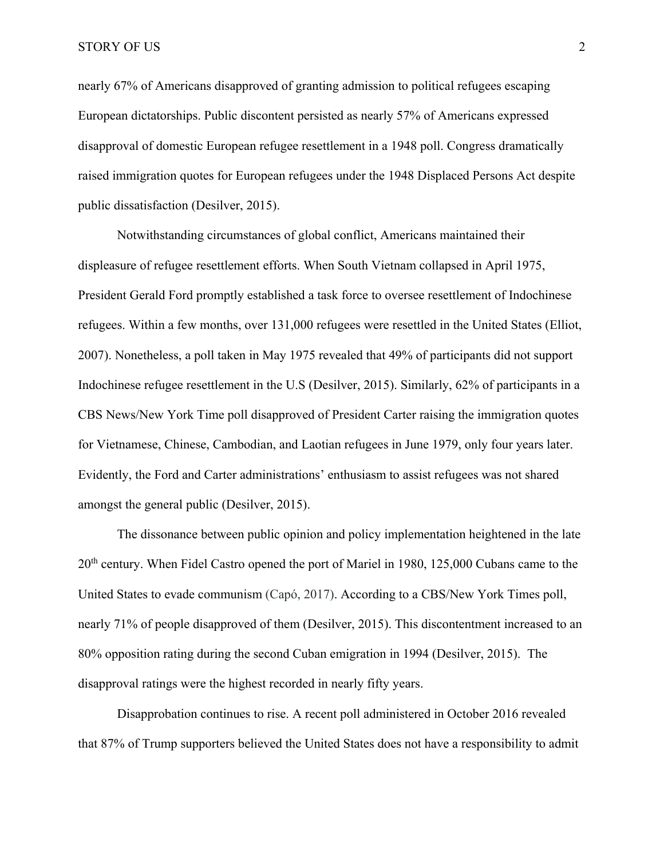nearly 67% of Americans disapproved of granting admission to political refugees escaping European dictatorships. Public discontent persisted as nearly 57% of Americans expressed disapproval of domestic European refugee resettlement in a 1948 poll. Congress dramatically raised immigration quotes for European refugees under the 1948 Displaced Persons Act despite public dissatisfaction (Desilver, 2015).

Notwithstanding circumstances of global conflict, Americans maintained their displeasure of refugee resettlement efforts. When South Vietnam collapsed in April 1975, President Gerald Ford promptly established a task force to oversee resettlement of Indochinese refugees. Within a few months, over 131,000 refugees were resettled in the United States (Elliot, 2007). Nonetheless, a poll taken in May 1975 revealed that 49% of participants did not support Indochinese refugee resettlement in the U.S (Desilver, 2015). Similarly, 62% of participants in a CBS News/New York Time poll disapproved of President Carter raising the immigration quotes for Vietnamese, Chinese, Cambodian, and Laotian refugees in June 1979, only four years later. Evidently, the Ford and Carter administrations' enthusiasm to assist refugees was not shared amongst the general public (Desilver, 2015).

The dissonance between public opinion and policy implementation heightened in the late 20<sup>th</sup> century. When Fidel Castro opened the port of Mariel in 1980, 125,000 Cubans came to the United States to evade communism (Capó, 2017). According to a CBS/New York Times poll, nearly 71% of people disapproved of them (Desilver, 2015). This discontentment increased to an 80% opposition rating during the second Cuban emigration in 1994 (Desilver, 2015). The disapproval ratings were the highest recorded in nearly fifty years.

Disapprobation continues to rise. A recent poll administered in October 2016 revealed that 87% of Trump supporters believed the United States does not have a responsibility to admit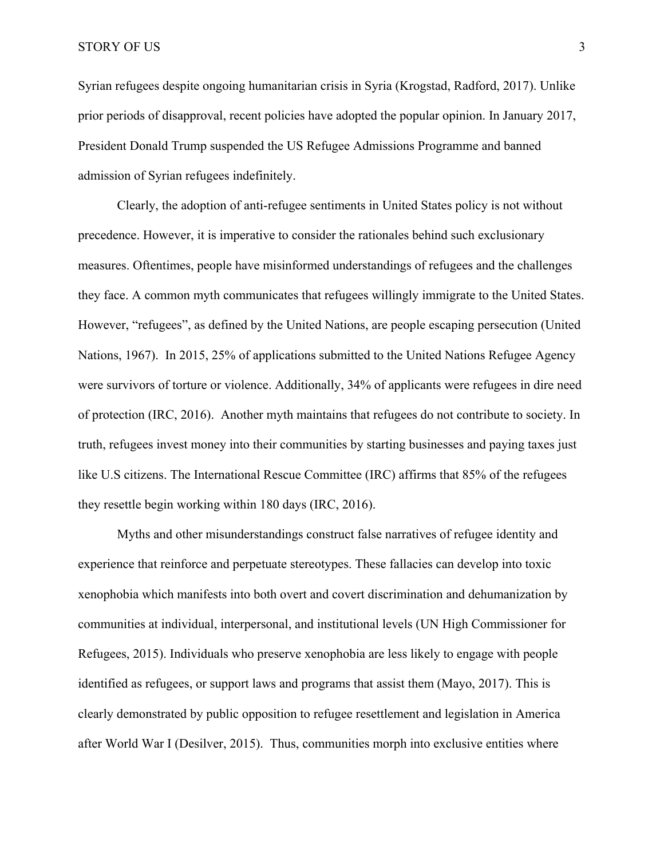STORY OF US 3

Syrian refugees despite ongoing humanitarian crisis in Syria (Krogstad, Radford, 2017). Unlike prior periods of disapproval, recent policies have adopted the popular opinion. In January 2017, President Donald Trump suspended the US Refugee Admissions Programme and banned admission of Syrian refugees indefinitely.

Clearly, the adoption of anti-refugee sentiments in United States policy is not without precedence. However, it is imperative to consider the rationales behind such exclusionary measures. Oftentimes, people have misinformed understandings of refugees and the challenges they face. A common myth communicates that refugees willingly immigrate to the United States. However, "refugees", as defined by the United Nations, are people escaping persecution (United Nations, 1967). In 2015, 25% of applications submitted to the United Nations Refugee Agency were survivors of torture or violence. Additionally, 34% of applicants were refugees in dire need of protection (IRC, 2016). Another myth maintains that refugees do not contribute to society. In truth, refugees invest money into their communities by starting businesses and paying taxes just like U.S citizens. The International Rescue Committee (IRC) affirms that 85% of the refugees they resettle begin working within 180 days (IRC, 2016).

 Myths and other misunderstandings construct false narratives of refugee identity and experience that reinforce and perpetuate stereotypes. These fallacies can develop into toxic xenophobia which manifests into both overt and covert discrimination and dehumanization by communities at individual, interpersonal, and institutional levels (UN High Commissioner for Refugees, 2015). Individuals who preserve xenophobia are less likely to engage with people identified as refugees, or support laws and programs that assist them (Mayo, 2017). This is clearly demonstrated by public opposition to refugee resettlement and legislation in America after World War I (Desilver, 2015). Thus, communities morph into exclusive entities where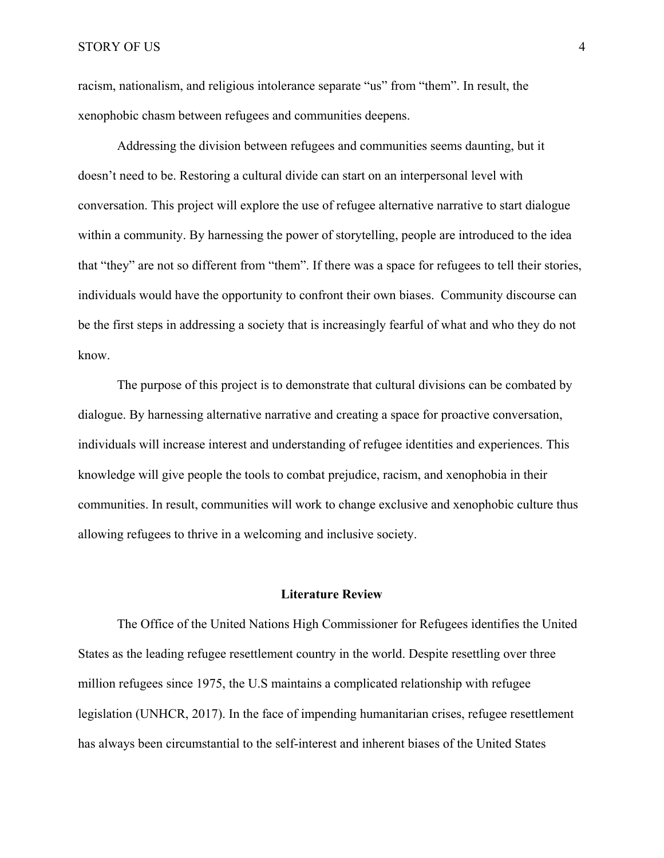racism, nationalism, and religious intolerance separate "us" from "them". In result, the xenophobic chasm between refugees and communities deepens.

Addressing the division between refugees and communities seems daunting, but it doesn't need to be. Restoring a cultural divide can start on an interpersonal level with conversation. This project will explore the use of refugee alternative narrative to start dialogue within a community. By harnessing the power of storytelling, people are introduced to the idea that "they" are not so different from "them". If there was a space for refugees to tell their stories, individuals would have the opportunity to confront their own biases. Community discourse can be the first steps in addressing a society that is increasingly fearful of what and who they do not know.

The purpose of this project is to demonstrate that cultural divisions can be combated by dialogue. By harnessing alternative narrative and creating a space for proactive conversation, individuals will increase interest and understanding of refugee identities and experiences. This knowledge will give people the tools to combat prejudice, racism, and xenophobia in their communities. In result, communities will work to change exclusive and xenophobic culture thus allowing refugees to thrive in a welcoming and inclusive society.

#### **Literature Review**

The Office of the United Nations High Commissioner for Refugees identifies the United States as the leading refugee resettlement country in the world. Despite resettling over three million refugees since 1975, the U.S maintains a complicated relationship with refugee legislation (UNHCR, 2017). In the face of impending humanitarian crises, refugee resettlement has always been circumstantial to the self-interest and inherent biases of the United States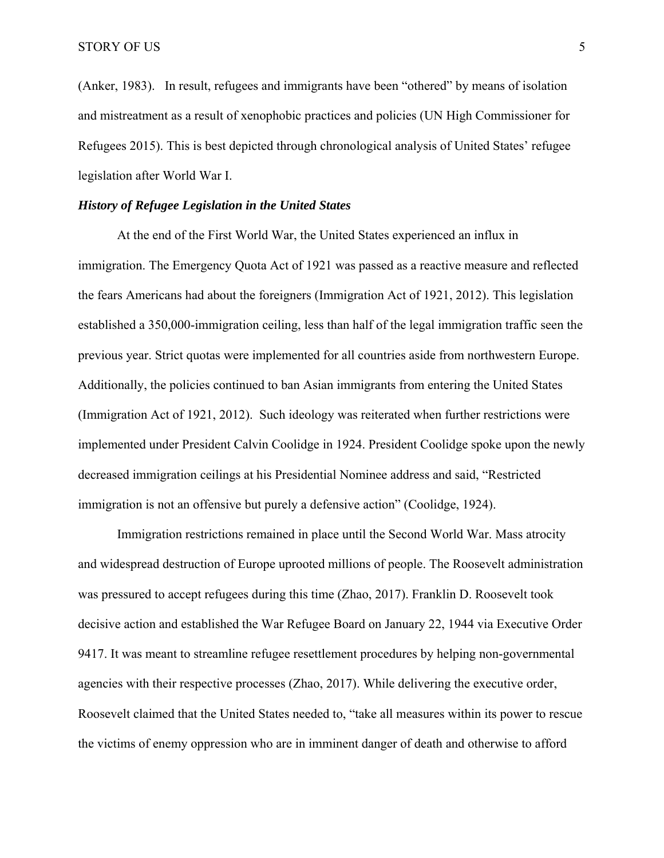(Anker, 1983). In result, refugees and immigrants have been "othered" by means of isolation and mistreatment as a result of xenophobic practices and policies (UN High Commissioner for Refugees 2015). This is best depicted through chronological analysis of United States' refugee legislation after World War I.

#### *History of Refugee Legislation in the United States*

At the end of the First World War, the United States experienced an influx in immigration. The Emergency Quota Act of 1921 was passed as a reactive measure and reflected the fears Americans had about the foreigners (Immigration Act of 1921, 2012). This legislation established a 350,000-immigration ceiling, less than half of the legal immigration traffic seen the previous year. Strict quotas were implemented for all countries aside from northwestern Europe. Additionally, the policies continued to ban Asian immigrants from entering the United States (Immigration Act of 1921, 2012). Such ideology was reiterated when further restrictions were implemented under President Calvin Coolidge in 1924. President Coolidge spoke upon the newly decreased immigration ceilings at his Presidential Nominee address and said, "Restricted immigration is not an offensive but purely a defensive action" (Coolidge, 1924).

Immigration restrictions remained in place until the Second World War. Mass atrocity and widespread destruction of Europe uprooted millions of people. The Roosevelt administration was pressured to accept refugees during this time (Zhao, 2017). Franklin D. Roosevelt took decisive action and established the War Refugee Board on January 22, 1944 via Executive Order 9417. It was meant to streamline refugee resettlement procedures by helping non-governmental agencies with their respective processes (Zhao, 2017). While delivering the executive order, Roosevelt claimed that the United States needed to, "take all measures within its power to rescue the victims of enemy oppression who are in imminent danger of death and otherwise to afford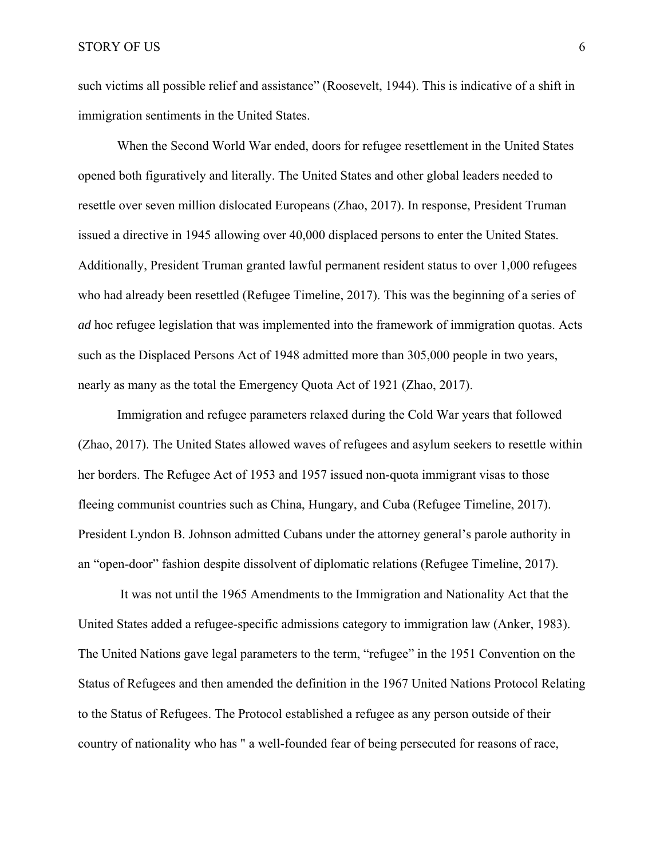such victims all possible relief and assistance" (Roosevelt, 1944). This is indicative of a shift in immigration sentiments in the United States.

When the Second World War ended, doors for refugee resettlement in the United States opened both figuratively and literally. The United States and other global leaders needed to resettle over seven million dislocated Europeans (Zhao, 2017). In response, President Truman issued a directive in 1945 allowing over 40,000 displaced persons to enter the United States. Additionally, President Truman granted lawful permanent resident status to over 1,000 refugees who had already been resettled (Refugee Timeline, 2017). This was the beginning of a series of *ad* hoc refugee legislation that was implemented into the framework of immigration quotas. Acts such as the Displaced Persons Act of 1948 admitted more than 305,000 people in two years, nearly as many as the total the Emergency Quota Act of 1921 (Zhao, 2017).

Immigration and refugee parameters relaxed during the Cold War years that followed (Zhao, 2017). The United States allowed waves of refugees and asylum seekers to resettle within her borders. The Refugee Act of 1953 and 1957 issued non-quota immigrant visas to those fleeing communist countries such as China, Hungary, and Cuba (Refugee Timeline, 2017). President Lyndon B. Johnson admitted Cubans under the attorney general's parole authority in an "open-door" fashion despite dissolvent of diplomatic relations (Refugee Timeline, 2017).

 It was not until the 1965 Amendments to the Immigration and Nationality Act that the United States added a refugee-specific admissions category to immigration law (Anker, 1983). The United Nations gave legal parameters to the term, "refugee" in the 1951 Convention on the Status of Refugees and then amended the definition in the 1967 United Nations Protocol Relating to the Status of Refugees. The Protocol established a refugee as any person outside of their country of nationality who has " a well-founded fear of being persecuted for reasons of race,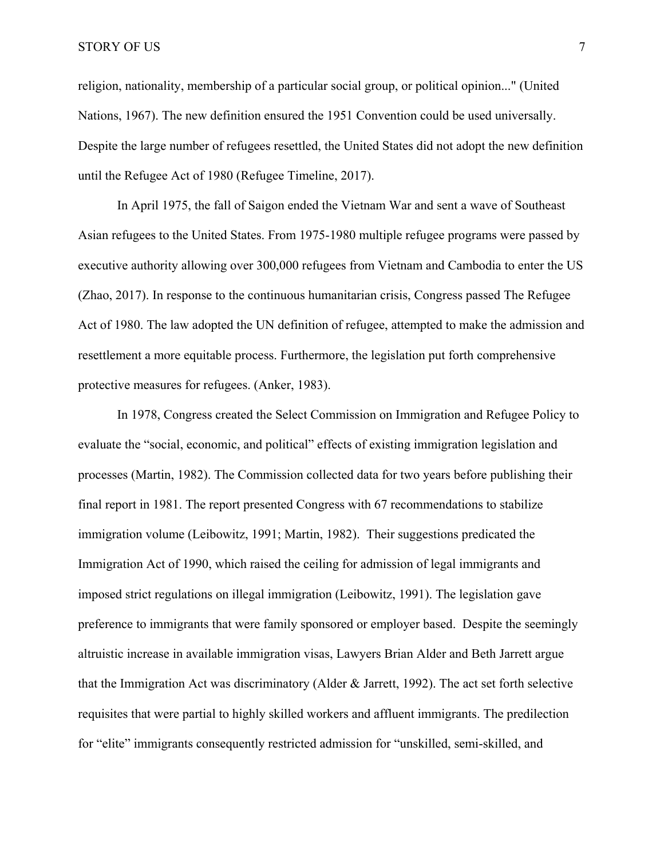religion, nationality, membership of a particular social group, or political opinion..." (United Nations, 1967). The new definition ensured the 1951 Convention could be used universally. Despite the large number of refugees resettled, the United States did not adopt the new definition until the Refugee Act of 1980 (Refugee Timeline, 2017).

In April 1975, the fall of Saigon ended the Vietnam War and sent a wave of Southeast Asian refugees to the United States. From 1975-1980 multiple refugee programs were passed by executive authority allowing over 300,000 refugees from Vietnam and Cambodia to enter the US (Zhao, 2017). In response to the continuous humanitarian crisis, Congress passed The Refugee Act of 1980. The law adopted the UN definition of refugee, attempted to make the admission and resettlement a more equitable process. Furthermore, the legislation put forth comprehensive protective measures for refugees. (Anker, 1983).

In 1978, Congress created the Select Commission on Immigration and Refugee Policy to evaluate the "social, economic, and political" effects of existing immigration legislation and processes (Martin, 1982). The Commission collected data for two years before publishing their final report in 1981. The report presented Congress with 67 recommendations to stabilize immigration volume (Leibowitz, 1991; Martin, 1982). Their suggestions predicated the Immigration Act of 1990, which raised the ceiling for admission of legal immigrants and imposed strict regulations on illegal immigration (Leibowitz, 1991). The legislation gave preference to immigrants that were family sponsored or employer based. Despite the seemingly altruistic increase in available immigration visas, Lawyers Brian Alder and Beth Jarrett argue that the Immigration Act was discriminatory (Alder & Jarrett, 1992). The act set forth selective requisites that were partial to highly skilled workers and affluent immigrants. The predilection for "elite" immigrants consequently restricted admission for "unskilled, semi-skilled, and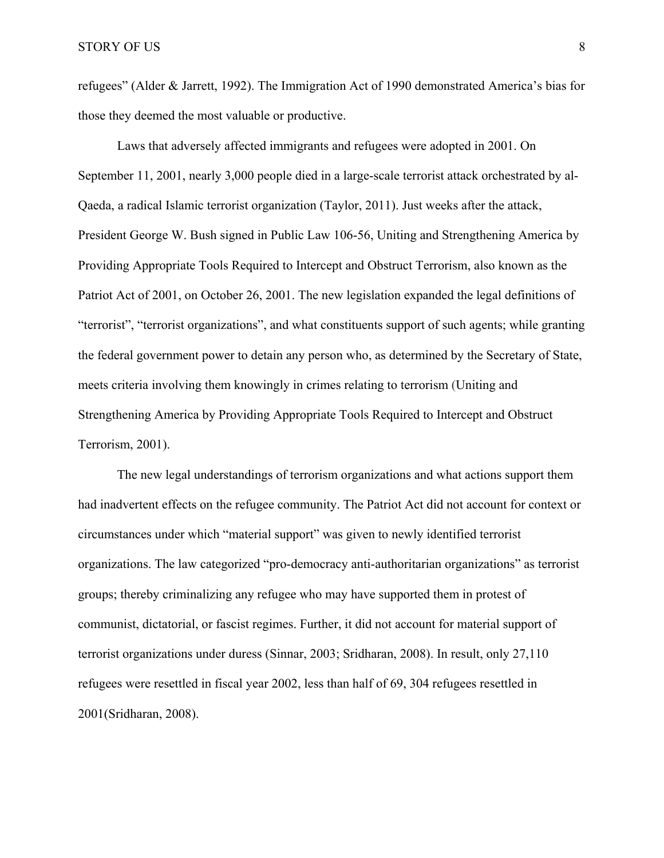refugees" (Alder & Jarrett, 1992). The Immigration Act of 1990 demonstrated America's bias for those they deemed the most valuable or productive.

Laws that adversely affected immigrants and refugees were adopted in 2001. On September 11, 2001, nearly 3,000 people died in a large-scale terrorist attack orchestrated by al-Qaeda, a radical Islamic terrorist organization (Taylor, 2011). Just weeks after the attack, President George W. Bush signed in Public Law 106-56, Uniting and Strengthening America by Providing Appropriate Tools Required to Intercept and Obstruct Terrorism, also known as the Patriot Act of 2001, on October 26, 2001. The new legislation expanded the legal definitions of "terrorist", "terrorist organizations", and what constituents support of such agents; while granting the federal government power to detain any person who, as determined by the Secretary of State, meets criteria involving them knowingly in crimes relating to terrorism (Uniting and Strengthening America by Providing Appropriate Tools Required to Intercept and Obstruct Terrorism, 2001).

The new legal understandings of terrorism organizations and what actions support them had inadvertent effects on the refugee community. The Patriot Act did not account for context or circumstances under which "material support" was given to newly identified terrorist organizations. The law categorized "pro-democracy anti-authoritarian organizations" as terrorist groups; thereby criminalizing any refugee who may have supported them in protest of communist, dictatorial, or fascist regimes. Further, it did not account for material support of terrorist organizations under duress (Sinnar, 2003; Sridharan, 2008). In result, only 27,110 refugees were resettled in fiscal year 2002, less than half of 69, 304 refugees resettled in 2001(Sridharan, 2008).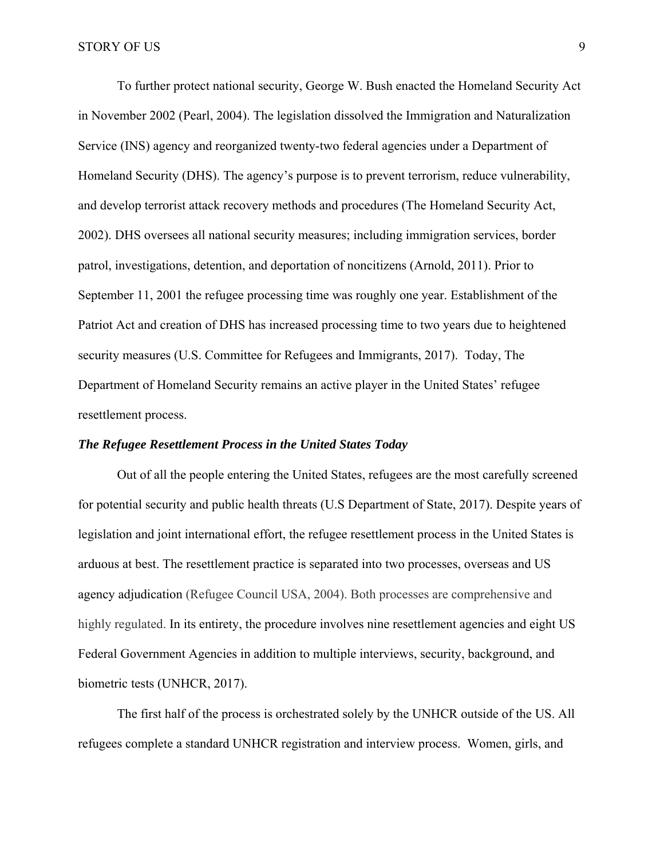To further protect national security, George W. Bush enacted the Homeland Security Act in November 2002 (Pearl, 2004). The legislation dissolved the Immigration and Naturalization Service (INS) agency and reorganized twenty-two federal agencies under a Department of Homeland Security (DHS). The agency's purpose is to prevent terrorism, reduce vulnerability, and develop terrorist attack recovery methods and procedures (The Homeland Security Act, 2002). DHS oversees all national security measures; including immigration services, border patrol, investigations, detention, and deportation of noncitizens (Arnold, 2011). Prior to September 11, 2001 the refugee processing time was roughly one year. Establishment of the Patriot Act and creation of DHS has increased processing time to two years due to heightened security measures (U.S. Committee for Refugees and Immigrants, 2017). Today, The Department of Homeland Security remains an active player in the United States' refugee resettlement process.

#### *The Refugee Resettlement Process in the United States Today*

Out of all the people entering the United States, refugees are the most carefully screened for potential security and public health threats (U.S Department of State, 2017). Despite years of legislation and joint international effort, the refugee resettlement process in the United States is arduous at best. The resettlement practice is separated into two processes, overseas and US agency adjudication (Refugee Council USA, 2004). Both processes are comprehensive and highly regulated. In its entirety, the procedure involves nine resettlement agencies and eight US Federal Government Agencies in addition to multiple interviews, security, background, and biometric tests (UNHCR, 2017).

The first half of the process is orchestrated solely by the UNHCR outside of the US. All refugees complete a standard UNHCR registration and interview process. Women, girls, and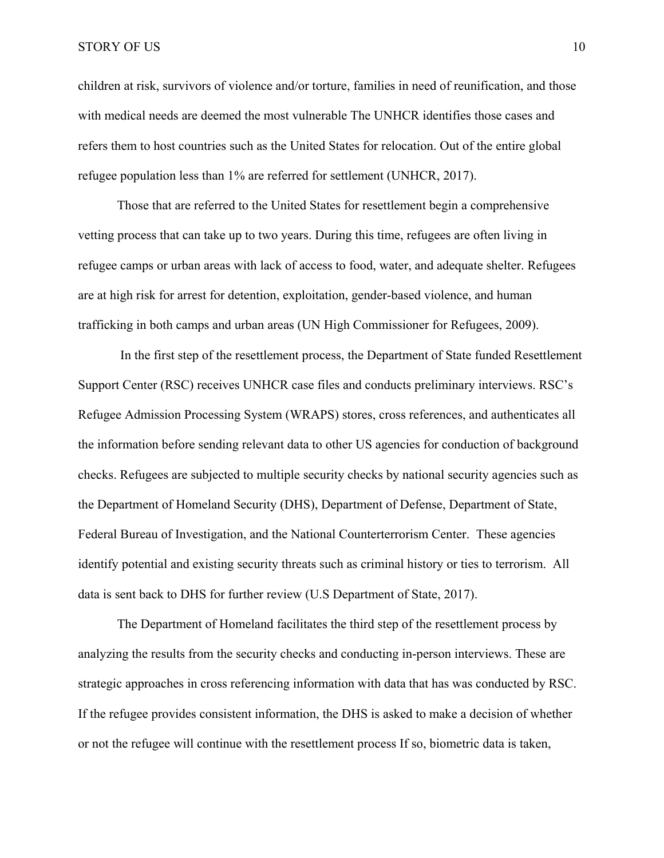#### STORY OF US 10

children at risk, survivors of violence and/or torture, families in need of reunification, and those with medical needs are deemed the most vulnerable The UNHCR identifies those cases and refers them to host countries such as the United States for relocation. Out of the entire global refugee population less than 1% are referred for settlement (UNHCR, 2017).

Those that are referred to the United States for resettlement begin a comprehensive vetting process that can take up to two years. During this time, refugees are often living in refugee camps or urban areas with lack of access to food, water, and adequate shelter. Refugees are at high risk for arrest for detention, exploitation, gender-based violence, and human trafficking in both camps and urban areas (UN High Commissioner for Refugees, 2009).

 In the first step of the resettlement process, the Department of State funded Resettlement Support Center (RSC) receives UNHCR case files and conducts preliminary interviews. RSC's Refugee Admission Processing System (WRAPS) stores, cross references, and authenticates all the information before sending relevant data to other US agencies for conduction of background checks. Refugees are subjected to multiple security checks by national security agencies such as the Department of Homeland Security (DHS), Department of Defense, Department of State, Federal Bureau of Investigation, and the National Counterterrorism Center. These agencies identify potential and existing security threats such as criminal history or ties to terrorism. All data is sent back to DHS for further review (U.S Department of State, 2017).

The Department of Homeland facilitates the third step of the resettlement process by analyzing the results from the security checks and conducting in-person interviews. These are strategic approaches in cross referencing information with data that has was conducted by RSC. If the refugee provides consistent information, the DHS is asked to make a decision of whether or not the refugee will continue with the resettlement process If so, biometric data is taken,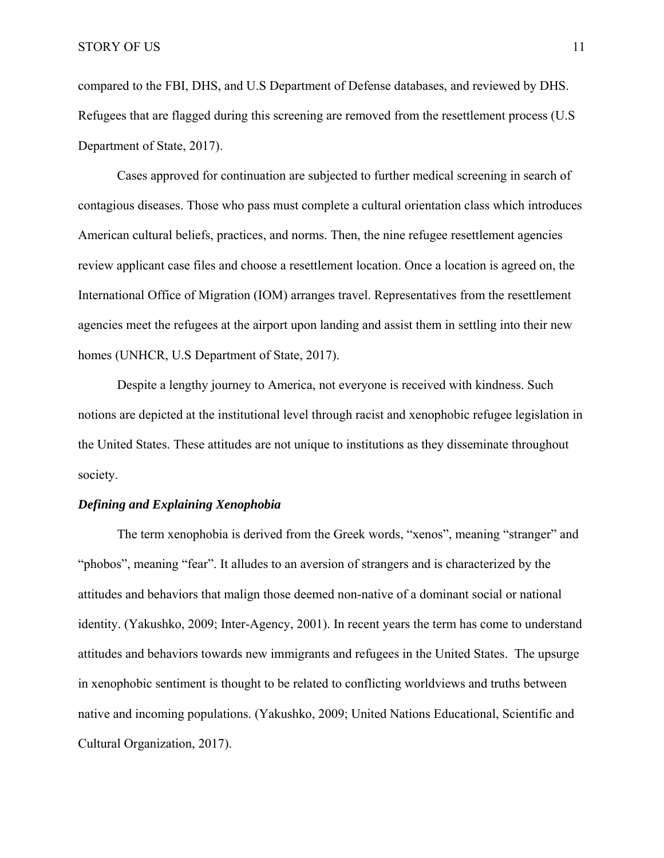compared to the FBI, DHS, and U.S Department of Defense databases, and reviewed by DHS. Refugees that are flagged during this screening are removed from the resettlement process (U.S Department of State, 2017).

Cases approved for continuation are subjected to further medical screening in search of contagious diseases. Those who pass must complete a cultural orientation class which introduces American cultural beliefs, practices, and norms. Then, the nine refugee resettlement agencies review applicant case files and choose a resettlement location. Once a location is agreed on, the International Office of Migration (IOM) arranges travel. Representatives from the resettlement agencies meet the refugees at the airport upon landing and assist them in settling into their new homes (UNHCR, U.S Department of State, 2017).

Despite a lengthy journey to America, not everyone is received with kindness. Such notions are depicted at the institutional level through racist and xenophobic refugee legislation in the United States. These attitudes are not unique to institutions as they disseminate throughout society.

#### *Defining and Explaining Xenophobia*

The term xenophobia is derived from the Greek words, "xenos", meaning "stranger" and "phobos", meaning "fear". It alludes to an aversion of strangers and is characterized by the attitudes and behaviors that malign those deemed non-native of a dominant social or national identity. (Yakushko, 2009; Inter-Agency, 2001). In recent years the term has come to understand attitudes and behaviors towards new immigrants and refugees in the United States. The upsurge in xenophobic sentiment is thought to be related to conflicting worldviews and truths between native and incoming populations. (Yakushko, 2009; United Nations Educational, Scientific and Cultural Organization, 2017).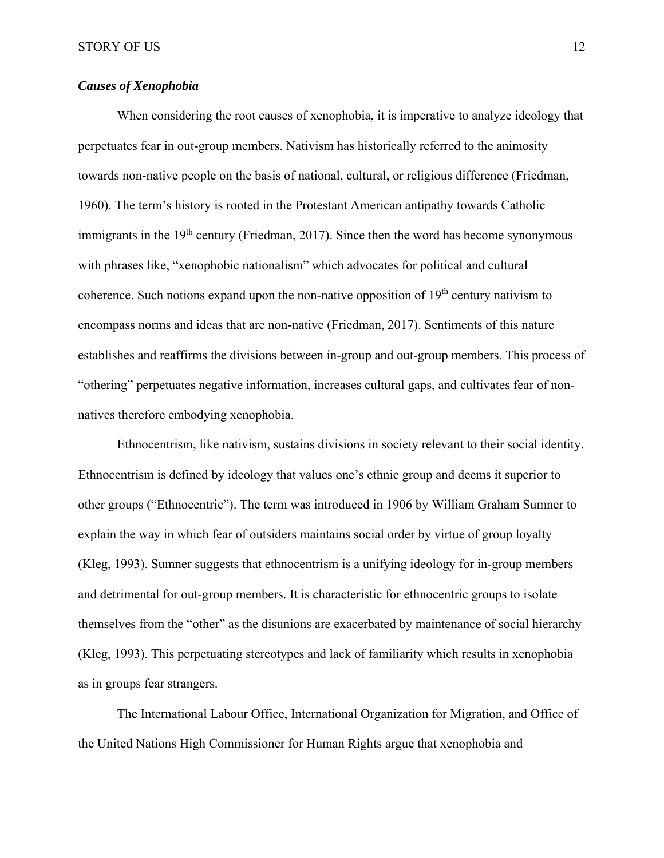## *Causes of Xenophobia*

When considering the root causes of xenophobia, it is imperative to analyze ideology that perpetuates fear in out-group members. Nativism has historically referred to the animosity towards non-native people on the basis of national, cultural, or religious difference (Friedman, 1960). The term's history is rooted in the Protestant American antipathy towards Catholic immigrants in the  $19<sup>th</sup>$  century (Friedman, 2017). Since then the word has become synonymous with phrases like, "xenophobic nationalism" which advocates for political and cultural coherence. Such notions expand upon the non-native opposition of  $19<sup>th</sup>$  century nativism to encompass norms and ideas that are non-native (Friedman, 2017). Sentiments of this nature establishes and reaffirms the divisions between in-group and out-group members. This process of "othering" perpetuates negative information, increases cultural gaps, and cultivates fear of nonnatives therefore embodying xenophobia.

Ethnocentrism, like nativism, sustains divisions in society relevant to their social identity. Ethnocentrism is defined by ideology that values one's ethnic group and deems it superior to other groups ("Ethnocentric"). The term was introduced in 1906 by William Graham Sumner to explain the way in which fear of outsiders maintains social order by virtue of group loyalty (Kleg, 1993). Sumner suggests that ethnocentrism is a unifying ideology for in-group members and detrimental for out-group members. It is characteristic for ethnocentric groups to isolate themselves from the "other" as the disunions are exacerbated by maintenance of social hierarchy (Kleg, 1993). This perpetuating stereotypes and lack of familiarity which results in xenophobia as in groups fear strangers.

The International Labour Office, International Organization for Migration, and Office of the United Nations High Commissioner for Human Rights argue that xenophobia and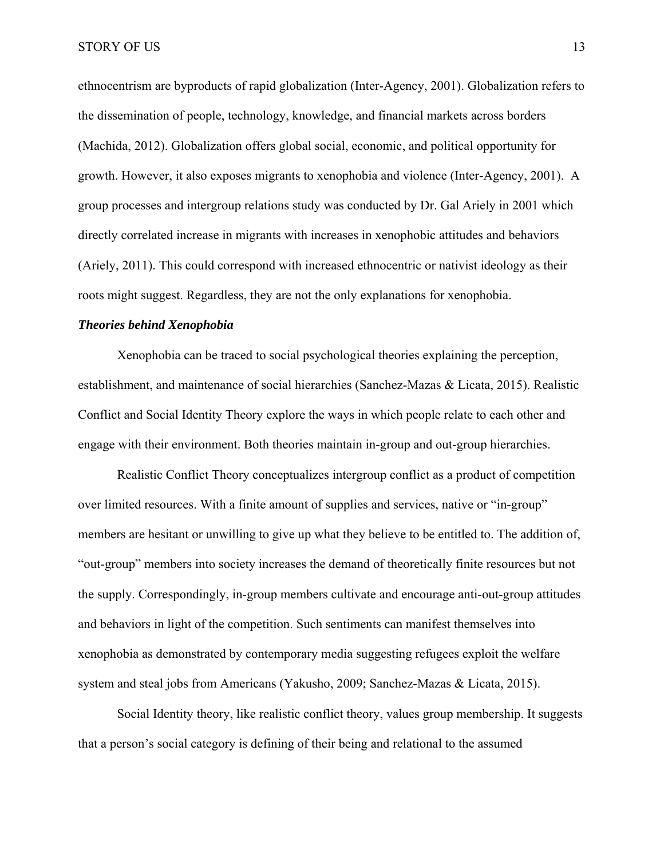ethnocentrism are byproducts of rapid globalization (Inter-Agency, 2001). Globalization refers to the dissemination of people, technology, knowledge, and financial markets across borders (Machida, 2012). Globalization offers global social, economic, and political opportunity for growth. However, it also exposes migrants to xenophobia and violence (Inter-Agency, 2001). A group processes and intergroup relations study was conducted by Dr. Gal Ariely in 2001 which directly correlated increase in migrants with increases in xenophobic attitudes and behaviors (Ariely, 2011). This could correspond with increased ethnocentric or nativist ideology as their roots might suggest. Regardless, they are not the only explanations for xenophobia.

#### *Theories behind Xenophobia*

Xenophobia can be traced to social psychological theories explaining the perception, establishment, and maintenance of social hierarchies (Sanchez-Mazas & Licata, 2015). Realistic Conflict and Social Identity Theory explore the ways in which people relate to each other and engage with their environment. Both theories maintain in-group and out-group hierarchies.

Realistic Conflict Theory conceptualizes intergroup conflict as a product of competition over limited resources. With a finite amount of supplies and services, native or "in-group" members are hesitant or unwilling to give up what they believe to be entitled to. The addition of, "out-group" members into society increases the demand of theoretically finite resources but not the supply. Correspondingly, in-group members cultivate and encourage anti-out-group attitudes and behaviors in light of the competition. Such sentiments can manifest themselves into xenophobia as demonstrated by contemporary media suggesting refugees exploit the welfare system and steal jobs from Americans (Yakusho, 2009; Sanchez-Mazas & Licata, 2015).

Social Identity theory, like realistic conflict theory, values group membership. It suggests that a person's social category is defining of their being and relational to the assumed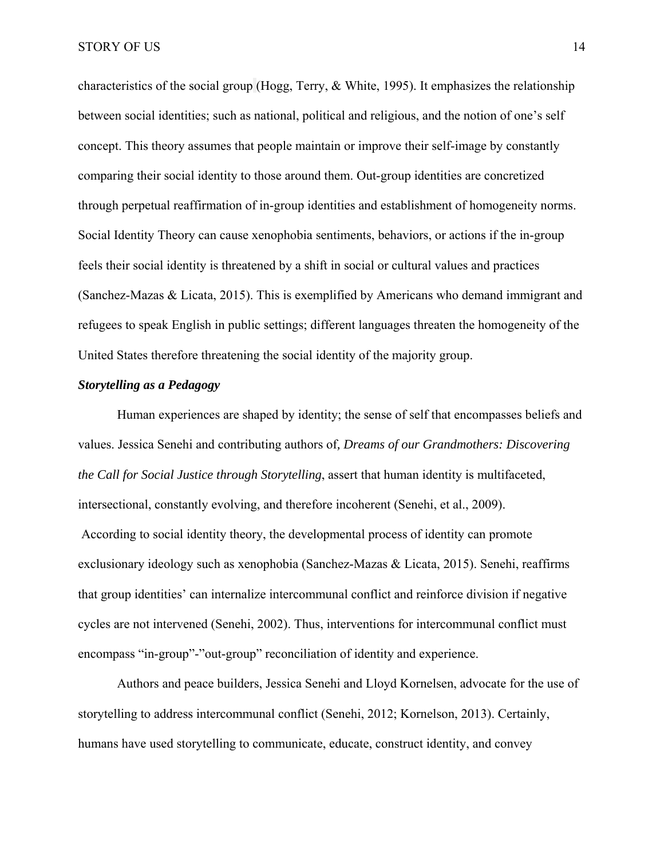characteristics of the social group (Hogg, Terry, & White, 1995). It emphasizes the relationship between social identities; such as national, political and religious, and the notion of one's self concept. This theory assumes that people maintain or improve their self-image by constantly comparing their social identity to those around them. Out-group identities are concretized through perpetual reaffirmation of in-group identities and establishment of homogeneity norms. Social Identity Theory can cause xenophobia sentiments, behaviors, or actions if the in-group feels their social identity is threatened by a shift in social or cultural values and practices (Sanchez-Mazas & Licata, 2015). This is exemplified by Americans who demand immigrant and refugees to speak English in public settings; different languages threaten the homogeneity of the United States therefore threatening the social identity of the majority group.

#### *Storytelling as a Pedagogy*

Human experiences are shaped by identity; the sense of self that encompasses beliefs and values. Jessica Senehi and contributing authors of*, Dreams of our Grandmothers: Discovering the Call for Social Justice through Storytelling*, assert that human identity is multifaceted, intersectional, constantly evolving, and therefore incoherent (Senehi, et al., 2009). According to social identity theory, the developmental process of identity can promote exclusionary ideology such as xenophobia (Sanchez-Mazas & Licata, 2015). Senehi, reaffirms that group identities' can internalize intercommunal conflict and reinforce division if negative cycles are not intervened (Senehi, 2002). Thus, interventions for intercommunal conflict must encompass "in-group"-"out-group" reconciliation of identity and experience.

 Authors and peace builders, Jessica Senehi and Lloyd Kornelsen, advocate for the use of storytelling to address intercommunal conflict (Senehi, 2012; Kornelson, 2013). Certainly, humans have used storytelling to communicate, educate, construct identity, and convey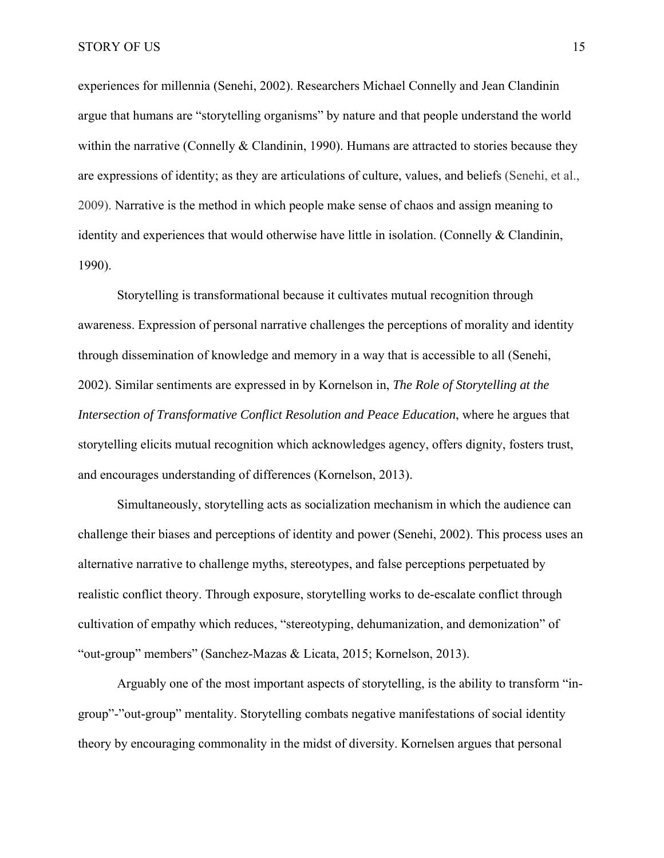experiences for millennia (Senehi, 2002). Researchers Michael Connelly and Jean Clandinin argue that humans are "storytelling organisms" by nature and that people understand the world within the narrative (Connelly  $&$  Clandinin, 1990). Humans are attracted to stories because they are expressions of identity; as they are articulations of culture, values, and beliefs (Senehi, et al., 2009). Narrative is the method in which people make sense of chaos and assign meaning to identity and experiences that would otherwise have little in isolation. (Connelly & Clandinin, 1990).

Storytelling is transformational because it cultivates mutual recognition through awareness. Expression of personal narrative challenges the perceptions of morality and identity through dissemination of knowledge and memory in a way that is accessible to all (Senehi, 2002). Similar sentiments are expressed in by Kornelson in, *The Role of Storytelling at the Intersection of Transformative Conflict Resolution and Peace Education*, where he argues that storytelling elicits mutual recognition which acknowledges agency, offers dignity, fosters trust, and encourages understanding of differences (Kornelson, 2013).

Simultaneously, storytelling acts as socialization mechanism in which the audience can challenge their biases and perceptions of identity and power (Senehi, 2002). This process uses an alternative narrative to challenge myths, stereotypes, and false perceptions perpetuated by realistic conflict theory. Through exposure, storytelling works to de-escalate conflict through cultivation of empathy which reduces, "stereotyping, dehumanization, and demonization" of "out-group" members" (Sanchez-Mazas & Licata, 2015; Kornelson, 2013).

Arguably one of the most important aspects of storytelling, is the ability to transform "ingroup"-"out-group" mentality. Storytelling combats negative manifestations of social identity theory by encouraging commonality in the midst of diversity. Kornelsen argues that personal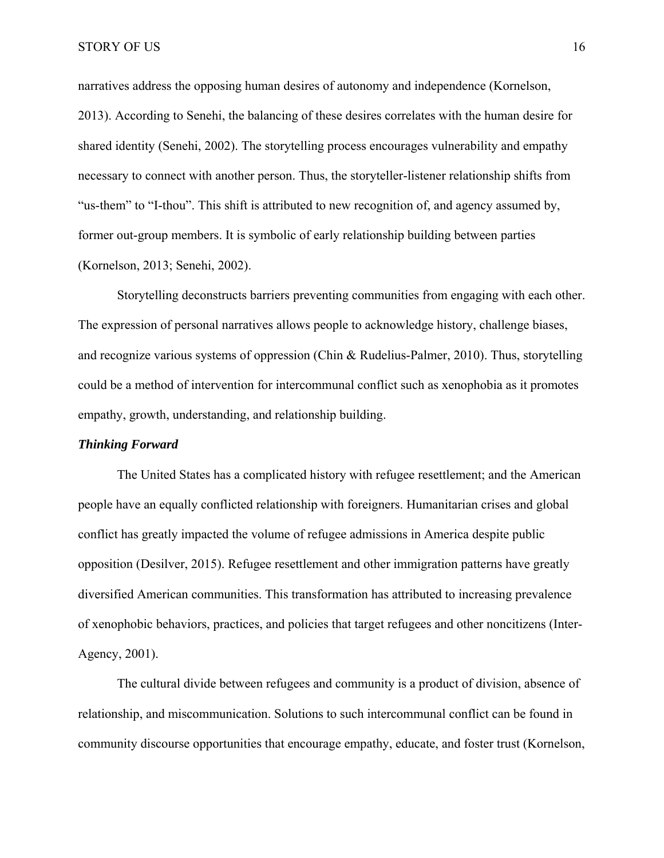narratives address the opposing human desires of autonomy and independence (Kornelson, 2013). According to Senehi, the balancing of these desires correlates with the human desire for shared identity (Senehi, 2002). The storytelling process encourages vulnerability and empathy necessary to connect with another person. Thus, the storyteller-listener relationship shifts from "us-them" to "I-thou". This shift is attributed to new recognition of, and agency assumed by, former out-group members. It is symbolic of early relationship building between parties (Kornelson, 2013; Senehi, 2002).

Storytelling deconstructs barriers preventing communities from engaging with each other. The expression of personal narratives allows people to acknowledge history, challenge biases, and recognize various systems of oppression (Chin & Rudelius-Palmer, 2010). Thus, storytelling could be a method of intervention for intercommunal conflict such as xenophobia as it promotes empathy, growth, understanding, and relationship building.

#### *Thinking Forward*

The United States has a complicated history with refugee resettlement; and the American people have an equally conflicted relationship with foreigners. Humanitarian crises and global conflict has greatly impacted the volume of refugee admissions in America despite public opposition (Desilver, 2015). Refugee resettlement and other immigration patterns have greatly diversified American communities. This transformation has attributed to increasing prevalence of xenophobic behaviors, practices, and policies that target refugees and other noncitizens (Inter-Agency, 2001).

 The cultural divide between refugees and community is a product of division, absence of relationship, and miscommunication. Solutions to such intercommunal conflict can be found in community discourse opportunities that encourage empathy, educate, and foster trust (Kornelson,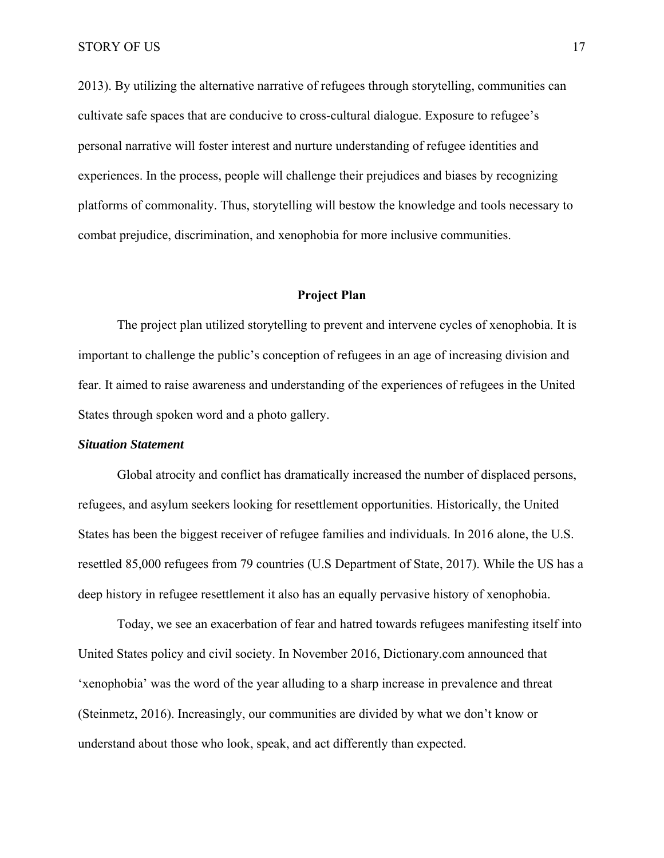2013). By utilizing the alternative narrative of refugees through storytelling, communities can cultivate safe spaces that are conducive to cross-cultural dialogue. Exposure to refugee's personal narrative will foster interest and nurture understanding of refugee identities and experiences. In the process, people will challenge their prejudices and biases by recognizing platforms of commonality. Thus, storytelling will bestow the knowledge and tools necessary to combat prejudice, discrimination, and xenophobia for more inclusive communities.

#### **Project Plan**

The project plan utilized storytelling to prevent and intervene cycles of xenophobia. It is important to challenge the public's conception of refugees in an age of increasing division and fear. It aimed to raise awareness and understanding of the experiences of refugees in the United States through spoken word and a photo gallery.

#### *Situation Statement*

Global atrocity and conflict has dramatically increased the number of displaced persons, refugees, and asylum seekers looking for resettlement opportunities. Historically, the United States has been the biggest receiver of refugee families and individuals. In 2016 alone, the U.S. resettled 85,000 refugees from 79 countries (U.S Department of State, 2017). While the US has a deep history in refugee resettlement it also has an equally pervasive history of xenophobia.

Today, we see an exacerbation of fear and hatred towards refugees manifesting itself into United States policy and civil society. In November 2016, Dictionary.com announced that 'xenophobia' was the word of the year alluding to a sharp increase in prevalence and threat (Steinmetz, 2016). Increasingly, our communities are divided by what we don't know or understand about those who look, speak, and act differently than expected.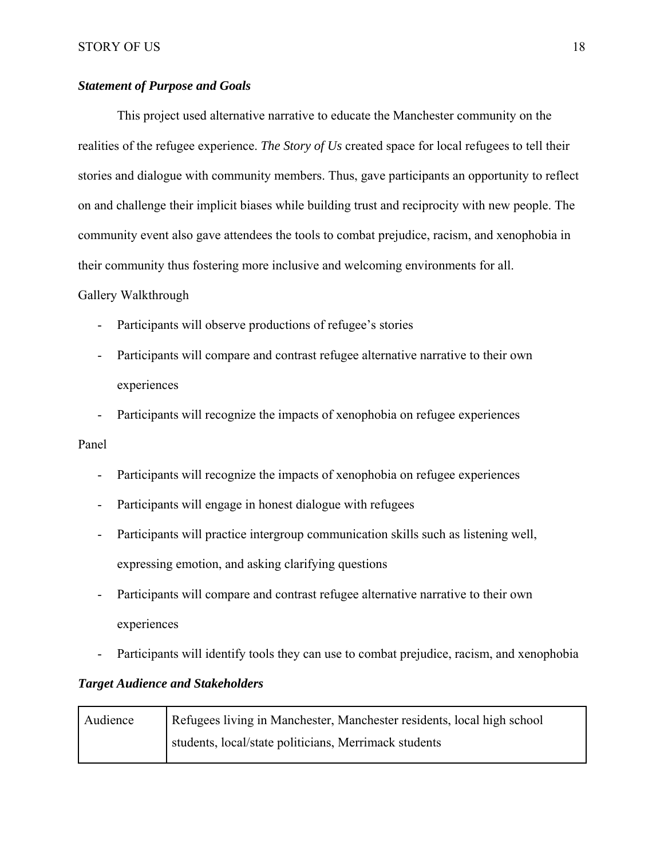## *Statement of Purpose and Goals*

This project used alternative narrative to educate the Manchester community on the realities of the refugee experience. *The Story of Us* created space for local refugees to tell their stories and dialogue with community members. Thus, gave participants an opportunity to reflect on and challenge their implicit biases while building trust and reciprocity with new people. The community event also gave attendees the tools to combat prejudice, racism, and xenophobia in their community thus fostering more inclusive and welcoming environments for all.

## Gallery Walkthrough

- Participants will observe productions of refugee's stories
- Participants will compare and contrast refugee alternative narrative to their own experiences
- Participants will recognize the impacts of xenophobia on refugee experiences

## Panel

- Participants will recognize the impacts of xenophobia on refugee experiences
- Participants will engage in honest dialogue with refugees
- Participants will practice intergroup communication skills such as listening well, expressing emotion, and asking clarifying questions
- Participants will compare and contrast refugee alternative narrative to their own experiences
- Participants will identify tools they can use to combat prejudice, racism, and xenophobia

## *Target Audience and Stakeholders*

| Audience | Refugees living in Manchester, Manchester residents, local high school |  |  |
|----------|------------------------------------------------------------------------|--|--|
|          | students, local/state politicians, Merrimack students                  |  |  |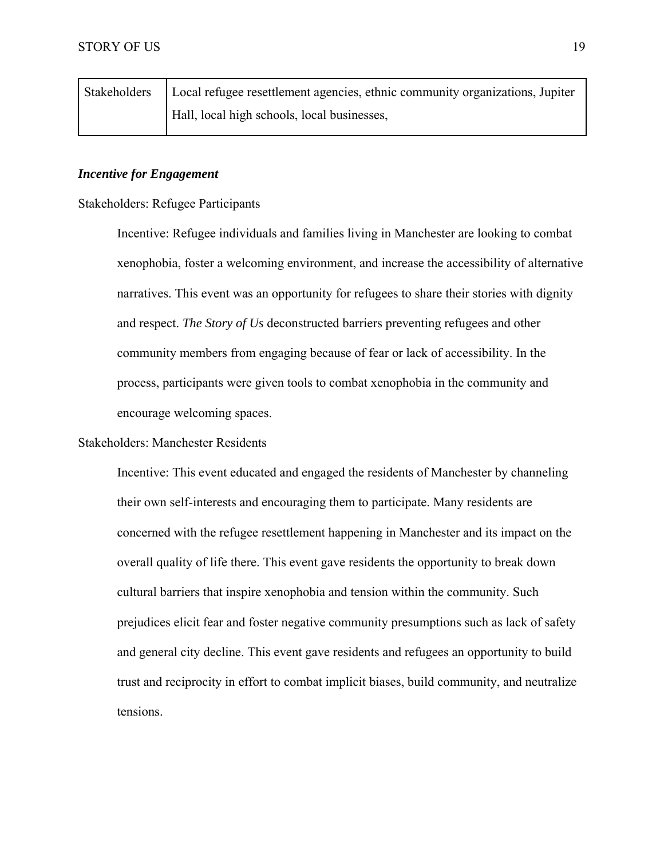| Stakeholders   Local refugee resettlement agencies, ethnic community organizations, Jupiter |
|---------------------------------------------------------------------------------------------|
| Hall, local high schools, local businesses,                                                 |

## *Incentive for Engagement*

Stakeholders: Refugee Participants

Incentive: Refugee individuals and families living in Manchester are looking to combat xenophobia, foster a welcoming environment, and increase the accessibility of alternative narratives. This event was an opportunity for refugees to share their stories with dignity and respect. *The Story of Us* deconstructed barriers preventing refugees and other community members from engaging because of fear or lack of accessibility. In the process, participants were given tools to combat xenophobia in the community and encourage welcoming spaces.

#### Stakeholders: Manchester Residents

Incentive: This event educated and engaged the residents of Manchester by channeling their own self-interests and encouraging them to participate. Many residents are concerned with the refugee resettlement happening in Manchester and its impact on the overall quality of life there. This event gave residents the opportunity to break down cultural barriers that inspire xenophobia and tension within the community. Such prejudices elicit fear and foster negative community presumptions such as lack of safety and general city decline. This event gave residents and refugees an opportunity to build trust and reciprocity in effort to combat implicit biases, build community, and neutralize tensions.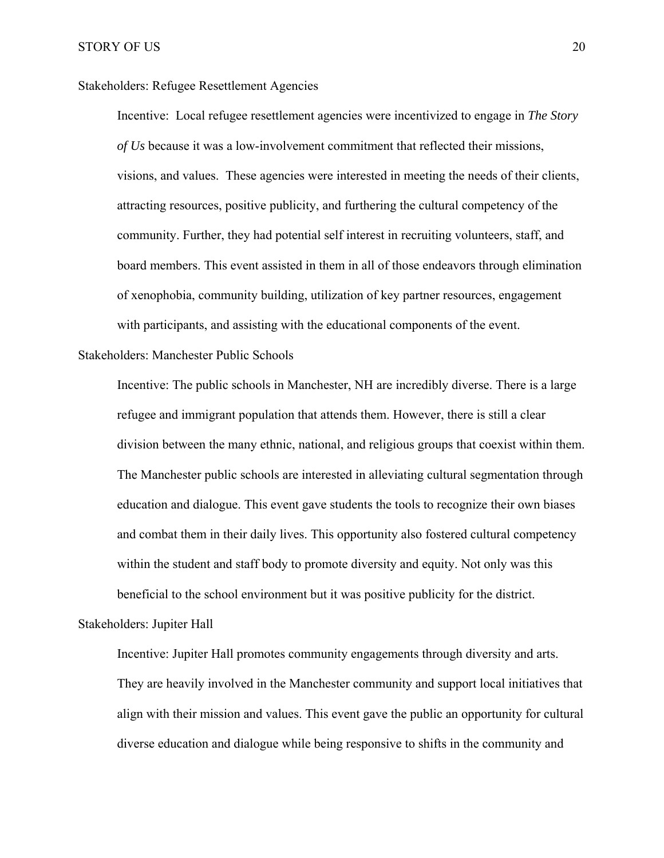Stakeholders: Refugee Resettlement Agencies

Incentive: Local refugee resettlement agencies were incentivized to engage in *The Story of Us* because it was a low-involvement commitment that reflected their missions, visions, and values. These agencies were interested in meeting the needs of their clients, attracting resources, positive publicity, and furthering the cultural competency of the community. Further, they had potential self interest in recruiting volunteers, staff, and board members. This event assisted in them in all of those endeavors through elimination of xenophobia, community building, utilization of key partner resources, engagement with participants, and assisting with the educational components of the event.

Stakeholders: Manchester Public Schools

Incentive: The public schools in Manchester, NH are incredibly diverse. There is a large refugee and immigrant population that attends them. However, there is still a clear division between the many ethnic, national, and religious groups that coexist within them. The Manchester public schools are interested in alleviating cultural segmentation through education and dialogue. This event gave students the tools to recognize their own biases and combat them in their daily lives. This opportunity also fostered cultural competency within the student and staff body to promote diversity and equity. Not only was this beneficial to the school environment but it was positive publicity for the district.

Stakeholders: Jupiter Hall

Incentive: Jupiter Hall promotes community engagements through diversity and arts. They are heavily involved in the Manchester community and support local initiatives that align with their mission and values. This event gave the public an opportunity for cultural diverse education and dialogue while being responsive to shifts in the community and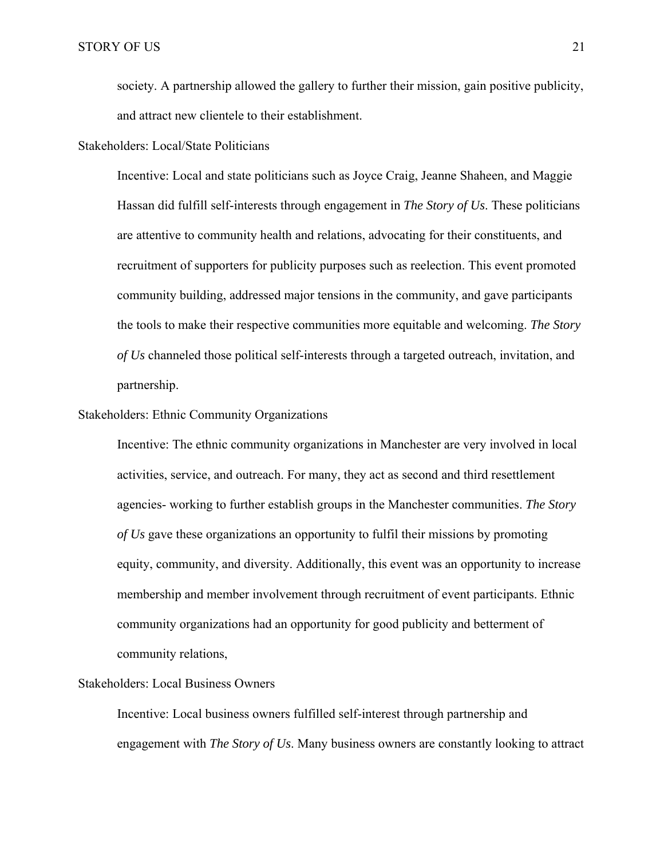society. A partnership allowed the gallery to further their mission, gain positive publicity, and attract new clientele to their establishment.

Stakeholders: Local/State Politicians

Incentive: Local and state politicians such as Joyce Craig, Jeanne Shaheen, and Maggie Hassan did fulfill self-interests through engagement in *The Story of Us*. These politicians are attentive to community health and relations, advocating for their constituents, and recruitment of supporters for publicity purposes such as reelection. This event promoted community building, addressed major tensions in the community, and gave participants the tools to make their respective communities more equitable and welcoming. *The Story of Us* channeled those political self-interests through a targeted outreach, invitation, and partnership.

Stakeholders: Ethnic Community Organizations

Incentive: The ethnic community organizations in Manchester are very involved in local activities, service, and outreach. For many, they act as second and third resettlement agencies- working to further establish groups in the Manchester communities. *The Story of Us* gave these organizations an opportunity to fulfil their missions by promoting equity, community, and diversity. Additionally, this event was an opportunity to increase membership and member involvement through recruitment of event participants. Ethnic community organizations had an opportunity for good publicity and betterment of community relations,

#### Stakeholders: Local Business Owners

Incentive: Local business owners fulfilled self-interest through partnership and engagement with *The Story of Us*. Many business owners are constantly looking to attract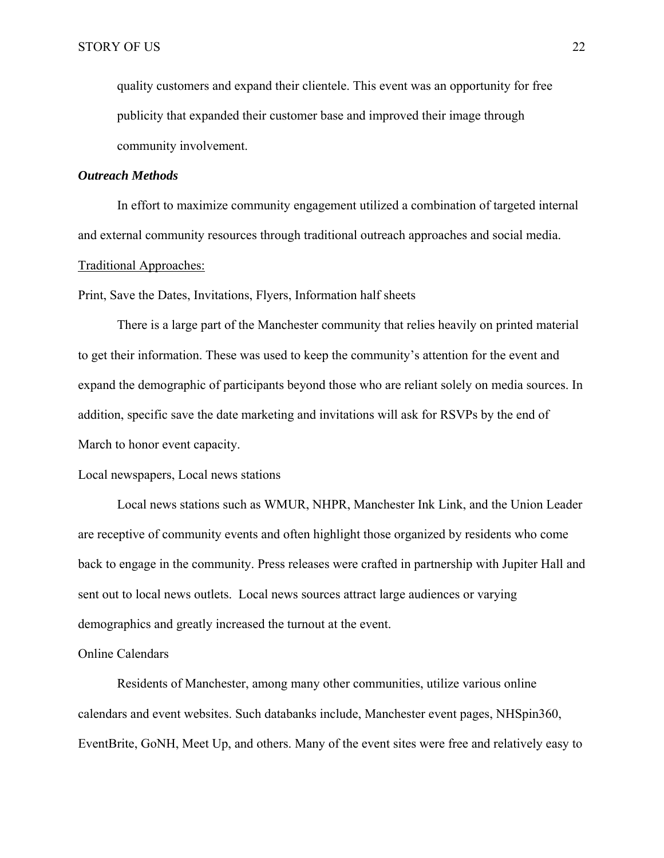quality customers and expand their clientele. This event was an opportunity for free publicity that expanded their customer base and improved their image through community involvement.

#### *Outreach Methods*

 In effort to maximize community engagement utilized a combination of targeted internal and external community resources through traditional outreach approaches and social media.

#### Traditional Approaches:

Print, Save the Dates, Invitations, Flyers, Information half sheets

 There is a large part of the Manchester community that relies heavily on printed material to get their information. These was used to keep the community's attention for the event and expand the demographic of participants beyond those who are reliant solely on media sources. In addition, specific save the date marketing and invitations will ask for RSVPs by the end of March to honor event capacity.

#### Local newspapers, Local news stations

 Local news stations such as WMUR, NHPR, Manchester Ink Link, and the Union Leader are receptive of community events and often highlight those organized by residents who come back to engage in the community. Press releases were crafted in partnership with Jupiter Hall and sent out to local news outlets. Local news sources attract large audiences or varying demographics and greatly increased the turnout at the event.

#### Online Calendars

 Residents of Manchester, among many other communities, utilize various online calendars and event websites. Such databanks include, Manchester event pages, NHSpin360, EventBrite, GoNH, Meet Up, and others. Many of the event sites were free and relatively easy to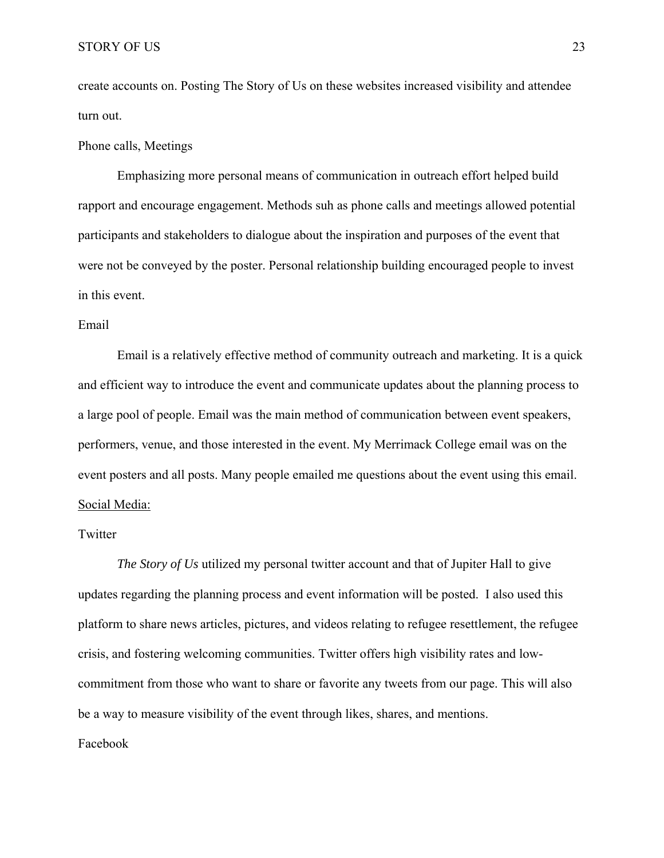create accounts on. Posting The Story of Us on these websites increased visibility and attendee turn out.

#### Phone calls, Meetings

 Emphasizing more personal means of communication in outreach effort helped build rapport and encourage engagement. Methods suh as phone calls and meetings allowed potential participants and stakeholders to dialogue about the inspiration and purposes of the event that were not be conveyed by the poster. Personal relationship building encouraged people to invest in this event.

#### Email

 Email is a relatively effective method of community outreach and marketing. It is a quick and efficient way to introduce the event and communicate updates about the planning process to a large pool of people. Email was the main method of communication between event speakers, performers, venue, and those interested in the event. My Merrimack College email was on the event posters and all posts. Many people emailed me questions about the event using this email. Social Media:

#### Twitter

*The Story of Us* utilized my personal twitter account and that of Jupiter Hall to give updates regarding the planning process and event information will be posted. I also used this platform to share news articles, pictures, and videos relating to refugee resettlement, the refugee crisis, and fostering welcoming communities. Twitter offers high visibility rates and lowcommitment from those who want to share or favorite any tweets from our page. This will also be a way to measure visibility of the event through likes, shares, and mentions. Facebook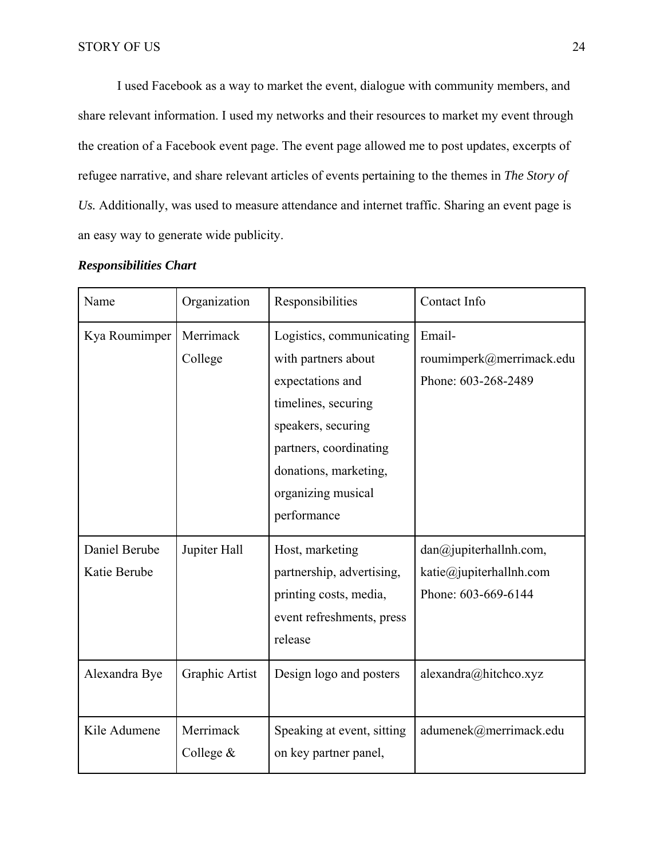I used Facebook as a way to market the event, dialogue with community members, and share relevant information. I used my networks and their resources to market my event through the creation of a Facebook event page. The event page allowed me to post updates, excerpts of refugee narrative, and share relevant articles of events pertaining to the themes in *The Story of Us.* Additionally, was used to measure attendance and internet traffic. Sharing an event page is an easy way to generate wide publicity.

| Name                          | Organization             | Responsibilities                                                                                                                                                                                         | Contact Info                                                             |
|-------------------------------|--------------------------|----------------------------------------------------------------------------------------------------------------------------------------------------------------------------------------------------------|--------------------------------------------------------------------------|
| Kya Roumimper                 | Merrimack<br>College     | Logistics, communicating<br>with partners about<br>expectations and<br>timelines, securing<br>speakers, securing<br>partners, coordinating<br>donations, marketing,<br>organizing musical<br>performance | Email-<br>roumimperk@merrimack.edu<br>Phone: 603-268-2489                |
| Daniel Berube<br>Katie Berube | Jupiter Hall             | Host, marketing<br>partnership, advertising,<br>printing costs, media,<br>event refreshments, press<br>release                                                                                           | dan@jupiterhallnh.com,<br>katie@jupiterhallnh.com<br>Phone: 603-669-6144 |
| Alexandra Bye                 | Graphic Artist           | Design logo and posters                                                                                                                                                                                  | alexandra@hitchco.xyz                                                    |
| Kile Adumene                  | Merrimack<br>College $&$ | Speaking at event, sitting<br>on key partner panel,                                                                                                                                                      | adumenek@merrimack.edu                                                   |

## *Responsibilities Chart*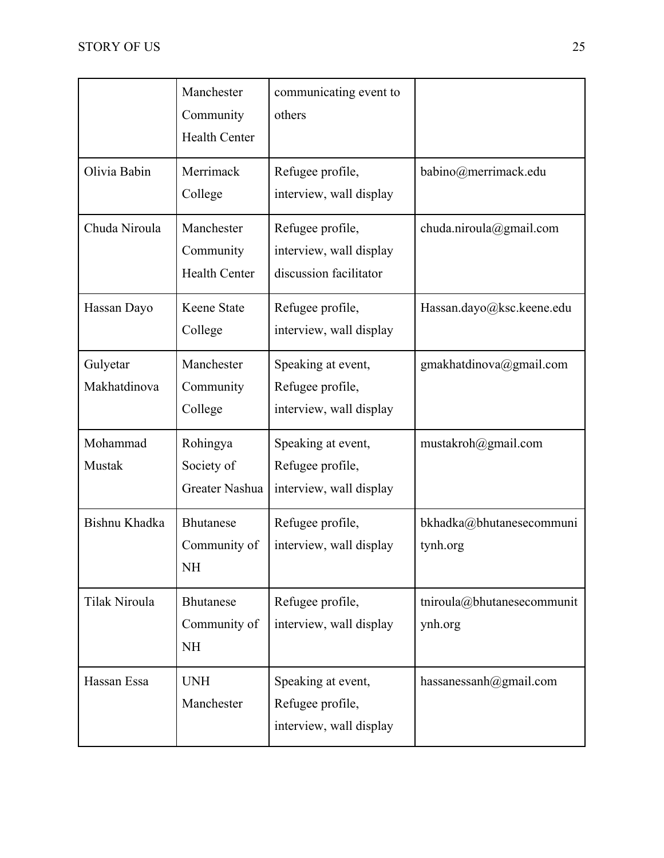|                          | Manchester<br>Community<br><b>Health Center</b> | communicating event to<br>others                                      |                                       |
|--------------------------|-------------------------------------------------|-----------------------------------------------------------------------|---------------------------------------|
| Olivia Babin             | Merrimack<br>College                            | Refugee profile,<br>interview, wall display                           | babino@merrimack.edu                  |
| Chuda Niroula            | Manchester<br>Community<br><b>Health Center</b> | Refugee profile,<br>interview, wall display<br>discussion facilitator | chuda.niroula@gmail.com               |
| Hassan Dayo              | Keene State<br>College                          | Refugee profile,<br>interview, wall display                           | Hassan.dayo@ksc.keene.edu             |
| Gulyetar<br>Makhatdinova | Manchester<br>Community<br>College              | Speaking at event,<br>Refugee profile,<br>interview, wall display     | gmakhatdinova@gmail.com               |
| Mohammad<br>Mustak       | Rohingya<br>Society of<br>Greater Nashua        | Speaking at event,<br>Refugee profile,<br>interview, wall display     | mustakroh@gmail.com                   |
| Bishnu Khadka            | <b>Bhutanese</b><br>Community of<br><b>NH</b>   | Refugee profile,<br>interview, wall display                           | bkhadka@bhutanesecommuni<br>tynh.org  |
| Tilak Niroula            | <b>Bhutanese</b><br>Community of<br><b>NH</b>   | Refugee profile,<br>interview, wall display                           | tniroula@bhutanesecommunit<br>ynh.org |
| Hassan Essa              | <b>UNH</b><br>Manchester                        | Speaking at event,<br>Refugee profile,<br>interview, wall display     | hassanessanh@gmail.com                |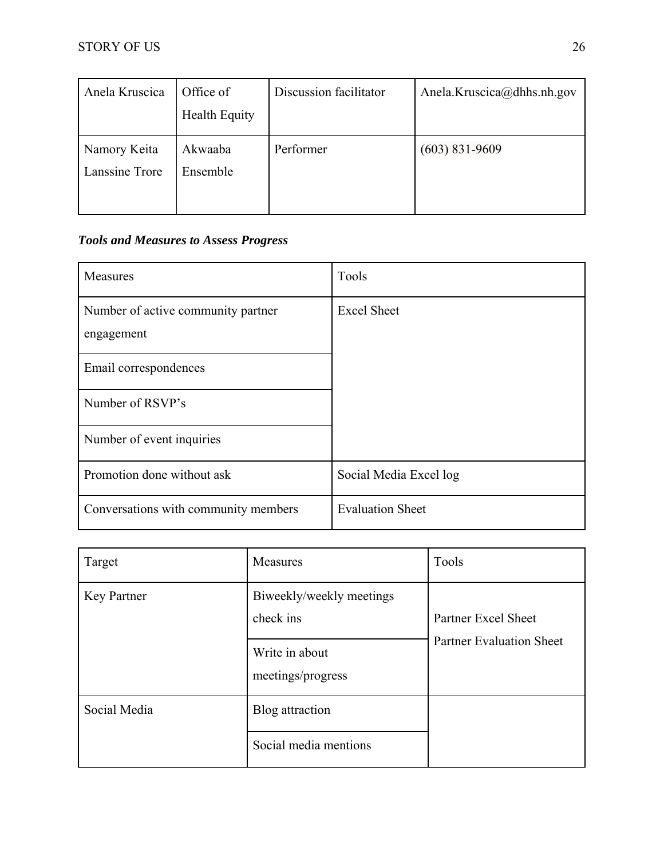| Anela Kruscica                 | Office of<br><b>Health Equity</b> | Discussion facilitator | Anela.Kruscica@dhhs.nh.gov |
|--------------------------------|-----------------------------------|------------------------|----------------------------|
| Namory Keita<br>Lanssine Trore | Akwaaba<br>Ensemble               | Performer              | $(603)$ 831-9609           |

## *Tools and Measures to Assess Progress*

| <b>Measures</b>                                  | Tools                   |
|--------------------------------------------------|-------------------------|
| Number of active community partner<br>engagement | <b>Excel Sheet</b>      |
| Email correspondences                            |                         |
| Number of RSVP's                                 |                         |
| Number of event inquiries                        |                         |
| Promotion done without ask                       | Social Media Excel log  |
| Conversations with community members             | <b>Evaluation Sheet</b> |

| Target             | Measures                              | Tools                           |  |
|--------------------|---------------------------------------|---------------------------------|--|
| <b>Key Partner</b> | Biweekly/weekly meetings<br>check ins | Partner Excel Sheet             |  |
|                    | Write in about<br>meetings/progress   | <b>Partner Evaluation Sheet</b> |  |
| Social Media       | Blog attraction                       |                                 |  |
|                    | Social media mentions                 |                                 |  |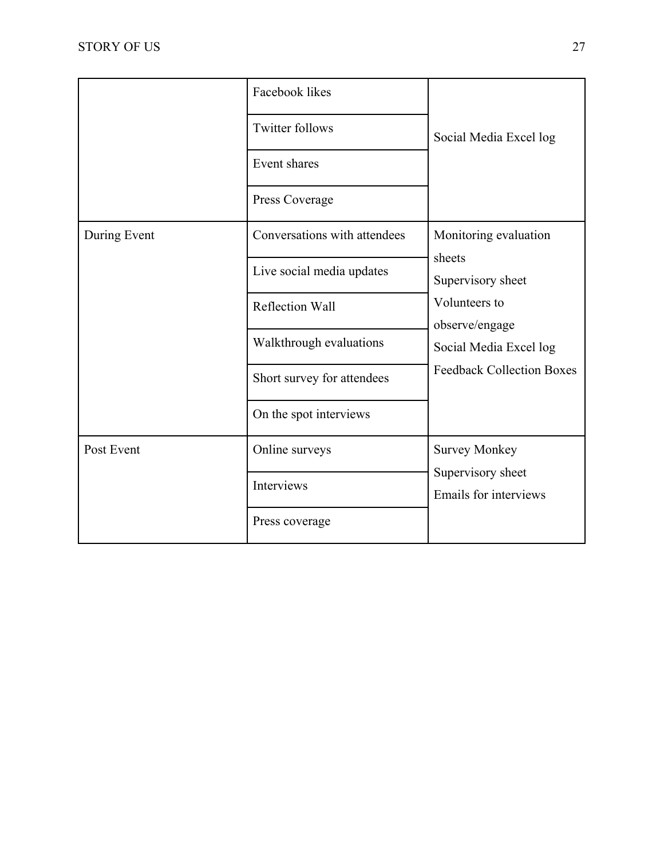|              | Facebook likes               |                                                                           |
|--------------|------------------------------|---------------------------------------------------------------------------|
|              | <b>Twitter follows</b>       | Social Media Excel log                                                    |
|              | Event shares                 |                                                                           |
|              | Press Coverage               |                                                                           |
| During Event | Conversations with attendees | Monitoring evaluation                                                     |
|              | Live social media updates    | sheets<br>Supervisory sheet                                               |
|              | Reflection Wall              | Volunteers to<br>observe/engage                                           |
|              | Walkthrough evaluations      | Social Media Excel log                                                    |
|              | Short survey for attendees   | <b>Feedback Collection Boxes</b>                                          |
|              | On the spot interviews       |                                                                           |
| Post Event   | Online surveys               | <b>Survey Monkey</b><br>Supervisory sheet<br><b>Emails for interviews</b> |
|              | Interviews                   |                                                                           |
|              | Press coverage               |                                                                           |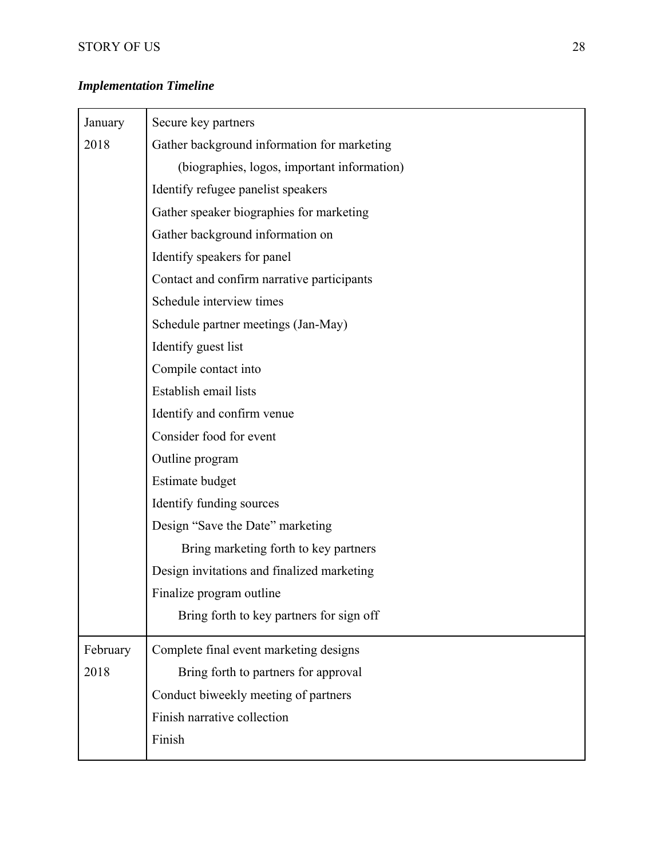# *Implementation Timeline*

| January  | Secure key partners                         |
|----------|---------------------------------------------|
| 2018     | Gather background information for marketing |
|          | (biographies, logos, important information) |
|          | Identify refugee panelist speakers          |
|          | Gather speaker biographies for marketing    |
|          | Gather background information on            |
|          | Identify speakers for panel                 |
|          | Contact and confirm narrative participants  |
|          | Schedule interview times                    |
|          | Schedule partner meetings (Jan-May)         |
|          | Identify guest list                         |
|          | Compile contact into                        |
|          | Establish email lists                       |
|          | Identify and confirm venue                  |
|          | Consider food for event                     |
|          | Outline program                             |
|          | Estimate budget                             |
|          | Identify funding sources                    |
|          | Design "Save the Date" marketing            |
|          | Bring marketing forth to key partners       |
|          | Design invitations and finalized marketing  |
|          | Finalize program outline                    |
|          | Bring forth to key partners for sign off    |
| February | Complete final event marketing designs      |
| 2018     | Bring forth to partners for approval        |
|          | Conduct biweekly meeting of partners        |
|          | Finish narrative collection                 |
|          | Finish                                      |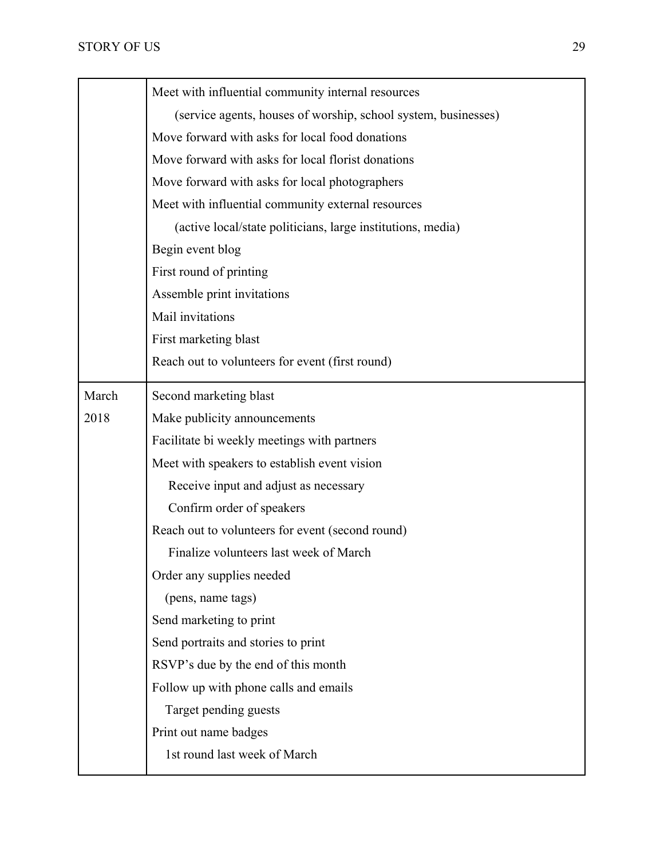|       | Meet with influential community internal resources             |
|-------|----------------------------------------------------------------|
|       | (service agents, houses of worship, school system, businesses) |
|       | Move forward with asks for local food donations                |
|       | Move forward with asks for local florist donations             |
|       | Move forward with asks for local photographers                 |
|       | Meet with influential community external resources             |
|       | (active local/state politicians, large institutions, media)    |
|       | Begin event blog                                               |
|       | First round of printing                                        |
|       | Assemble print invitations                                     |
|       | Mail invitations                                               |
|       | First marketing blast                                          |
|       | Reach out to volunteers for event (first round)                |
| March | Second marketing blast                                         |
| 2018  | Make publicity announcements                                   |
|       | Facilitate bi weekly meetings with partners                    |
|       | Meet with speakers to establish event vision                   |
|       | Receive input and adjust as necessary                          |
|       | Confirm order of speakers                                      |
|       | Reach out to volunteers for event (second round)               |
|       | Finalize volunteers last week of March                         |
|       | Order any supplies needed                                      |
|       | (pens, name tags)                                              |
|       | Send marketing to print                                        |
|       | Send portraits and stories to print                            |
|       | RSVP's due by the end of this month                            |
|       | Follow up with phone calls and emails                          |
|       | Target pending guests                                          |
|       | Print out name badges                                          |
|       | 1st round last week of March                                   |
|       |                                                                |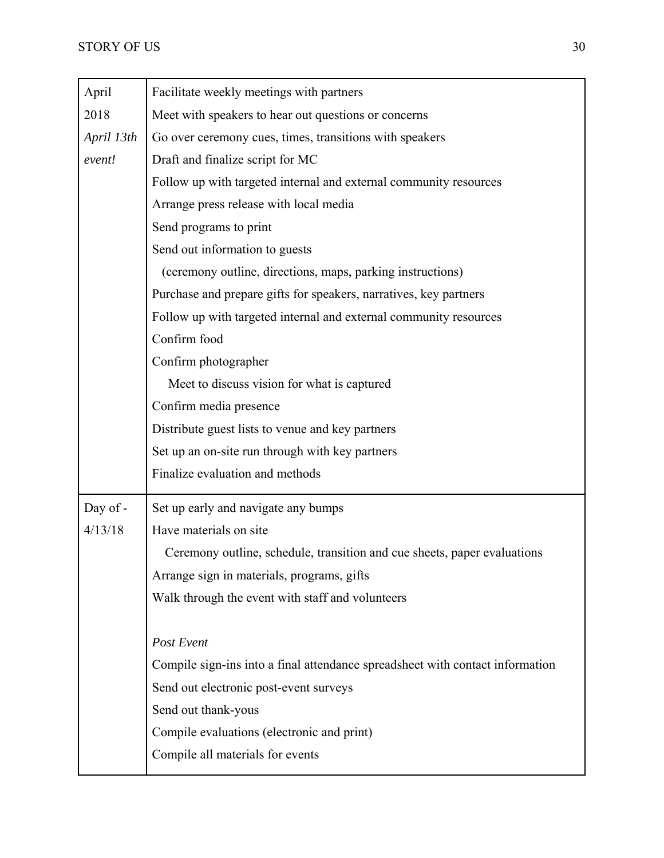| April      | Facilitate weekly meetings with partners                                      |
|------------|-------------------------------------------------------------------------------|
| 2018       | Meet with speakers to hear out questions or concerns                          |
| April 13th | Go over ceremony cues, times, transitions with speakers                       |
| event!     | Draft and finalize script for MC                                              |
|            | Follow up with targeted internal and external community resources             |
|            | Arrange press release with local media                                        |
|            | Send programs to print                                                        |
|            | Send out information to guests                                                |
|            | (ceremony outline, directions, maps, parking instructions)                    |
|            | Purchase and prepare gifts for speakers, narratives, key partners             |
|            | Follow up with targeted internal and external community resources             |
|            | Confirm food                                                                  |
|            | Confirm photographer                                                          |
|            | Meet to discuss vision for what is captured                                   |
|            | Confirm media presence                                                        |
|            | Distribute guest lists to venue and key partners                              |
|            | Set up an on-site run through with key partners                               |
|            | Finalize evaluation and methods                                               |
| Day of -   | Set up early and navigate any bumps                                           |
| 4/13/18    | Have materials on site                                                        |
|            | Ceremony outline, schedule, transition and cue sheets, paper evaluations      |
|            | Arrange sign in materials, programs, gifts                                    |
|            | Walk through the event with staff and volunteers                              |
|            |                                                                               |
|            | Post Event                                                                    |
|            | Compile sign-ins into a final attendance spreadsheet with contact information |
|            | Send out electronic post-event surveys                                        |
|            | Send out thank-yous                                                           |
|            | Compile evaluations (electronic and print)                                    |
|            | Compile all materials for events                                              |
|            |                                                                               |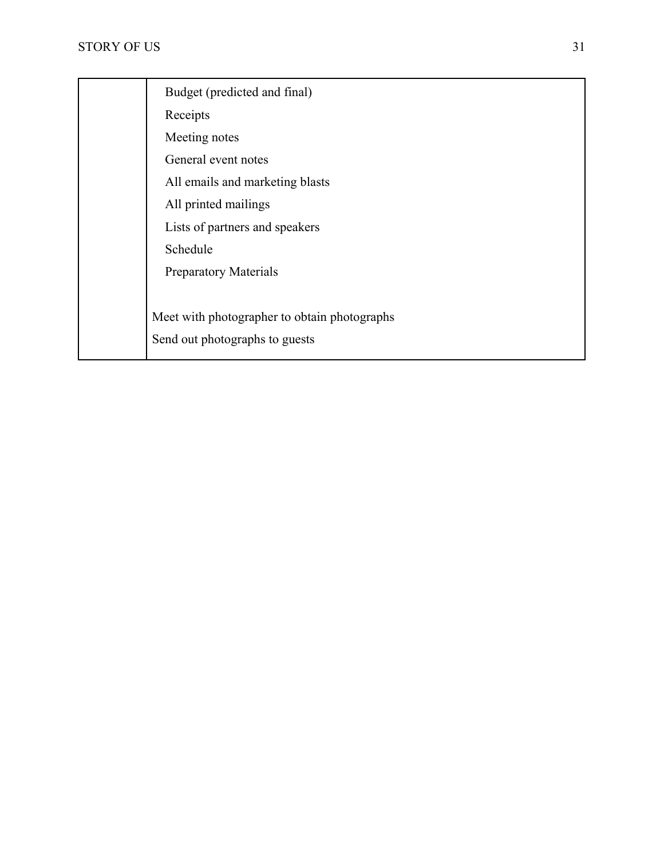┱

| Budget (predicted and final)                 |
|----------------------------------------------|
| Receipts                                     |
| Meeting notes                                |
| General event notes                          |
| All emails and marketing blasts              |
| All printed mailings                         |
| Lists of partners and speakers               |
| Schedule                                     |
| <b>Preparatory Materials</b>                 |
|                                              |
| Meet with photographer to obtain photographs |
| Send out photographs to guests               |
|                                              |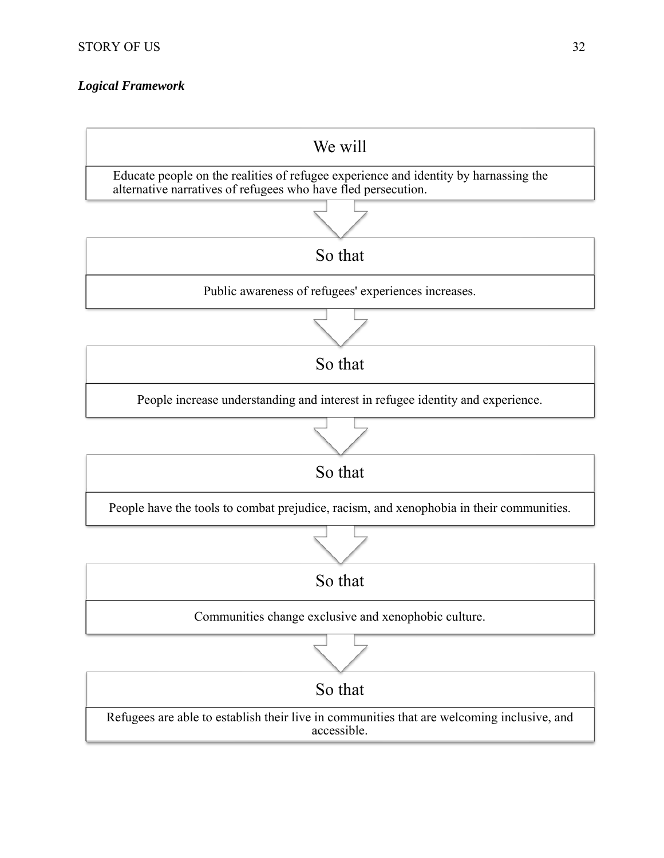# *Logical Framework*

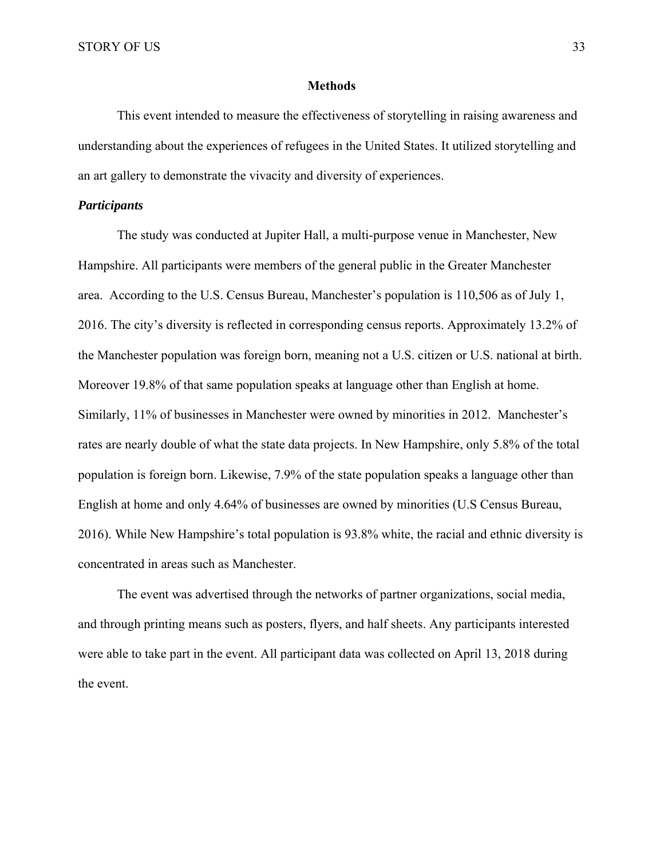#### **Methods**

 This event intended to measure the effectiveness of storytelling in raising awareness and understanding about the experiences of refugees in the United States. It utilized storytelling and an art gallery to demonstrate the vivacity and diversity of experiences.

# *Participants*

 The study was conducted at Jupiter Hall, a multi-purpose venue in Manchester, New Hampshire. All participants were members of the general public in the Greater Manchester area. According to the U.S. Census Bureau, Manchester's population is 110,506 as of July 1, 2016. The city's diversity is reflected in corresponding census reports. Approximately 13.2% of the Manchester population was foreign born, meaning not a U.S. citizen or U.S. national at birth. Moreover 19.8% of that same population speaks at language other than English at home. Similarly, 11% of businesses in Manchester were owned by minorities in 2012. Manchester's rates are nearly double of what the state data projects. In New Hampshire, only 5.8% of the total population is foreign born. Likewise, 7.9% of the state population speaks a language other than English at home and only 4.64% of businesses are owned by minorities (U.S Census Bureau, 2016). While New Hampshire's total population is 93.8% white, the racial and ethnic diversity is concentrated in areas such as Manchester.

 The event was advertised through the networks of partner organizations, social media, and through printing means such as posters, flyers, and half sheets. Any participants interested were able to take part in the event. All participant data was collected on April 13, 2018 during the event.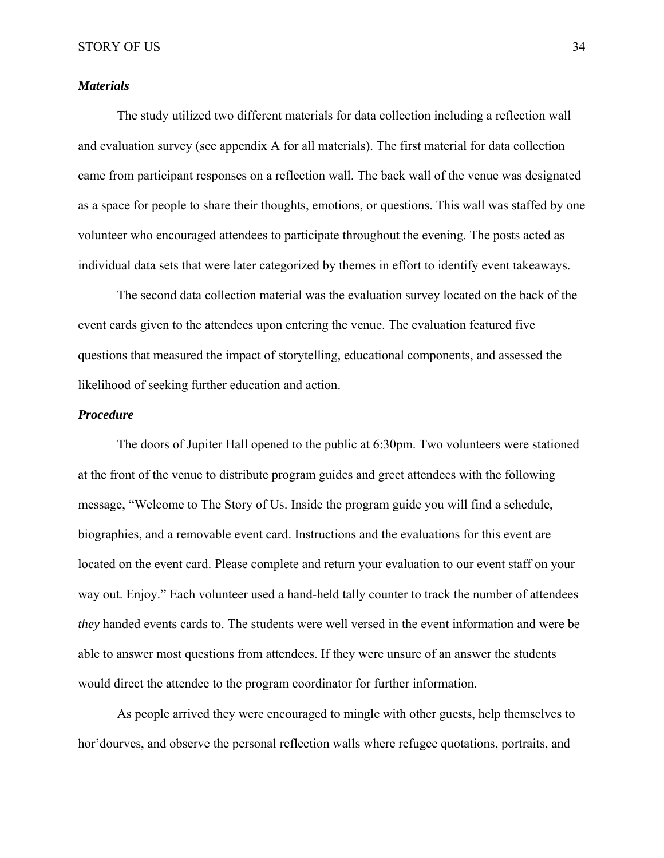#### *Materials*

 The study utilized two different materials for data collection including a reflection wall and evaluation survey (see appendix A for all materials). The first material for data collection came from participant responses on a reflection wall. The back wall of the venue was designated as a space for people to share their thoughts, emotions, or questions. This wall was staffed by one volunteer who encouraged attendees to participate throughout the evening. The posts acted as individual data sets that were later categorized by themes in effort to identify event takeaways.

 The second data collection material was the evaluation survey located on the back of the event cards given to the attendees upon entering the venue. The evaluation featured five questions that measured the impact of storytelling, educational components, and assessed the likelihood of seeking further education and action.

#### *Procedure*

The doors of Jupiter Hall opened to the public at 6:30pm. Two volunteers were stationed at the front of the venue to distribute program guides and greet attendees with the following message, "Welcome to The Story of Us. Inside the program guide you will find a schedule, biographies, and a removable event card. Instructions and the evaluations for this event are located on the event card. Please complete and return your evaluation to our event staff on your way out. Enjoy." Each volunteer used a hand-held tally counter to track the number of attendees *they* handed events cards to. The students were well versed in the event information and were be able to answer most questions from attendees. If they were unsure of an answer the students would direct the attendee to the program coordinator for further information.

As people arrived they were encouraged to mingle with other guests, help themselves to hor'dourves, and observe the personal reflection walls where refugee quotations, portraits, and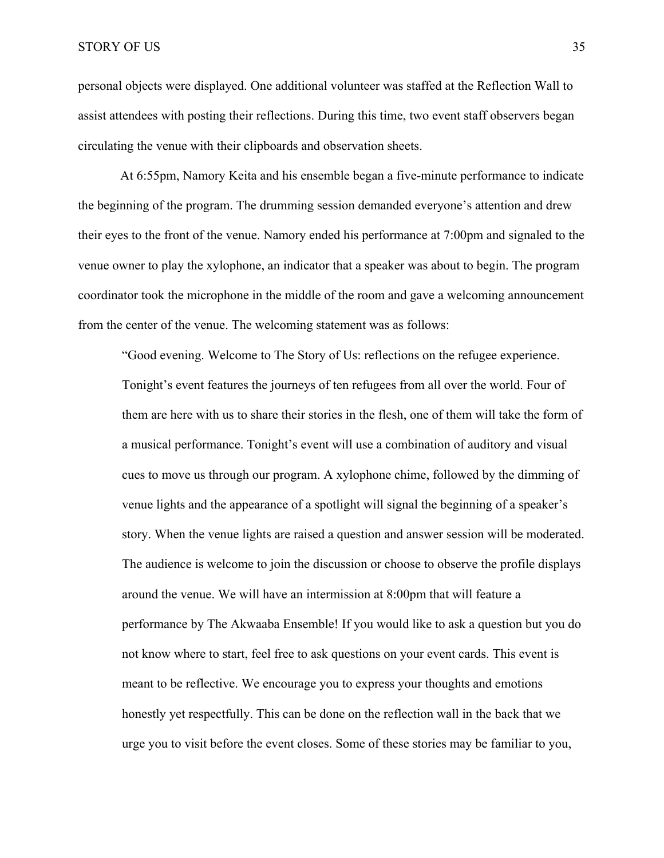personal objects were displayed. One additional volunteer was staffed at the Reflection Wall to assist attendees with posting their reflections. During this time, two event staff observers began circulating the venue with their clipboards and observation sheets.

 At 6:55pm, Namory Keita and his ensemble began a five-minute performance to indicate the beginning of the program. The drumming session demanded everyone's attention and drew their eyes to the front of the venue. Namory ended his performance at 7:00pm and signaled to the venue owner to play the xylophone, an indicator that a speaker was about to begin. The program coordinator took the microphone in the middle of the room and gave a welcoming announcement from the center of the venue. The welcoming statement was as follows:

"Good evening. Welcome to The Story of Us: reflections on the refugee experience. Tonight's event features the journeys of ten refugees from all over the world. Four of them are here with us to share their stories in the flesh, one of them will take the form of a musical performance. Tonight's event will use a combination of auditory and visual cues to move us through our program. A xylophone chime, followed by the dimming of venue lights and the appearance of a spotlight will signal the beginning of a speaker's story. When the venue lights are raised a question and answer session will be moderated. The audience is welcome to join the discussion or choose to observe the profile displays around the venue. We will have an intermission at 8:00pm that will feature a performance by The Akwaaba Ensemble! If you would like to ask a question but you do not know where to start, feel free to ask questions on your event cards. This event is meant to be reflective. We encourage you to express your thoughts and emotions honestly yet respectfully. This can be done on the reflection wall in the back that we urge you to visit before the event closes. Some of these stories may be familiar to you,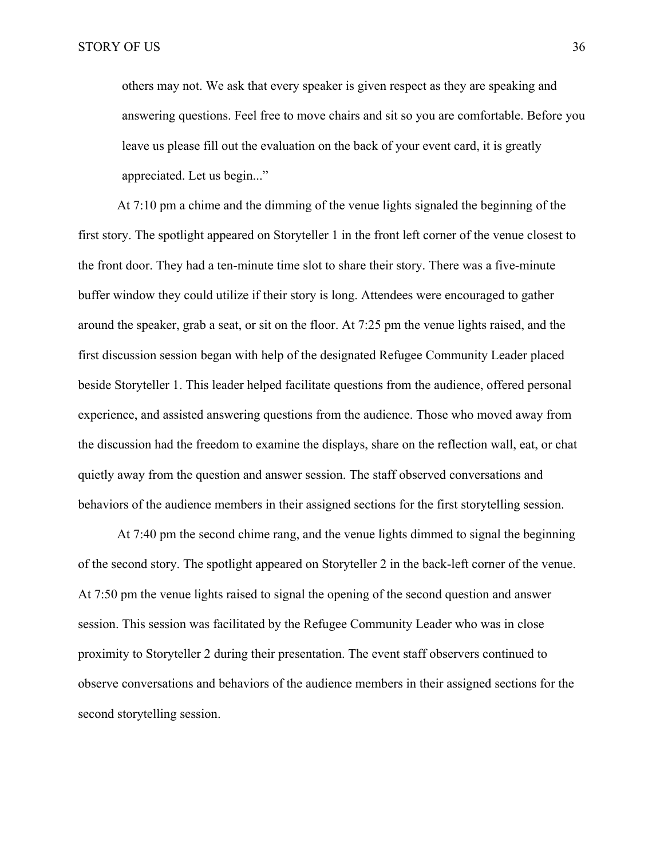others may not. We ask that every speaker is given respect as they are speaking and answering questions. Feel free to move chairs and sit so you are comfortable. Before you leave us please fill out the evaluation on the back of your event card, it is greatly appreciated. Let us begin..."

 At 7:10 pm a chime and the dimming of the venue lights signaled the beginning of the first story. The spotlight appeared on Storyteller 1 in the front left corner of the venue closest to the front door. They had a ten-minute time slot to share their story. There was a five-minute buffer window they could utilize if their story is long. Attendees were encouraged to gather around the speaker, grab a seat, or sit on the floor. At 7:25 pm the venue lights raised, and the first discussion session began with help of the designated Refugee Community Leader placed beside Storyteller 1. This leader helped facilitate questions from the audience, offered personal experience, and assisted answering questions from the audience. Those who moved away from the discussion had the freedom to examine the displays, share on the reflection wall, eat, or chat quietly away from the question and answer session. The staff observed conversations and behaviors of the audience members in their assigned sections for the first storytelling session.

 At 7:40 pm the second chime rang, and the venue lights dimmed to signal the beginning of the second story. The spotlight appeared on Storyteller 2 in the back-left corner of the venue. At 7:50 pm the venue lights raised to signal the opening of the second question and answer session. This session was facilitated by the Refugee Community Leader who was in close proximity to Storyteller 2 during their presentation. The event staff observers continued to observe conversations and behaviors of the audience members in their assigned sections for the second storytelling session.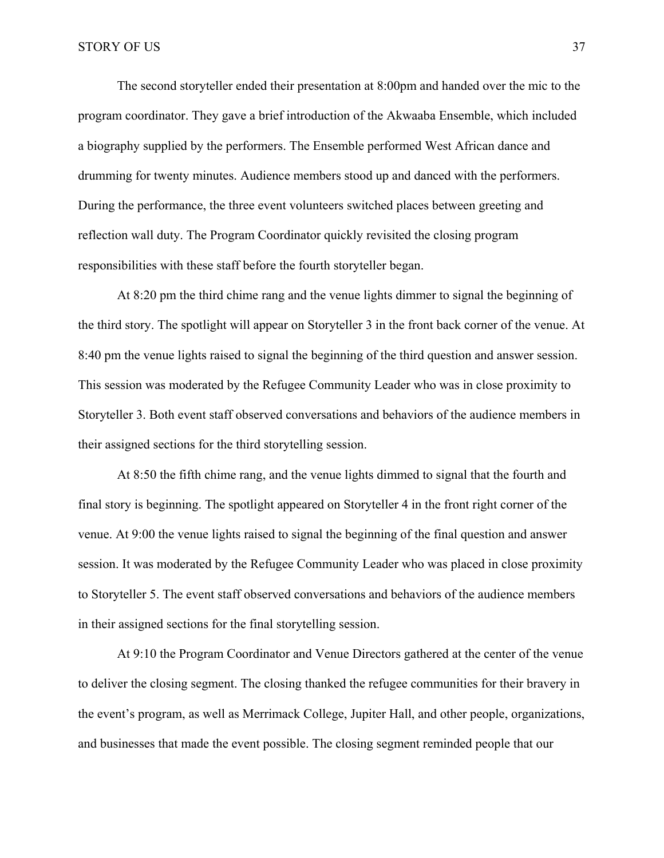The second storyteller ended their presentation at 8:00pm and handed over the mic to the program coordinator. They gave a brief introduction of the Akwaaba Ensemble, which included a biography supplied by the performers. The Ensemble performed West African dance and drumming for twenty minutes. Audience members stood up and danced with the performers. During the performance, the three event volunteers switched places between greeting and reflection wall duty. The Program Coordinator quickly revisited the closing program responsibilities with these staff before the fourth storyteller began.

At 8:20 pm the third chime rang and the venue lights dimmer to signal the beginning of the third story. The spotlight will appear on Storyteller 3 in the front back corner of the venue. At 8:40 pm the venue lights raised to signal the beginning of the third question and answer session. This session was moderated by the Refugee Community Leader who was in close proximity to Storyteller 3. Both event staff observed conversations and behaviors of the audience members in their assigned sections for the third storytelling session.

At 8:50 the fifth chime rang, and the venue lights dimmed to signal that the fourth and final story is beginning. The spotlight appeared on Storyteller 4 in the front right corner of the venue. At 9:00 the venue lights raised to signal the beginning of the final question and answer session. It was moderated by the Refugee Community Leader who was placed in close proximity to Storyteller 5. The event staff observed conversations and behaviors of the audience members in their assigned sections for the final storytelling session.

 At 9:10 the Program Coordinator and Venue Directors gathered at the center of the venue to deliver the closing segment. The closing thanked the refugee communities for their bravery in the event's program, as well as Merrimack College, Jupiter Hall, and other people, organizations, and businesses that made the event possible. The closing segment reminded people that our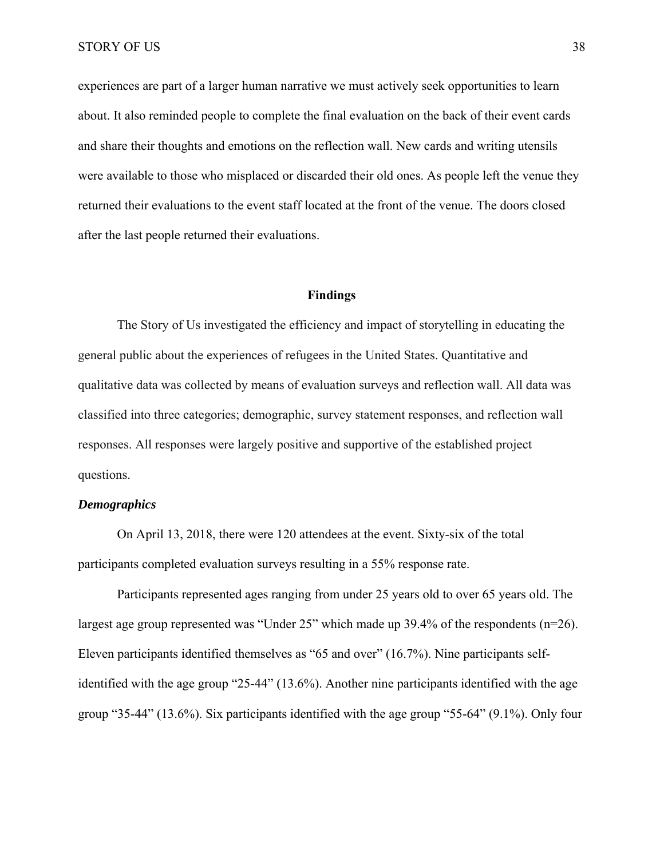experiences are part of a larger human narrative we must actively seek opportunities to learn about. It also reminded people to complete the final evaluation on the back of their event cards and share their thoughts and emotions on the reflection wall. New cards and writing utensils were available to those who misplaced or discarded their old ones. As people left the venue they returned their evaluations to the event staff located at the front of the venue. The doors closed after the last people returned their evaluations.

#### **Findings**

The Story of Us investigated the efficiency and impact of storytelling in educating the general public about the experiences of refugees in the United States. Quantitative and qualitative data was collected by means of evaluation surveys and reflection wall. All data was classified into three categories; demographic, survey statement responses, and reflection wall responses. All responses were largely positive and supportive of the established project questions.

# *Demographics*

 On April 13, 2018, there were 120 attendees at the event. Sixty-six of the total participants completed evaluation surveys resulting in a 55% response rate.

Participants represented ages ranging from under 25 years old to over 65 years old. The largest age group represented was "Under 25" which made up 39.4% of the respondents (n=26). Eleven participants identified themselves as "65 and over" (16.7%). Nine participants selfidentified with the age group "25-44" (13.6%). Another nine participants identified with the age group "35-44" (13.6%). Six participants identified with the age group "55-64" (9.1%). Only four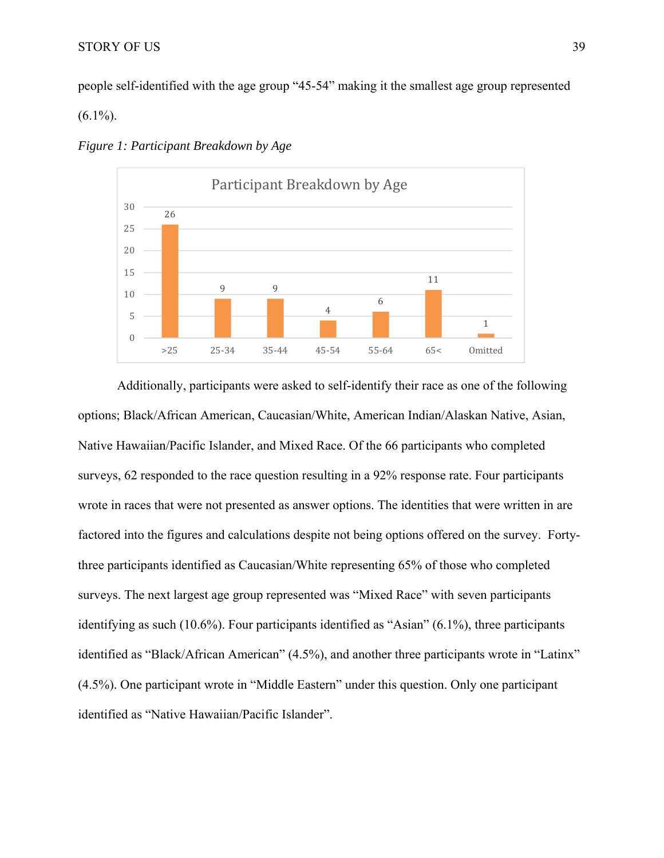people self-identified with the age group "45-54" making it the smallest age group represented

 $(6.1\%)$ .



*Figure 1: Participant Breakdown by Age*

 Additionally, participants were asked to self-identify their race as one of the following options; Black/African American, Caucasian/White, American Indian/Alaskan Native, Asian, Native Hawaiian/Pacific Islander, and Mixed Race. Of the 66 participants who completed surveys, 62 responded to the race question resulting in a 92% response rate. Four participants wrote in races that were not presented as answer options. The identities that were written in are factored into the figures and calculations despite not being options offered on the survey. Fortythree participants identified as Caucasian/White representing 65% of those who completed surveys. The next largest age group represented was "Mixed Race" with seven participants identifying as such (10.6%). Four participants identified as "Asian" (6.1%), three participants identified as "Black/African American" (4.5%), and another three participants wrote in "Latinx" (4.5%). One participant wrote in "Middle Eastern" under this question. Only one participant identified as "Native Hawaiian/Pacific Islander".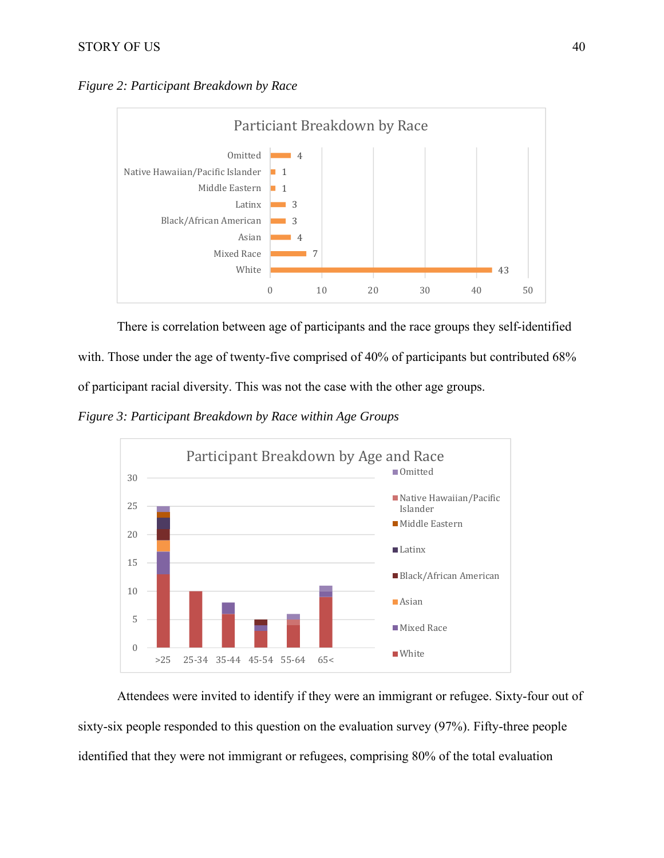# STORY OF US 40

*Figure 2: Participant Breakdown by Race* 



There is correlation between age of participants and the race groups they self-identified with. Those under the age of twenty-five comprised of 40% of participants but contributed 68% of participant racial diversity. This was not the case with the other age groups.

*Figure 3: Participant Breakdown by Race within Age Groups* 



 Attendees were invited to identify if they were an immigrant or refugee. Sixty-four out of sixty-six people responded to this question on the evaluation survey (97%). Fifty-three people identified that they were not immigrant or refugees, comprising 80% of the total evaluation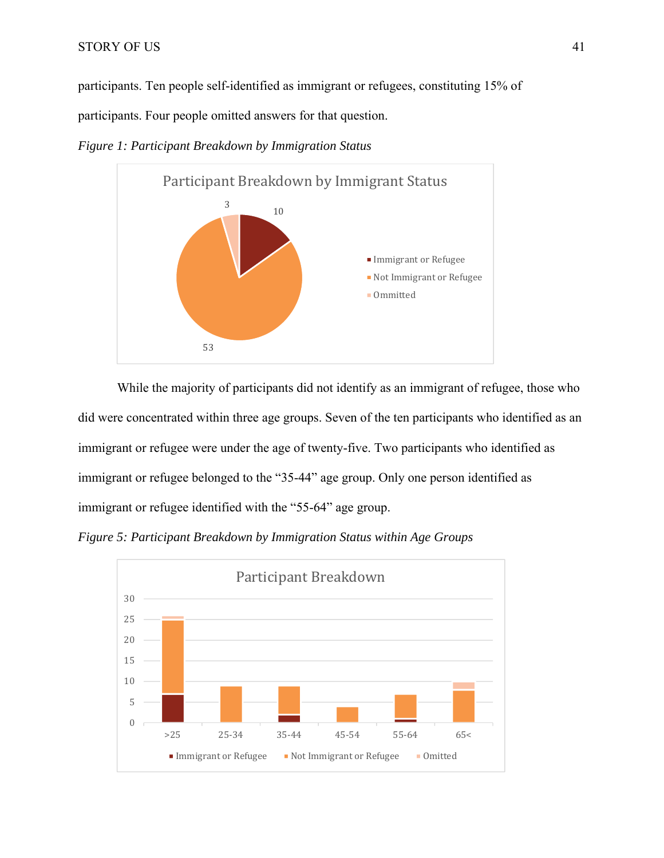participants. Ten people self-identified as immigrant or refugees, constituting 15% of

participants. Four people omitted answers for that question.

*Figure 1: Participant Breakdown by Immigration Status* 



 While the majority of participants did not identify as an immigrant of refugee, those who did were concentrated within three age groups. Seven of the ten participants who identified as an immigrant or refugee were under the age of twenty-five. Two participants who identified as immigrant or refugee belonged to the "35-44" age group. Only one person identified as immigrant or refugee identified with the "55-64" age group.

*Figure 5: Participant Breakdown by Immigration Status within Age Groups* 

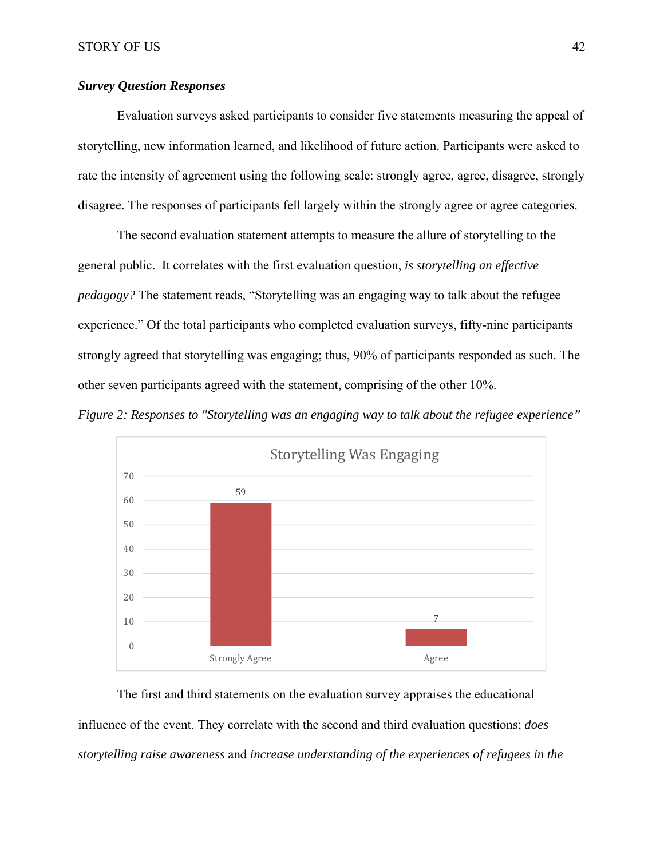# *Survey Question Responses*

 Evaluation surveys asked participants to consider five statements measuring the appeal of storytelling, new information learned, and likelihood of future action. Participants were asked to rate the intensity of agreement using the following scale: strongly agree, agree, disagree, strongly disagree. The responses of participants fell largely within the strongly agree or agree categories.

The second evaluation statement attempts to measure the allure of storytelling to the general public. It correlates with the first evaluation question, *is storytelling an effective pedagogy?* The statement reads, "Storytelling was an engaging way to talk about the refugee experience." Of the total participants who completed evaluation surveys, fifty-nine participants strongly agreed that storytelling was engaging; thus, 90% of participants responded as such. The other seven participants agreed with the statement, comprising of the other 10%.





The first and third statements on the evaluation survey appraises the educational influence of the event. They correlate with the second and third evaluation questions; *does storytelling raise awareness* and *increase understanding of the experiences of refugees in the*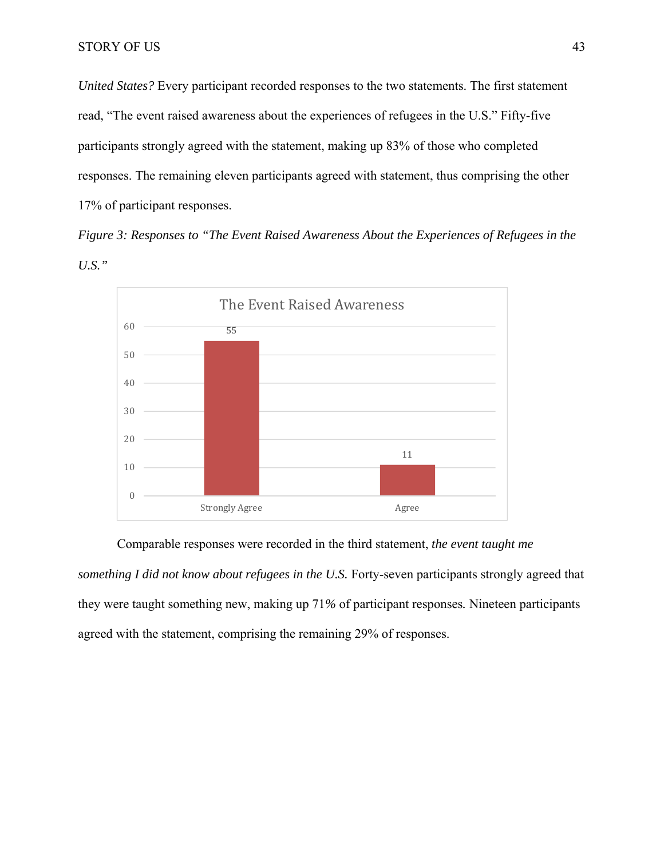*United States?* Every participant recorded responses to the two statements. The first statement read, "The event raised awareness about the experiences of refugees in the U.S." Fifty-five participants strongly agreed with the statement, making up 83% of those who completed responses. The remaining eleven participants agreed with statement, thus comprising the other 17% of participant responses.

*Figure 3: Responses to "The Event Raised Awareness About the Experiences of Refugees in the U.S."* 



#### Comparable responses were recorded in the third statement, *the event taught me*

*something I did not know about refugees in the U.S.* Forty-seven participants strongly agreed that they were taught something new, making up 71*%* of participant responses*.* Nineteen participants agreed with the statement, comprising the remaining 29% of responses.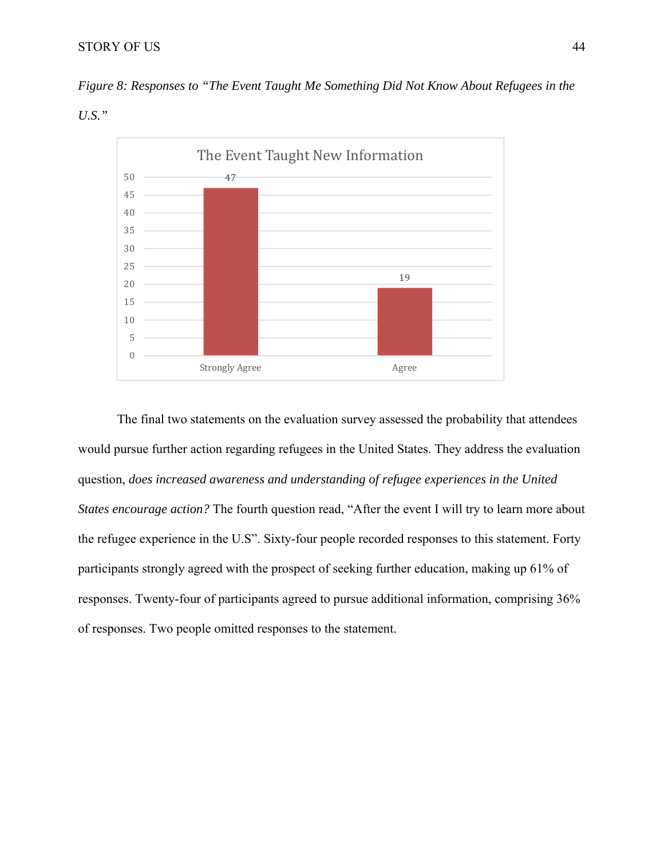# STORY OF US 44

*Figure 8: Responses to "The Event Taught Me Something Did Not Know About Refugees in the* 

*U.S."* 



 The final two statements on the evaluation survey assessed the probability that attendees would pursue further action regarding refugees in the United States. They address the evaluation question, *does increased awareness and understanding of refugee experiences in the United States encourage action?* The fourth question read, "After the event I will try to learn more about the refugee experience in the U.S". Sixty-four people recorded responses to this statement. Forty participants strongly agreed with the prospect of seeking further education, making up 61% of responses. Twenty-four of participants agreed to pursue additional information, comprising 36% of responses. Two people omitted responses to the statement.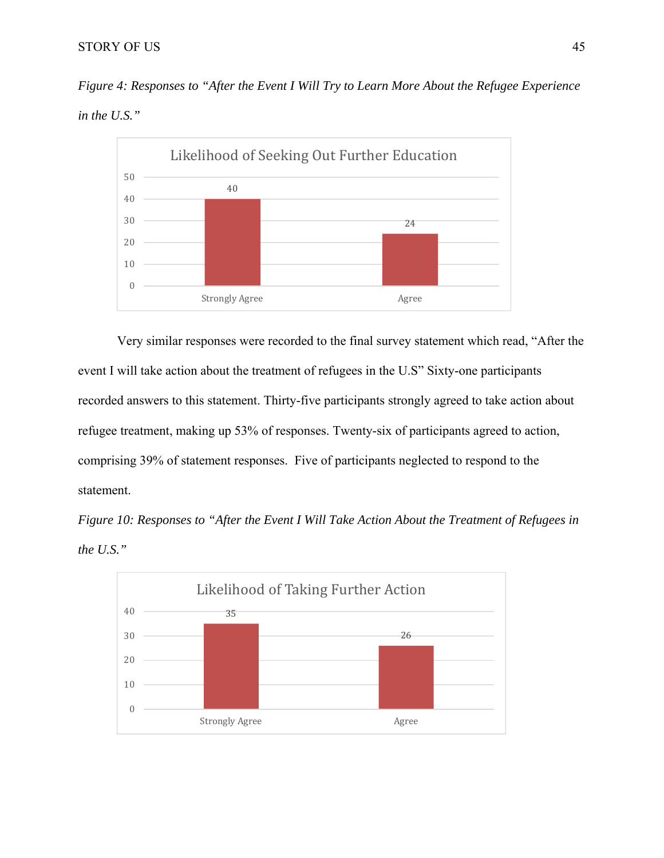# STORY OF US 45

*Figure 4: Responses to "After the Event I Will Try to Learn More About the Refugee Experience in the U.S."* 



Very similar responses were recorded to the final survey statement which read, "After the event I will take action about the treatment of refugees in the U.S" Sixty-one participants recorded answers to this statement. Thirty-five participants strongly agreed to take action about refugee treatment, making up 53% of responses. Twenty-six of participants agreed to action, comprising 39% of statement responses. Five of participants neglected to respond to the statement.

*Figure 10: Responses to "After the Event I Will Take Action About the Treatment of Refugees in the U.S."* 

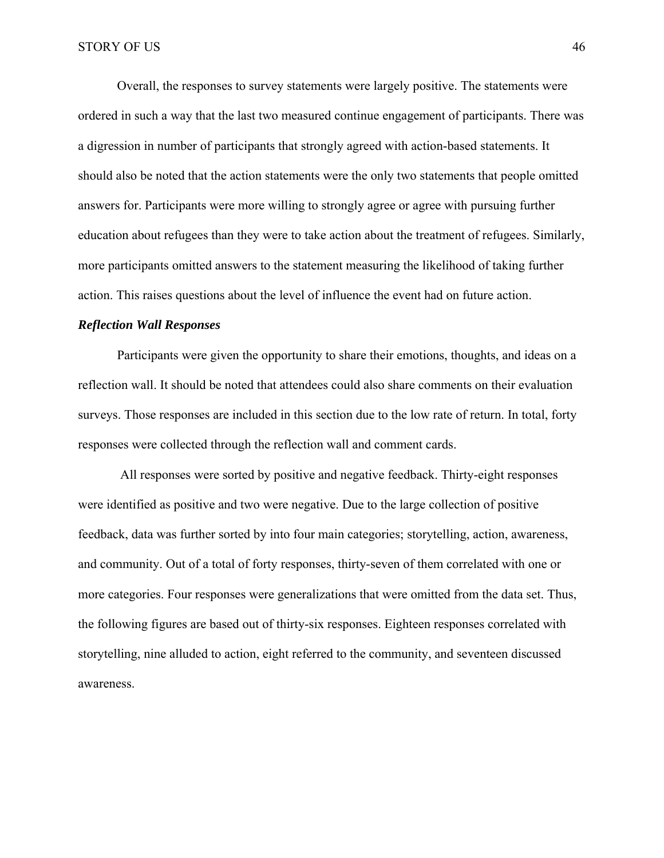Overall, the responses to survey statements were largely positive. The statements were ordered in such a way that the last two measured continue engagement of participants. There was a digression in number of participants that strongly agreed with action-based statements. It should also be noted that the action statements were the only two statements that people omitted answers for. Participants were more willing to strongly agree or agree with pursuing further education about refugees than they were to take action about the treatment of refugees. Similarly, more participants omitted answers to the statement measuring the likelihood of taking further action. This raises questions about the level of influence the event had on future action.

#### *Reflection Wall Responses*

 Participants were given the opportunity to share their emotions, thoughts, and ideas on a reflection wall. It should be noted that attendees could also share comments on their evaluation surveys. Those responses are included in this section due to the low rate of return. In total, forty responses were collected through the reflection wall and comment cards.

 All responses were sorted by positive and negative feedback. Thirty-eight responses were identified as positive and two were negative. Due to the large collection of positive feedback, data was further sorted by into four main categories; storytelling, action, awareness, and community. Out of a total of forty responses, thirty-seven of them correlated with one or more categories. Four responses were generalizations that were omitted from the data set. Thus, the following figures are based out of thirty-six responses. Eighteen responses correlated with storytelling, nine alluded to action, eight referred to the community, and seventeen discussed awareness.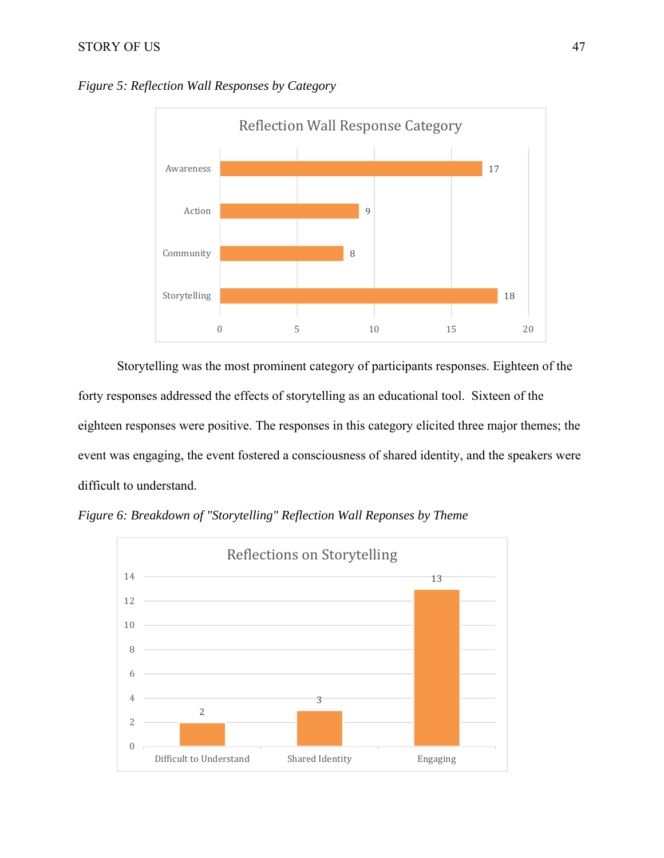# STORY OF US 47



*Figure 5: Reflection Wall Responses by Category* 

Storytelling was the most prominent category of participants responses. Eighteen of the forty responses addressed the effects of storytelling as an educational tool. Sixteen of the eighteen responses were positive. The responses in this category elicited three major themes; the event was engaging, the event fostered a consciousness of shared identity, and the speakers were difficult to understand.



*Figure 6: Breakdown of "Storytelling" Reflection Wall Reponses by Theme*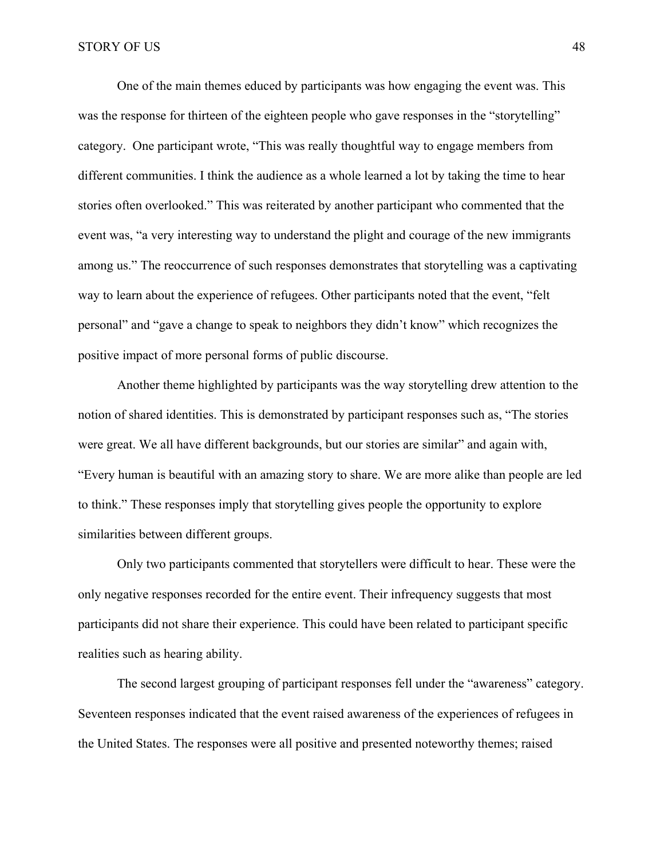One of the main themes educed by participants was how engaging the event was. This was the response for thirteen of the eighteen people who gave responses in the "storytelling" category. One participant wrote, "This was really thoughtful way to engage members from different communities. I think the audience as a whole learned a lot by taking the time to hear stories often overlooked." This was reiterated by another participant who commented that the event was, "a very interesting way to understand the plight and courage of the new immigrants among us." The reoccurrence of such responses demonstrates that storytelling was a captivating way to learn about the experience of refugees. Other participants noted that the event, "felt personal" and "gave a change to speak to neighbors they didn't know" which recognizes the positive impact of more personal forms of public discourse.

Another theme highlighted by participants was the way storytelling drew attention to the notion of shared identities. This is demonstrated by participant responses such as, "The stories were great. We all have different backgrounds, but our stories are similar" and again with, "Every human is beautiful with an amazing story to share. We are more alike than people are led to think." These responses imply that storytelling gives people the opportunity to explore similarities between different groups.

Only two participants commented that storytellers were difficult to hear. These were the only negative responses recorded for the entire event. Their infrequency suggests that most participants did not share their experience. This could have been related to participant specific realities such as hearing ability.

The second largest grouping of participant responses fell under the "awareness" category. Seventeen responses indicated that the event raised awareness of the experiences of refugees in the United States. The responses were all positive and presented noteworthy themes; raised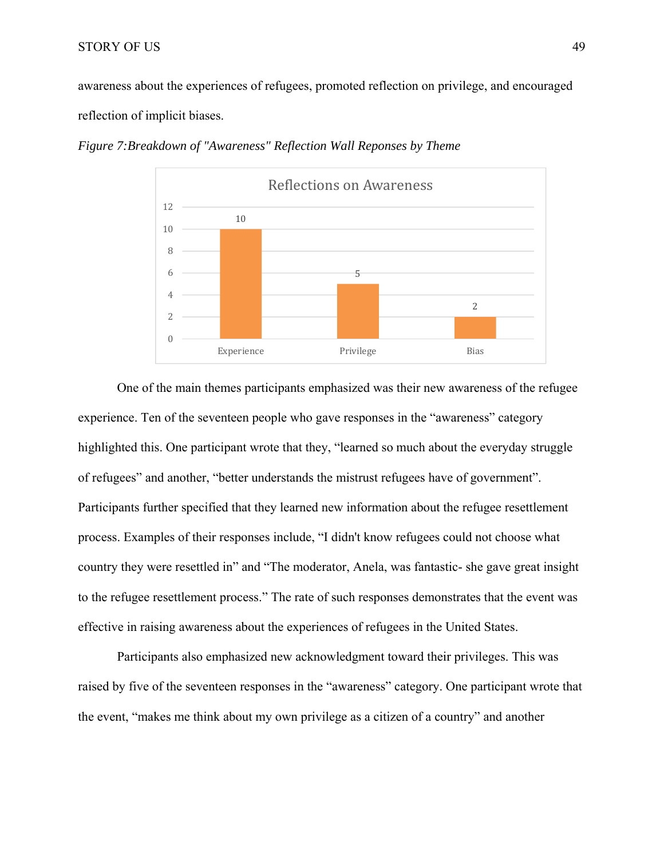awareness about the experiences of refugees, promoted reflection on privilege, and encouraged reflection of implicit biases.



*Figure 7:Breakdown of "Awareness" Reflection Wall Reponses by Theme* 

One of the main themes participants emphasized was their new awareness of the refugee experience. Ten of the seventeen people who gave responses in the "awareness" category highlighted this. One participant wrote that they, "learned so much about the everyday struggle of refugees" and another, "better understands the mistrust refugees have of government". Participants further specified that they learned new information about the refugee resettlement process. Examples of their responses include, "I didn't know refugees could not choose what country they were resettled in" and "The moderator, Anela, was fantastic- she gave great insight to the refugee resettlement process." The rate of such responses demonstrates that the event was effective in raising awareness about the experiences of refugees in the United States.

Participants also emphasized new acknowledgment toward their privileges. This was raised by five of the seventeen responses in the "awareness" category. One participant wrote that the event, "makes me think about my own privilege as a citizen of a country" and another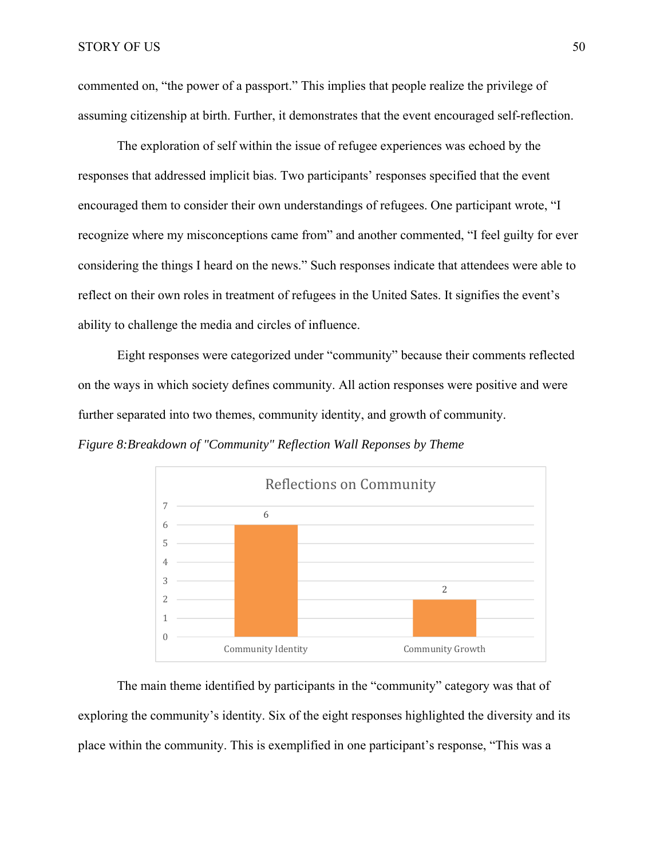commented on, "the power of a passport." This implies that people realize the privilege of assuming citizenship at birth. Further, it demonstrates that the event encouraged self-reflection.

The exploration of self within the issue of refugee experiences was echoed by the responses that addressed implicit bias. Two participants' responses specified that the event encouraged them to consider their own understandings of refugees. One participant wrote, "I recognize where my misconceptions came from" and another commented, "I feel guilty for ever considering the things I heard on the news." Such responses indicate that attendees were able to reflect on their own roles in treatment of refugees in the United Sates. It signifies the event's ability to challenge the media and circles of influence.

Eight responses were categorized under "community" because their comments reflected on the ways in which society defines community. All action responses were positive and were further separated into two themes, community identity, and growth of community.

*Figure 8:Breakdown of "Community" Reflection Wall Reponses by Theme* 



 The main theme identified by participants in the "community" category was that of exploring the community's identity. Six of the eight responses highlighted the diversity and its place within the community. This is exemplified in one participant's response, "This was a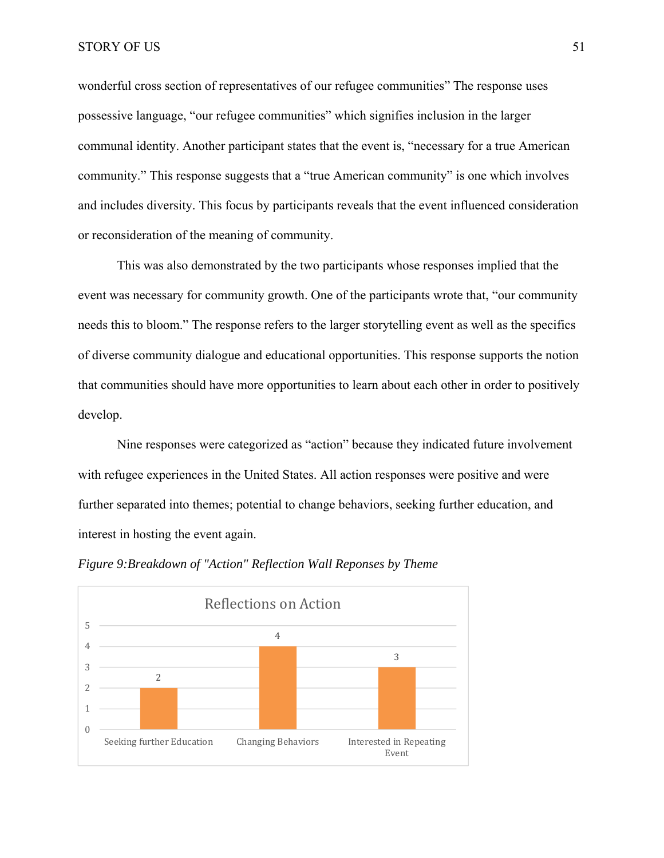wonderful cross section of representatives of our refugee communities" The response uses possessive language, "our refugee communities" which signifies inclusion in the larger communal identity. Another participant states that the event is, "necessary for a true American community." This response suggests that a "true American community" is one which involves and includes diversity. This focus by participants reveals that the event influenced consideration or reconsideration of the meaning of community.

 This was also demonstrated by the two participants whose responses implied that the event was necessary for community growth. One of the participants wrote that, "our community needs this to bloom." The response refers to the larger storytelling event as well as the specifics of diverse community dialogue and educational opportunities. This response supports the notion that communities should have more opportunities to learn about each other in order to positively develop.

 Nine responses were categorized as "action" because they indicated future involvement with refugee experiences in the United States. All action responses were positive and were further separated into themes; potential to change behaviors, seeking further education, and interest in hosting the event again.



*Figure 9:Breakdown of "Action" Reflection Wall Reponses by Theme*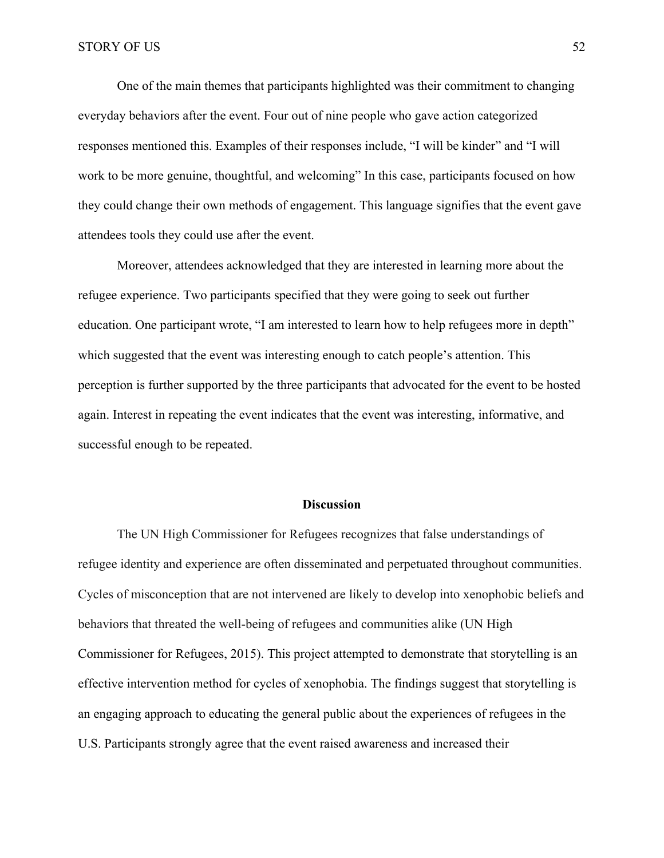One of the main themes that participants highlighted was their commitment to changing everyday behaviors after the event. Four out of nine people who gave action categorized responses mentioned this. Examples of their responses include, "I will be kinder" and "I will work to be more genuine, thoughtful, and welcoming" In this case, participants focused on how they could change their own methods of engagement. This language signifies that the event gave attendees tools they could use after the event.

Moreover, attendees acknowledged that they are interested in learning more about the refugee experience. Two participants specified that they were going to seek out further education. One participant wrote, "I am interested to learn how to help refugees more in depth" which suggested that the event was interesting enough to catch people's attention. This perception is further supported by the three participants that advocated for the event to be hosted again. Interest in repeating the event indicates that the event was interesting, informative, and successful enough to be repeated.

#### **Discussion**

The UN High Commissioner for Refugees recognizes that false understandings of refugee identity and experience are often disseminated and perpetuated throughout communities. Cycles of misconception that are not intervened are likely to develop into xenophobic beliefs and behaviors that threated the well-being of refugees and communities alike (UN High Commissioner for Refugees, 2015). This project attempted to demonstrate that storytelling is an effective intervention method for cycles of xenophobia. The findings suggest that storytelling is an engaging approach to educating the general public about the experiences of refugees in the U.S. Participants strongly agree that the event raised awareness and increased their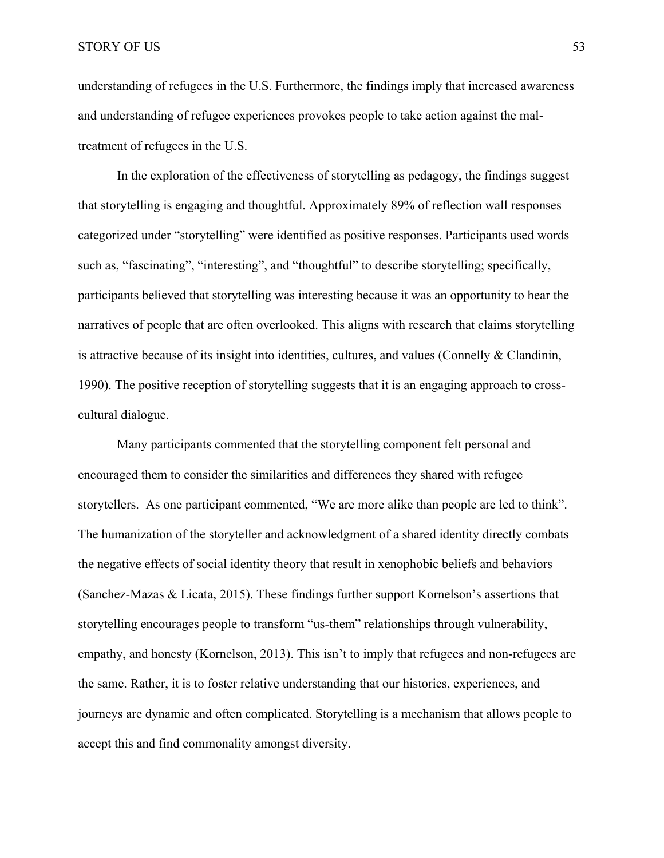understanding of refugees in the U.S. Furthermore, the findings imply that increased awareness and understanding of refugee experiences provokes people to take action against the maltreatment of refugees in the U.S.

In the exploration of the effectiveness of storytelling as pedagogy, the findings suggest that storytelling is engaging and thoughtful. Approximately 89% of reflection wall responses categorized under "storytelling" were identified as positive responses. Participants used words such as, "fascinating", "interesting", and "thoughtful" to describe storytelling; specifically, participants believed that storytelling was interesting because it was an opportunity to hear the narratives of people that are often overlooked. This aligns with research that claims storytelling is attractive because of its insight into identities, cultures, and values (Connelly & Clandinin, 1990). The positive reception of storytelling suggests that it is an engaging approach to crosscultural dialogue.

Many participants commented that the storytelling component felt personal and encouraged them to consider the similarities and differences they shared with refugee storytellers. As one participant commented, "We are more alike than people are led to think". The humanization of the storyteller and acknowledgment of a shared identity directly combats the negative effects of social identity theory that result in xenophobic beliefs and behaviors (Sanchez-Mazas & Licata, 2015). These findings further support Kornelson's assertions that storytelling encourages people to transform "us-them" relationships through vulnerability, empathy, and honesty (Kornelson, 2013). This isn't to imply that refugees and non-refugees are the same. Rather, it is to foster relative understanding that our histories, experiences, and journeys are dynamic and often complicated. Storytelling is a mechanism that allows people to accept this and find commonality amongst diversity.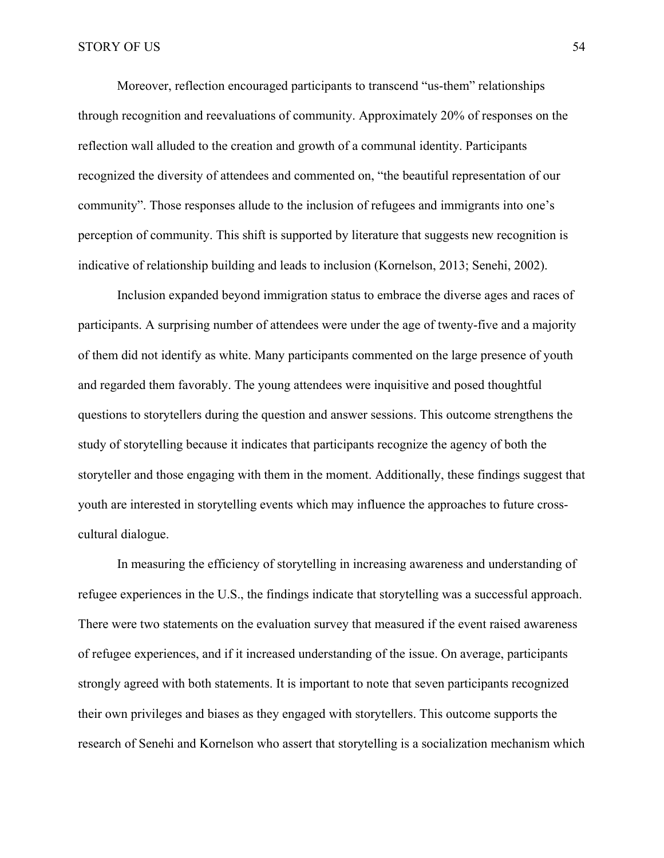Moreover, reflection encouraged participants to transcend "us-them" relationships through recognition and reevaluations of community. Approximately 20% of responses on the reflection wall alluded to the creation and growth of a communal identity. Participants recognized the diversity of attendees and commented on, "the beautiful representation of our community". Those responses allude to the inclusion of refugees and immigrants into one's perception of community. This shift is supported by literature that suggests new recognition is indicative of relationship building and leads to inclusion (Kornelson, 2013; Senehi, 2002).

Inclusion expanded beyond immigration status to embrace the diverse ages and races of participants. A surprising number of attendees were under the age of twenty-five and a majority of them did not identify as white. Many participants commented on the large presence of youth and regarded them favorably. The young attendees were inquisitive and posed thoughtful questions to storytellers during the question and answer sessions. This outcome strengthens the study of storytelling because it indicates that participants recognize the agency of both the storyteller and those engaging with them in the moment. Additionally, these findings suggest that youth are interested in storytelling events which may influence the approaches to future crosscultural dialogue.

In measuring the efficiency of storytelling in increasing awareness and understanding of refugee experiences in the U.S., the findings indicate that storytelling was a successful approach. There were two statements on the evaluation survey that measured if the event raised awareness of refugee experiences, and if it increased understanding of the issue. On average, participants strongly agreed with both statements. It is important to note that seven participants recognized their own privileges and biases as they engaged with storytellers. This outcome supports the research of Senehi and Kornelson who assert that storytelling is a socialization mechanism which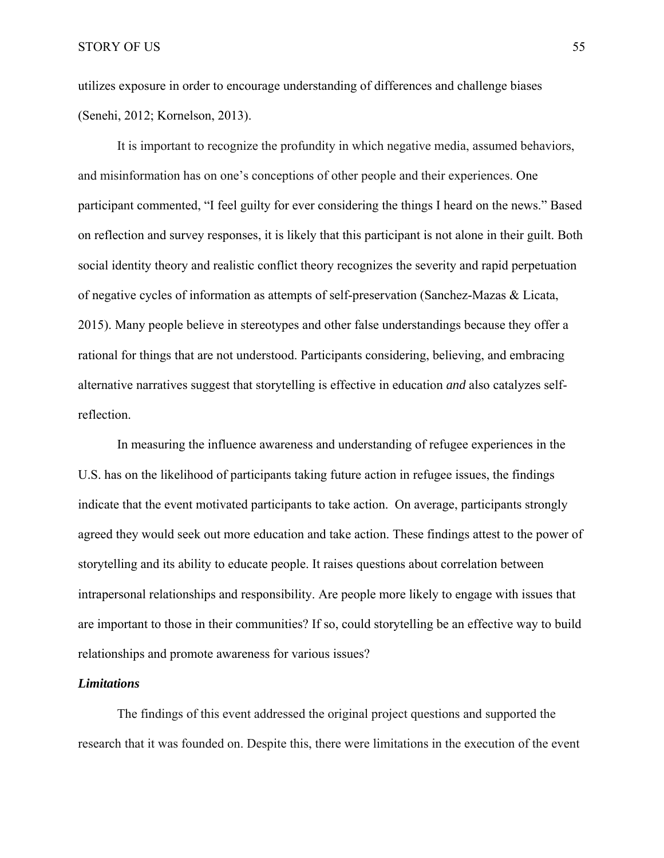utilizes exposure in order to encourage understanding of differences and challenge biases (Senehi, 2012; Kornelson, 2013).

It is important to recognize the profundity in which negative media, assumed behaviors, and misinformation has on one's conceptions of other people and their experiences. One participant commented, "I feel guilty for ever considering the things I heard on the news." Based on reflection and survey responses, it is likely that this participant is not alone in their guilt. Both social identity theory and realistic conflict theory recognizes the severity and rapid perpetuation of negative cycles of information as attempts of self-preservation (Sanchez-Mazas & Licata, 2015). Many people believe in stereotypes and other false understandings because they offer a rational for things that are not understood. Participants considering, believing, and embracing alternative narratives suggest that storytelling is effective in education *and* also catalyzes selfreflection.

In measuring the influence awareness and understanding of refugee experiences in the U.S. has on the likelihood of participants taking future action in refugee issues, the findings indicate that the event motivated participants to take action. On average, participants strongly agreed they would seek out more education and take action. These findings attest to the power of storytelling and its ability to educate people. It raises questions about correlation between intrapersonal relationships and responsibility. Are people more likely to engage with issues that are important to those in their communities? If so, could storytelling be an effective way to build relationships and promote awareness for various issues?

### *Limitations*

The findings of this event addressed the original project questions and supported the research that it was founded on. Despite this, there were limitations in the execution of the event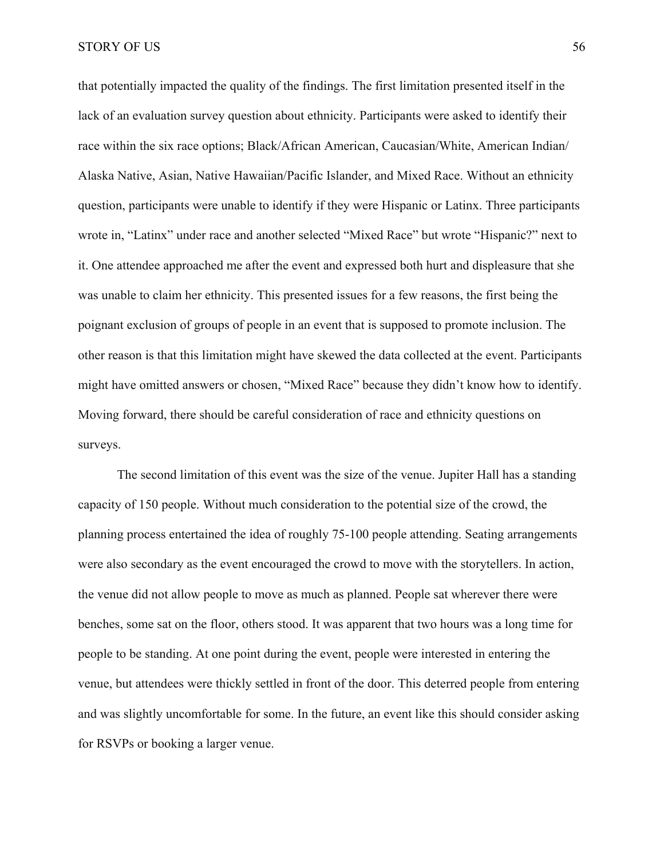STORY OF US 56

that potentially impacted the quality of the findings. The first limitation presented itself in the lack of an evaluation survey question about ethnicity. Participants were asked to identify their race within the six race options; Black/African American, Caucasian/White, American Indian/ Alaska Native, Asian, Native Hawaiian/Pacific Islander, and Mixed Race. Without an ethnicity question, participants were unable to identify if they were Hispanic or Latinx. Three participants wrote in, "Latinx" under race and another selected "Mixed Race" but wrote "Hispanic?" next to it. One attendee approached me after the event and expressed both hurt and displeasure that she was unable to claim her ethnicity. This presented issues for a few reasons, the first being the poignant exclusion of groups of people in an event that is supposed to promote inclusion. The other reason is that this limitation might have skewed the data collected at the event. Participants might have omitted answers or chosen, "Mixed Race" because they didn't know how to identify. Moving forward, there should be careful consideration of race and ethnicity questions on surveys.

The second limitation of this event was the size of the venue. Jupiter Hall has a standing capacity of 150 people. Without much consideration to the potential size of the crowd, the planning process entertained the idea of roughly 75-100 people attending. Seating arrangements were also secondary as the event encouraged the crowd to move with the storytellers. In action, the venue did not allow people to move as much as planned. People sat wherever there were benches, some sat on the floor, others stood. It was apparent that two hours was a long time for people to be standing. At one point during the event, people were interested in entering the venue, but attendees were thickly settled in front of the door. This deterred people from entering and was slightly uncomfortable for some. In the future, an event like this should consider asking for RSVPs or booking a larger venue.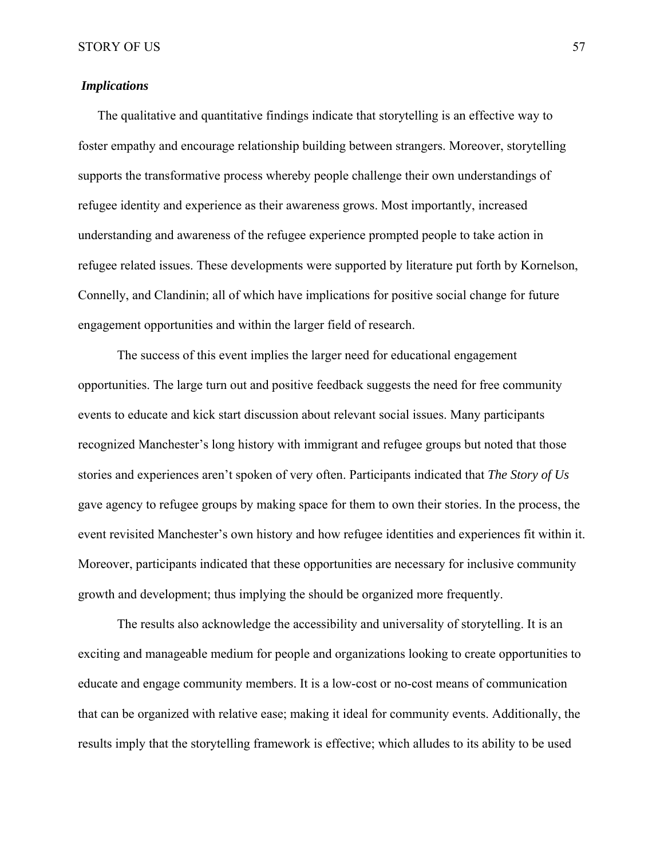# *Implications*

The qualitative and quantitative findings indicate that storytelling is an effective way to foster empathy and encourage relationship building between strangers. Moreover, storytelling supports the transformative process whereby people challenge their own understandings of refugee identity and experience as their awareness grows. Most importantly, increased understanding and awareness of the refugee experience prompted people to take action in refugee related issues. These developments were supported by literature put forth by Kornelson, Connelly, and Clandinin; all of which have implications for positive social change for future engagement opportunities and within the larger field of research.

The success of this event implies the larger need for educational engagement opportunities. The large turn out and positive feedback suggests the need for free community events to educate and kick start discussion about relevant social issues. Many participants recognized Manchester's long history with immigrant and refugee groups but noted that those stories and experiences aren't spoken of very often. Participants indicated that *The Story of Us* gave agency to refugee groups by making space for them to own their stories. In the process, the event revisited Manchester's own history and how refugee identities and experiences fit within it. Moreover, participants indicated that these opportunities are necessary for inclusive community growth and development; thus implying the should be organized more frequently.

The results also acknowledge the accessibility and universality of storytelling. It is an exciting and manageable medium for people and organizations looking to create opportunities to educate and engage community members. It is a low-cost or no-cost means of communication that can be organized with relative ease; making it ideal for community events. Additionally, the results imply that the storytelling framework is effective; which alludes to its ability to be used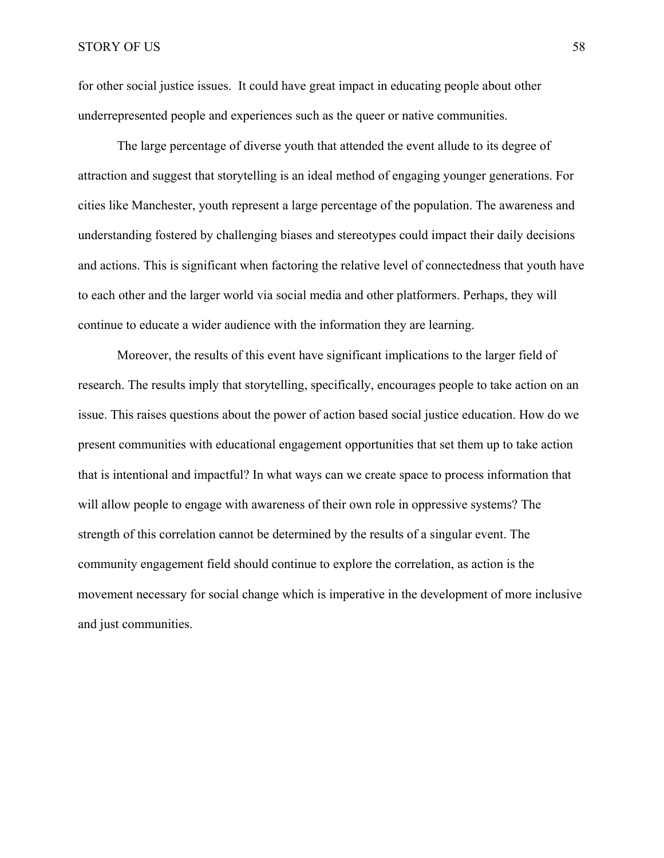for other social justice issues. It could have great impact in educating people about other underrepresented people and experiences such as the queer or native communities.

The large percentage of diverse youth that attended the event allude to its degree of attraction and suggest that storytelling is an ideal method of engaging younger generations. For cities like Manchester, youth represent a large percentage of the population. The awareness and understanding fostered by challenging biases and stereotypes could impact their daily decisions and actions. This is significant when factoring the relative level of connectedness that youth have to each other and the larger world via social media and other platformers. Perhaps, they will continue to educate a wider audience with the information they are learning.

Moreover, the results of this event have significant implications to the larger field of research. The results imply that storytelling, specifically, encourages people to take action on an issue. This raises questions about the power of action based social justice education. How do we present communities with educational engagement opportunities that set them up to take action that is intentional and impactful? In what ways can we create space to process information that will allow people to engage with awareness of their own role in oppressive systems? The strength of this correlation cannot be determined by the results of a singular event. The community engagement field should continue to explore the correlation, as action is the movement necessary for social change which is imperative in the development of more inclusive and just communities.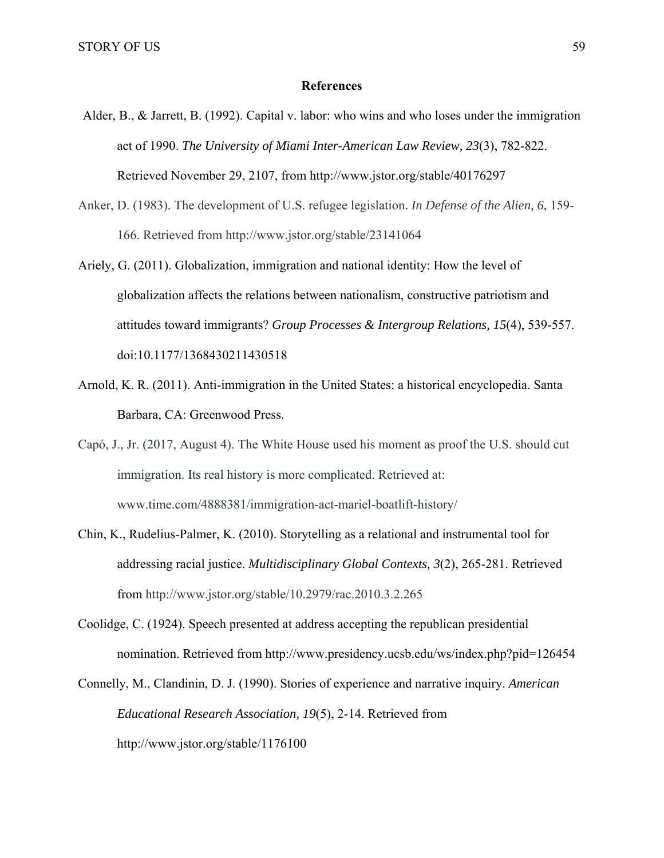#### **References**

- Alder, B., & Jarrett, B. (1992). Capital v. labor: who wins and who loses under the immigration act of 1990. *The University of Miami Inter-American Law Review, 23*(3), 782-822. Retrieved November 29, 2107, from http://www.jstor.org/stable/40176297
- Anker, D. (1983). The development of U.S. refugee legislation. *In Defense of the Alien, 6*, 159- 166. Retrieved from http://www.jstor.org/stable/23141064
- Ariely, G. (2011). Globalization, immigration and national identity: How the level of globalization affects the relations between nationalism, constructive patriotism and attitudes toward immigrants? *Group Processes & Intergroup Relations, 15*(4), 539-557. doi:10.1177/1368430211430518
- Arnold, K. R. (2011). Anti-immigration in the United States: a historical encyclopedia. Santa Barbara, CA: Greenwood Press.
- Capó, J., Jr. (2017, August 4). The White House used his moment as proof the U.S. should cut immigration. Its real history is more complicated. Retrieved at: www.time.com/4888381/immigration-act-mariel-boatlift-history/
- Chin, K., Rudelius-Palmer, K. (2010). Storytelling as a relational and instrumental tool for addressing racial justice. *Multidisciplinary Global Contexts, 3*(2), 265-281. Retrieved from http://www.jstor.org/stable/10.2979/rac.2010.3.2.265
- Coolidge, C. (1924). Speech presented at address accepting the republican presidential nomination. Retrieved from http://www.presidency.ucsb.edu/ws/index.php?pid=126454
- Connelly, M., Clandinin, D. J. (1990). Stories of experience and narrative inquiry. *American Educational Research Association, 19*(5), 2-14. Retrieved from http://www.jstor.org/stable/1176100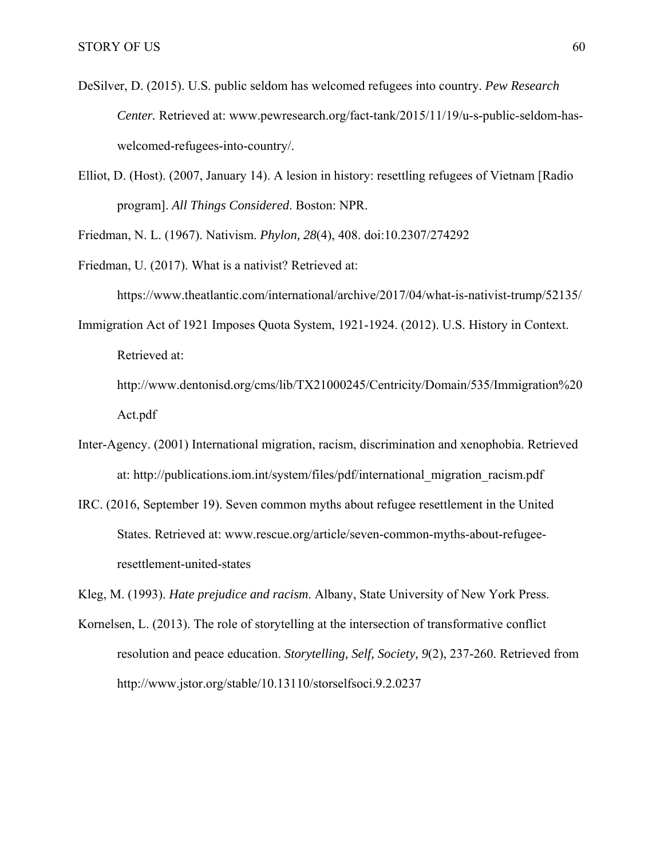- DeSilver, D. (2015). U.S. public seldom has welcomed refugees into country. *Pew Research Center.* Retrieved at: www.pewresearch.org/fact-tank/2015/11/19/u-s-public-seldom-haswelcomed-refugees-into-country/.
- Elliot, D. (Host). (2007, January 14). A lesion in history: resettling refugees of Vietnam [Radio program]. *All Things Considered*. Boston: NPR.

Friedman, N. L. (1967). Nativism. *Phylon, 28*(4), 408. doi:10.2307/274292

Friedman, U. (2017). What is a nativist? Retrieved at:

https://www.theatlantic.com/international/archive/2017/04/what-is-nativist-trump/52135/

Immigration Act of 1921 Imposes Quota System, 1921-1924. (2012). U.S. History in Context. Retrieved at:

http://www.dentonisd.org/cms/lib/TX21000245/Centricity/Domain/535/Immigration%20 Act.pdf

- Inter-Agency. (2001) International migration, racism, discrimination and xenophobia. Retrieved at: http://publications.iom.int/system/files/pdf/international\_migration\_racism.pdf
- IRC. (2016, September 19). Seven common myths about refugee resettlement in the United States. Retrieved at: www.rescue.org/article/seven-common-myths-about-refugeeresettlement-united-states

Kleg, M. (1993). *Hate prejudice and racism*. Albany, State University of New York Press.

Kornelsen, L. (2013). The role of storytelling at the intersection of transformative conflict resolution and peace education. *Storytelling, Self, Society, 9*(2), 237-260. Retrieved from http://www.jstor.org/stable/10.13110/storselfsoci.9.2.0237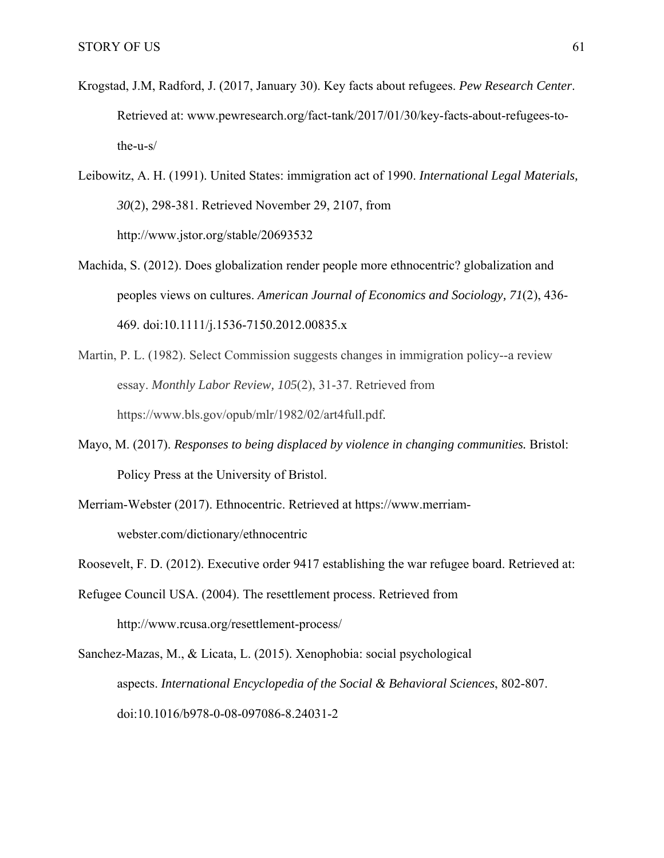- Krogstad, J.M, Radford, J. (2017, January 30). Key facts about refugees. *Pew Research Center*. Retrieved at: www.pewresearch.org/fact-tank/2017/01/30/key-facts-about-refugees-tothe-u-s/
- Leibowitz, A. H. (1991). United States: immigration act of 1990. *International Legal Materials, 30*(2), 298-381. Retrieved November 29, 2107, from http://www.jstor.org/stable/20693532
- Machida, S. (2012). Does globalization render people more ethnocentric? globalization and peoples views on cultures. *American Journal of Economics and Sociology, 71*(2), 436- 469. doi:10.1111/j.1536-7150.2012.00835.x
- Martin, P. L. (1982). Select Commission suggests changes in immigration policy--a review essay. *Monthly Labor Review, 105*(2), 31-37. Retrieved from https://www.bls.gov/opub/mlr/1982/02/art4full.pdf.
- Mayo, M. (2017). *Responses to being displaced by violence in changing communities.* Bristol: Policy Press at the University of Bristol.
- Merriam-Webster (2017). Ethnocentric. Retrieved at https://www.merriamwebster.com/dictionary/ethnocentric
- Roosevelt, F. D. (2012). Executive order 9417 establishing the war refugee board. Retrieved at:
- Refugee Council USA. (2004). The resettlement process. Retrieved from http://www.rcusa.org/resettlement-process/
- Sanchez-Mazas, M., & Licata, L. (2015). Xenophobia: social psychological aspects. *International Encyclopedia of the Social & Behavioral Sciences*, 802-807. doi:10.1016/b978-0-08-097086-8.24031-2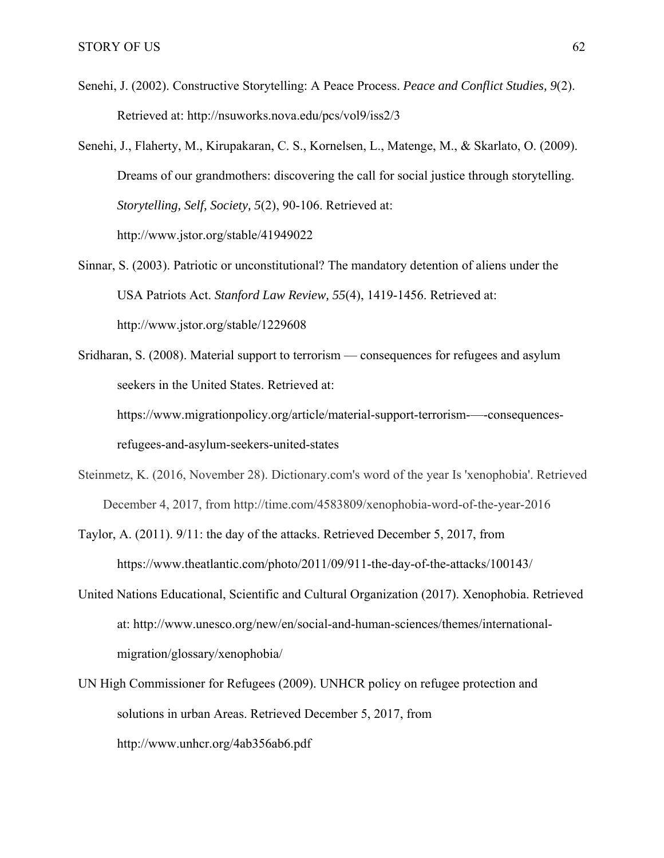- Senehi, J. (2002). Constructive Storytelling: A Peace Process. *Peace and Conflict Studies, 9*(2). Retrieved at: http://nsuworks.nova.edu/pcs/vol9/iss2/3
- Senehi, J., Flaherty, M., Kirupakaran, C. S., Kornelsen, L., Matenge, M., & Skarlato, O. (2009). Dreams of our grandmothers: discovering the call for social justice through storytelling. *Storytelling, Self, Society, 5*(2), 90-106. Retrieved at: http://www.jstor.org/stable/41949022
- Sinnar, S. (2003). Patriotic or unconstitutional? The mandatory detention of aliens under the USA Patriots Act. *Stanford Law Review, 55*(4), 1419-1456. Retrieved at: http://www.jstor.org/stable/1229608
- Sridharan, S. (2008). Material support to terrorism consequences for refugees and asylum seekers in the United States. Retrieved at: https://www.migrationpolicy.org/article/material-support-terrorism-—-consequencesrefugees-and-asylum-seekers-united-states
- Steinmetz, K. (2016, November 28). Dictionary.com's word of the year Is 'xenophobia'. Retrieved December 4, 2017, from http://time.com/4583809/xenophobia-word-of-the-year-2016
- Taylor, A. (2011). 9/11: the day of the attacks. Retrieved December 5, 2017, from https://www.theatlantic.com/photo/2011/09/911-the-day-of-the-attacks/100143/
- United Nations Educational, Scientific and Cultural Organization (2017). Xenophobia. Retrieved at: http://www.unesco.org/new/en/social-and-human-sciences/themes/internationalmigration/glossary/xenophobia/
- UN High Commissioner for Refugees (2009). UNHCR policy on refugee protection and solutions in urban Areas. Retrieved December 5, 2017, from http://www.unhcr.org/4ab356ab6.pdf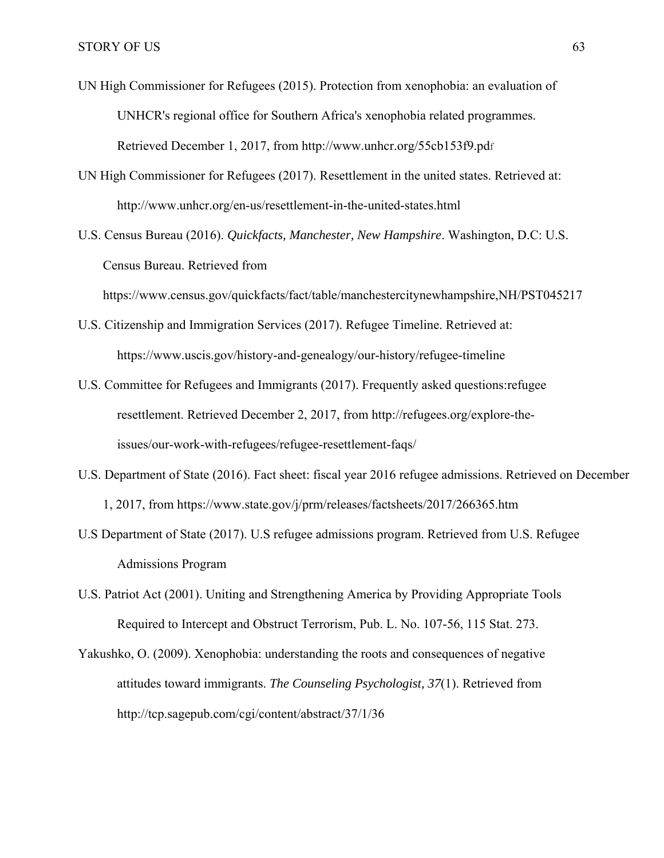- UN High Commissioner for Refugees (2015). Protection from xenophobia: an evaluation of UNHCR's regional office for Southern Africa's xenophobia related programmes. Retrieved December 1, 2017, from http://www.unhcr.org/55cb153f9.pdf
- UN High Commissioner for Refugees (2017). Resettlement in the united states. Retrieved at: http://www.unhcr.org/en-us/resettlement-in-the-united-states.html
- U.S. Census Bureau (2016). *Quickfacts, Manchester, New Hampshire*. Washington, D.C: U.S. Census Bureau. Retrieved from
	- https://www.census.gov/quickfacts/fact/table/manchestercitynewhampshire,NH/PST045217
- U.S. Citizenship and Immigration Services (2017). Refugee Timeline. Retrieved at: https://www.uscis.gov/history-and-genealogy/our-history/refugee-timeline
- U.S. Committee for Refugees and Immigrants (2017). Frequently asked questions:refugee resettlement. Retrieved December 2, 2017, from http://refugees.org/explore-theissues/our-work-with-refugees/refugee-resettlement-faqs/
- U.S. Department of State (2016). Fact sheet: fiscal year 2016 refugee admissions. Retrieved on December 1, 2017, from https://www.state.gov/j/prm/releases/factsheets/2017/266365.htm
- U.S Department of State (2017). U.S refugee admissions program. Retrieved from U.S. Refugee Admissions Program
- U.S. Patriot Act (2001). Uniting and Strengthening America by Providing Appropriate Tools Required to Intercept and Obstruct Terrorism, Pub. L. No. 107-56, 115 Stat. 273.
- Yakushko, O. (2009). Xenophobia: understanding the roots and consequences of negative attitudes toward immigrants. *The Counseling Psychologist, 37*(1). Retrieved from http://tcp.sagepub.com/cgi/content/abstract/37/1/36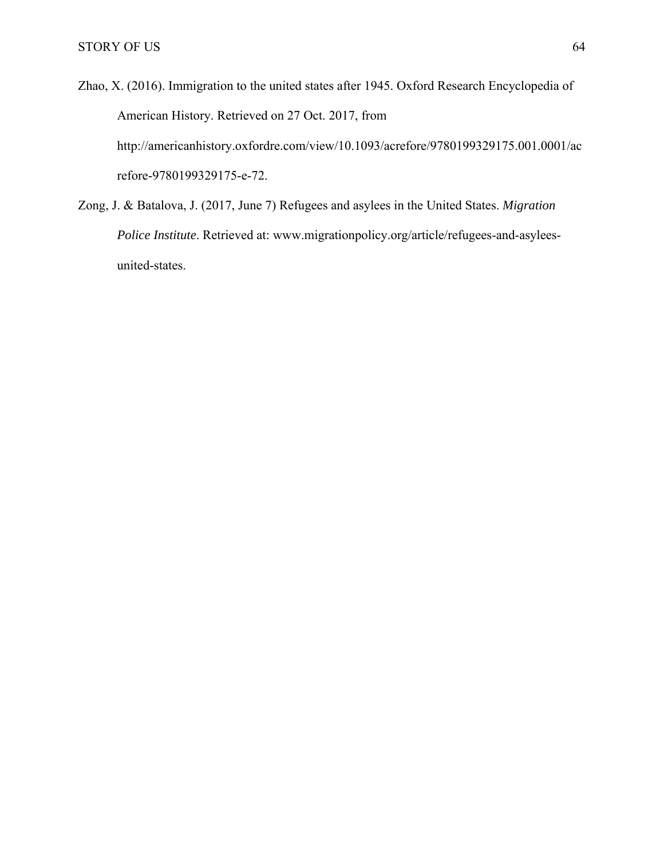Zhao, X. (2016). Immigration to the united states after 1945. Oxford Research Encyclopedia of American History. Retrieved on 27 Oct. 2017, from http://americanhistory.oxfordre.com/view/10.1093/acrefore/9780199329175.001.0001/ac refore-9780199329175-e-72.

Zong, J. & Batalova, J. (2017, June 7) Refugees and asylees in the United States. *Migration Police Institute*. Retrieved at: www.migrationpolicy.org/article/refugees-and-asyleesunited-states.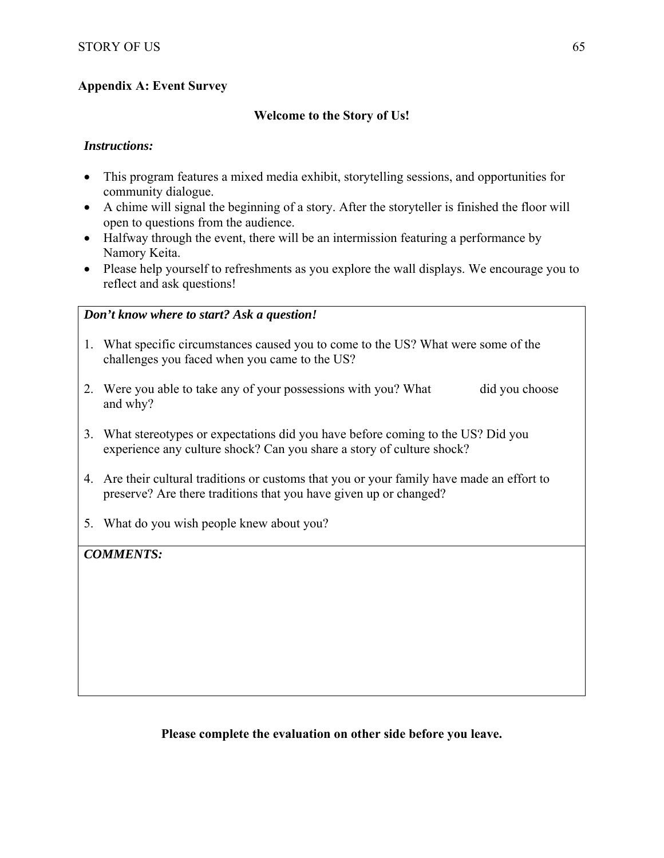# **Appendix A: Event Survey**

## **Welcome to the Story of Us!**

## *Instructions:*

- This program features a mixed media exhibit, storytelling sessions, and opportunities for community dialogue.
- A chime will signal the beginning of a story. After the storyteller is finished the floor will open to questions from the audience.
- Halfway through the event, there will be an intermission featuring a performance by Namory Keita.
- Please help yourself to refreshments as you explore the wall displays. We encourage you to reflect and ask questions!

#### *Don't know where to start? Ask a question!*

- 1. What specific circumstances caused you to come to the US? What were some of the challenges you faced when you came to the US?
- 2. Were you able to take any of your possessions with you? What did you choose and why?
- 3. What stereotypes or expectations did you have before coming to the US? Did you experience any culture shock? Can you share a story of culture shock?
- 4. Are their cultural traditions or customs that you or your family have made an effort to preserve? Are there traditions that you have given up or changed?
- 5. What do you wish people knew about you?

## *COMMENTS:*

**Please complete the evaluation on other side before you leave.**